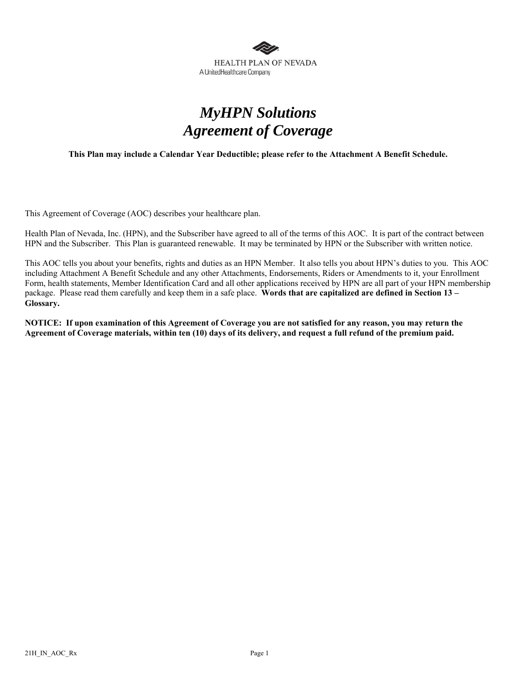

# *MyHPN Solutions Agreement of Coverage*

**This Plan may include a Calendar Year Deductible; please refer to the Attachment A Benefit Schedule.** 

This Agreement of Coverage (AOC) describes your healthcare plan.

Health Plan of Nevada, Inc. (HPN), and the Subscriber have agreed to all of the terms of this AOC. It is part of the contract between HPN and the Subscriber. This Plan is guaranteed renewable. It may be terminated by HPN or the Subscriber with written notice.

This AOC tells you about your benefits, rights and duties as an HPN Member. It also tells you about HPN's duties to you. This AOC including Attachment A Benefit Schedule and any other Attachments, Endorsements, Riders or Amendments to it, your Enrollment Form, health statements, Member Identification Card and all other applications received by HPN are all part of your HPN membership package. Please read them carefully and keep them in a safe place. **Words that are capitalized are defined in Section 13 – Glossary.** 

**NOTICE: If upon examination of this Agreement of Coverage you are not satisfied for any reason, you may return the Agreement of Coverage materials, within ten (10) days of its delivery, and request a full refund of the premium paid.**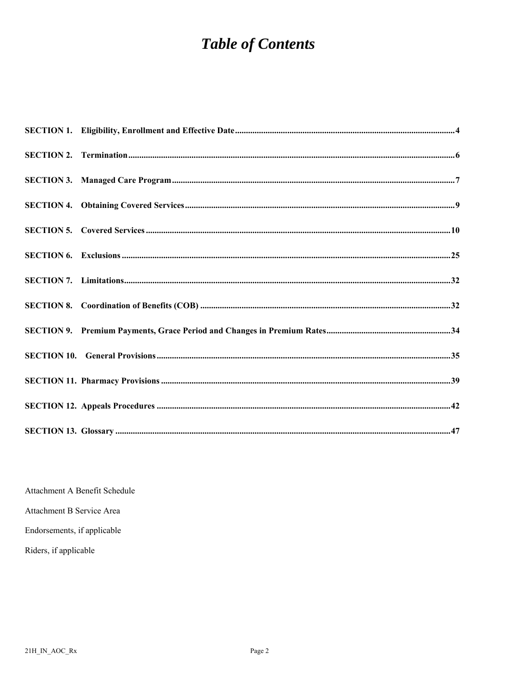# **Table of Contents**

Attachment A Benefit Schedule

Attachment B Service Area

Endorsements, if applicable

Riders, if applicable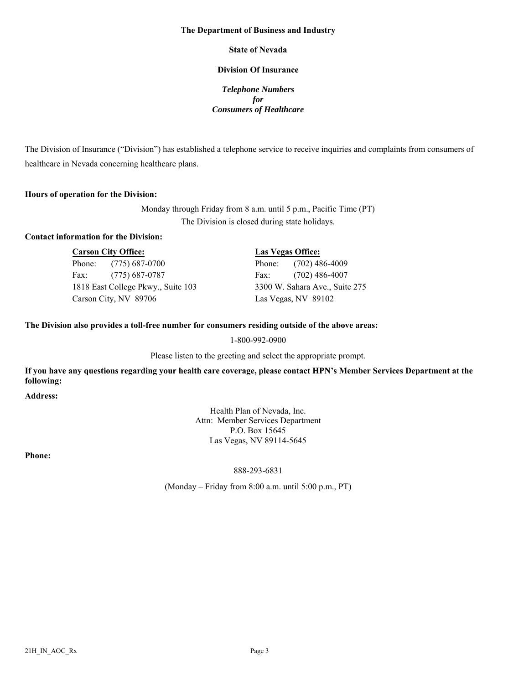#### **The Department of Business and Industry**

#### **State of Nevada**

#### **Division Of Insurance**

# *Telephone Numbers for Consumers of Healthcare*

The Division of Insurance ("Division") has established a telephone service to receive inquiries and complaints from consumers of healthcare in Nevada concerning healthcare plans.

#### **Hours of operation for the Division:**

Monday through Friday from 8 a.m. until 5 p.m., Pacific Time (PT) The Division is closed during state holidays.

# **Contact information for the Division:**

**Carson City Office:** Las Vegas Office: Phone:(775) 687-0700 Fax: (775) 687-0787 1818 East College Pkwy., Suite 103 Carson City, NV 89706

Phone: (702) 486-4009 Fax: (702) 486-4007 3300 W. Sahara Ave., Suite 275 Las Vegas, NV 89102

## **The Division also provides a toll-free number for consumers residing outside of the above areas:**

1-800-992-0900

Please listen to the greeting and select the appropriate prompt.

**If you have any questions regarding your health care coverage, please contact HPN's Member Services Department at the following:**

**Address:** 

Health Plan of Nevada, Inc. Attn: Member Services Department P.O. Box 15645 Las Vegas, NV 89114-5645

**Phone:**

888-293-6831

(Monday – Friday from 8:00 a.m. until 5:00 p.m., PT)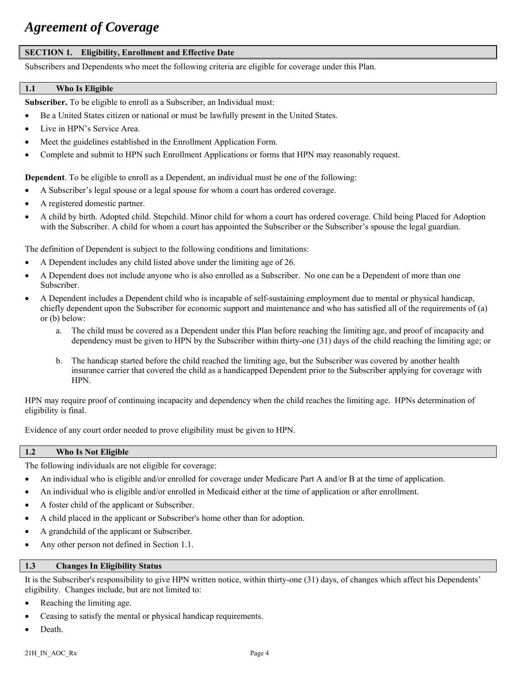# **SECTION 1. Eligibility, Enrollment and Effective Date**

Subscribers and Dependents who meet the following criteria are eligible for coverage under this Plan.

#### **1.1 Who Is Eligible**

**Subscriber.** To be eligible to enroll as a Subscriber, an Individual must:

- Be a United States citizen or national or must be lawfully present in the United States.
- Live in HPN's Service Area.
- Meet the guidelines established in the Enrollment Application Form.
- Complete and submit to HPN such Enrollment Applications or forms that HPN may reasonably request.

**Dependent**. To be eligible to enroll as a Dependent, an individual must be one of the following:

- A Subscriber's legal spouse or a legal spouse for whom a court has ordered coverage.
- A registered domestic partner.
- A child by birth. Adopted child. Stepchild. Minor child for whom a court has ordered coverage. Child being Placed for Adoption with the Subscriber. A child for whom a court has appointed the Subscriber or the Subscriber's spouse the legal guardian.

The definition of Dependent is subject to the following conditions and limitations:

- A Dependent includes any child listed above under the limiting age of 26.
- A Dependent does not include anyone who is also enrolled as a Subscriber. No one can be a Dependent of more than one Subscriber.
- A Dependent includes a Dependent child who is incapable of self-sustaining employment due to mental or physical handicap, chiefly dependent upon the Subscriber for economic support and maintenance and who has satisfied all of the requirements of (a) or (b) below:
	- a. The child must be covered as a Dependent under this Plan before reaching the limiting age, and proof of incapacity and dependency must be given to HPN by the Subscriber within thirty-one (31) days of the child reaching the limiting age; or
	- b. The handicap started before the child reached the limiting age, but the Subscriber was covered by another health insurance carrier that covered the child as a handicapped Dependent prior to the Subscriber applying for coverage with HPN.

HPN may require proof of continuing incapacity and dependency when the child reaches the limiting age. HPNs determination of eligibility is final.

Evidence of any court order needed to prove eligibility must be given to HPN.

### **1.2 Who Is Not Eligible**

The following individuals are not eligible for coverage:

- An individual who is eligible and/or enrolled for coverage under Medicare Part A and/or B at the time of application.
- An individual who is eligible and/or enrolled in Medicaid either at the time of application or after enrollment.
- A foster child of the applicant or Subscriber.
- A child placed in the applicant or Subscriber's home other than for adoption.
- A grandchild of the applicant or Subscriber.
- Any other person not defined in Section 1.1.

# **1.3 Changes In Eligibility Status**

It is the Subscriber's responsibility to give HPN written notice, within thirty-one (31) days, of changes which affect his Dependents' eligibility. Changes include, but are not limited to:

- Reaching the limiting age.
- Ceasing to satisfy the mental or physical handicap requirements.
- Death.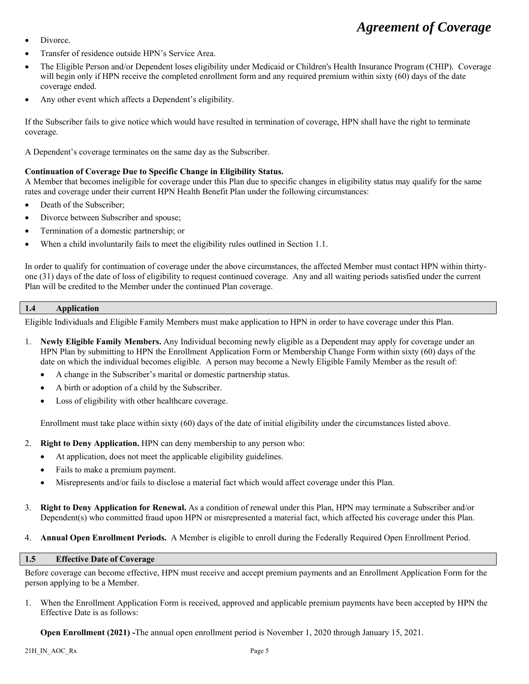- Divorce.
- Transfer of residence outside HPN's Service Area.
- The Eligible Person and/or Dependent loses eligibility under Medicaid or Children's Health Insurance Program (CHIP)*.* Coverage will begin only if HPN receive the completed enrollment form and any required premium within sixty (60) days of the date coverage ended.
- Any other event which affects a Dependent's eligibility.

If the Subscriber fails to give notice which would have resulted in termination of coverage, HPN shall have the right to terminate coverage.

A Dependent's coverage terminates on the same day as the Subscriber.

# **Continuation of Coverage Due to Specific Change in Eligibility Status.**

A Member that becomes ineligible for coverage under this Plan due to specific changes in eligibility status may qualify for the same rates and coverage under their current HPN Health Benefit Plan under the following circumstances:

- Death of the Subscriber;
- Divorce between Subscriber and spouse;
- Termination of a domestic partnership; or
- When a child involuntarily fails to meet the eligibility rules outlined in Section 1.1.

In order to qualify for continuation of coverage under the above circumstances, the affected Member must contact HPN within thirtyone (31) days of the date of loss of eligibility to request continued coverage. Any and all waiting periods satisfied under the current Plan will be credited to the Member under the continued Plan coverage.

# **1.4 Application**

Eligible Individuals and Eligible Family Members must make application to HPN in order to have coverage under this Plan.

- 1. **Newly Eligible Family Members.** Any Individual becoming newly eligible as a Dependent may apply for coverage under an HPN Plan by submitting to HPN the Enrollment Application Form or Membership Change Form within sixty (60) days of the date on which the individual becomes eligible. A person may become a Newly Eligible Family Member as the result of:
	- A change in the Subscriber's marital or domestic partnership status.
	- A birth or adoption of a child by the Subscriber.
	- Loss of eligibility with other healthcare coverage.

Enrollment must take place within sixty (60) days of the date of initial eligibility under the circumstances listed above.

- 2. **Right to Deny Application.** HPN can deny membership to any person who:
	- At application, does not meet the applicable eligibility guidelines.
	- Fails to make a premium payment.
	- Misrepresents and/or fails to disclose a material fact which would affect coverage under this Plan.
- 3. **Right to Deny Application for Renewal.** As a condition of renewal under this Plan, HPN may terminate a Subscriber and/or Dependent(s) who committed fraud upon HPN or misrepresented a material fact, which affected his coverage under this Plan.
- 4. **Annual Open Enrollment Periods.** A Member is eligible to enroll during the Federally Required Open Enrollment Period.

## **1.5 Effective Date of Coverage**

Before coverage can become effective, HPN must receive and accept premium payments and an Enrollment Application Form for the person applying to be a Member.

1. When the Enrollment Application Form is received, approved and applicable premium payments have been accepted by HPN the Effective Date is as follows:

**Open Enrollment (2021) -**The annual open enrollment period is November 1, 2020 through January 15, 2021.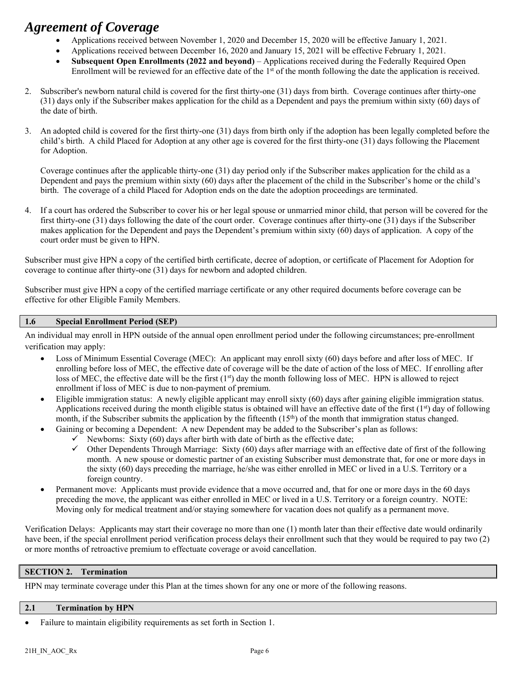- Applications received between November 1, 2020 and December 15, 2020 will be effective January 1, 2021.
- Applications received between December 16, 2020 and January 15, 2021 will be effective February 1, 2021.
- **Subsequent Open Enrollments (2022 and beyond)** Applications received during the Federally Required Open Enrollment will be reviewed for an effective date of the 1<sup>st</sup> of the month following the date the application is received.
- 2. Subscriber's newborn natural child is covered for the first thirty-one (31) days from birth. Coverage continues after thirty-one (31) days only if the Subscriber makes application for the child as a Dependent and pays the premium within sixty (60) days of the date of birth.
- 3. An adopted child is covered for the first thirty-one (31) days from birth only if the adoption has been legally completed before the child's birth. A child Placed for Adoption at any other age is covered for the first thirty-one (31) days following the Placement for Adoption.

Coverage continues after the applicable thirty-one (31) day period only if the Subscriber makes application for the child as a Dependent and pays the premium within sixty (60) days after the placement of the child in the Subscriber's home or the child's birth. The coverage of a child Placed for Adoption ends on the date the adoption proceedings are terminated.

4. If a court has ordered the Subscriber to cover his or her legal spouse or unmarried minor child, that person will be covered for the first thirty-one (31) days following the date of the court order. Coverage continues after thirty-one (31) days if the Subscriber makes application for the Dependent and pays the Dependent's premium within sixty (60) days of application. A copy of the court order must be given to HPN.

Subscriber must give HPN a copy of the certified birth certificate, decree of adoption, or certificate of Placement for Adoption for coverage to continue after thirty-one (31) days for newborn and adopted children.

Subscriber must give HPN a copy of the certified marriage certificate or any other required documents before coverage can be effective for other Eligible Family Members.

# **1.6 Special Enrollment Period (SEP)**

An individual may enroll in HPN outside of the annual open enrollment period under the following circumstances; pre-enrollment verification may apply:

- Loss of Minimum Essential Coverage (MEC): An applicant may enroll sixty (60) days before and after loss of MEC. If enrolling before loss of MEC, the effective date of coverage will be the date of action of the loss of MEC. If enrolling after loss of MEC, the effective date will be the first (1<sup>st</sup>) day the month following loss of MEC. HPN is allowed to reject enrollment if loss of MEC is due to non-payment of premium.
- Eligible immigration status: A newly eligible applicant may enroll sixty (60) days after gaining eligible immigration status. Applications received during the month eligible status is obtained will have an effective date of the first (1st) day of following month, if the Subscriber submits the application by the fifteenth  $(15<sup>th</sup>)$  of the month that immigration status changed.
- Gaining or becoming a Dependent: A new Dependent may be added to the Subscriber's plan as follows:
	- $\checkmark$  Newborns: Sixty (60) days after birth with date of birth as the effective date;
		- $\checkmark$  Other Dependents Through Marriage: Sixty (60) days after marriage with an effective date of first of the following month. A new spouse or domestic partner of an existing Subscriber must demonstrate that, for one or more days in the sixty (60) days preceding the marriage, he/she was either enrolled in MEC or lived in a U.S. Territory or a foreign country.
- Permanent move: Applicants must provide evidence that a move occurred and, that for one or more days in the 60 days preceding the move, the applicant was either enrolled in MEC or lived in a U.S. Territory or a foreign country. NOTE: Moving only for medical treatment and/or staying somewhere for vacation does not qualify as a permanent move.

Verification Delays: Applicants may start their coverage no more than one (1) month later than their effective date would ordinarily have been, if the special enrollment period verification process delays their enrollment such that they would be required to pay two (2) or more months of retroactive premium to effectuate coverage or avoid cancellation.

# **SECTION 2. Termination**

HPN may terminate coverage under this Plan at the times shown for any one or more of the following reasons.

# **2.1 Termination by HPN**

Failure to maintain eligibility requirements as set forth in Section 1.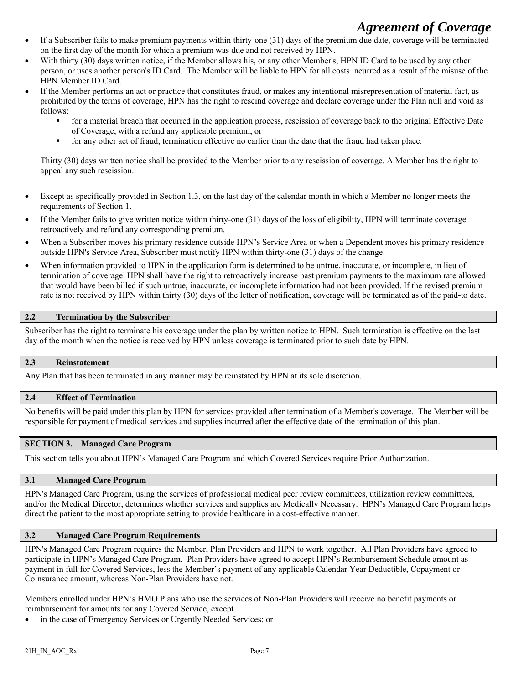- If a Subscriber fails to make premium payments within thirty-one (31) days of the premium due date, coverage will be terminated on the first day of the month for which a premium was due and not received by HPN.
- With thirty (30) days written notice, if the Member allows his, or any other Member's, HPN ID Card to be used by any other person, or uses another person's ID Card. The Member will be liable to HPN for all costs incurred as a result of the misuse of the HPN Member ID Card.
- If the Member performs an act or practice that constitutes fraud, or makes any intentional misrepresentation of material fact, as prohibited by the terms of coverage, HPN has the right to rescind coverage and declare coverage under the Plan null and void as follows:
	- for a material breach that occurred in the application process, rescission of coverage back to the original Effective Date of Coverage, with a refund any applicable premium; or
	- for any other act of fraud, termination effective no earlier than the date that the fraud had taken place.

Thirty (30) days written notice shall be provided to the Member prior to any rescission of coverage. A Member has the right to appeal any such rescission.

- Except as specifically provided in Section 1.3, on the last day of the calendar month in which a Member no longer meets the requirements of Section 1.
- If the Member fails to give written notice within thirty-one (31) days of the loss of eligibility, HPN will terminate coverage retroactively and refund any corresponding premium.
- When a Subscriber moves his primary residence outside HPN's Service Area or when a Dependent moves his primary residence outside HPN's Service Area, Subscriber must notify HPN within thirty-one (31) days of the change.
- When information provided to HPN in the application form is determined to be untrue, inaccurate, or incomplete, in lieu of termination of coverage. HPN shall have the right to retroactively increase past premium payments to the maximum rate allowed that would have been billed if such untrue, inaccurate, or incomplete information had not been provided. If the revised premium rate is not received by HPN within thirty (30) days of the letter of notification, coverage will be terminated as of the paid-to date.

## **2.2 Termination by the Subscriber**

Subscriber has the right to terminate his coverage under the plan by written notice to HPN. Such termination is effective on the last day of the month when the notice is received by HPN unless coverage is terminated prior to such date by HPN.

#### **2.3 Reinstatement**

Any Plan that has been terminated in any manner may be reinstated by HPN at its sole discretion.

### **2.4 Effect of Termination**

No benefits will be paid under this plan by HPN for services provided after termination of a Member's coverage. The Member will be responsible for payment of medical services and supplies incurred after the effective date of the termination of this plan.

## **SECTION 3. Managed Care Program**

This section tells you about HPN's Managed Care Program and which Covered Services require Prior Authorization.

# **3.1 Managed Care Program**

HPN's Managed Care Program, using the services of professional medical peer review committees, utilization review committees, and/or the Medical Director, determines whether services and supplies are Medically Necessary. HPN's Managed Care Program helps direct the patient to the most appropriate setting to provide healthcare in a cost-effective manner.

### **3.2 Managed Care Program Requirements**

HPN's Managed Care Program requires the Member, Plan Providers and HPN to work together. All Plan Providers have agreed to participate in HPN's Managed Care Program. Plan Providers have agreed to accept HPN's Reimbursement Schedule amount as payment in full for Covered Services, less the Member's payment of any applicable Calendar Year Deductible, Copayment or Coinsurance amount, whereas Non-Plan Providers have not.

Members enrolled under HPN's HMO Plans who use the services of Non-Plan Providers will receive no benefit payments or reimbursement for amounts for any Covered Service, except

in the case of Emergency Services or Urgently Needed Services; or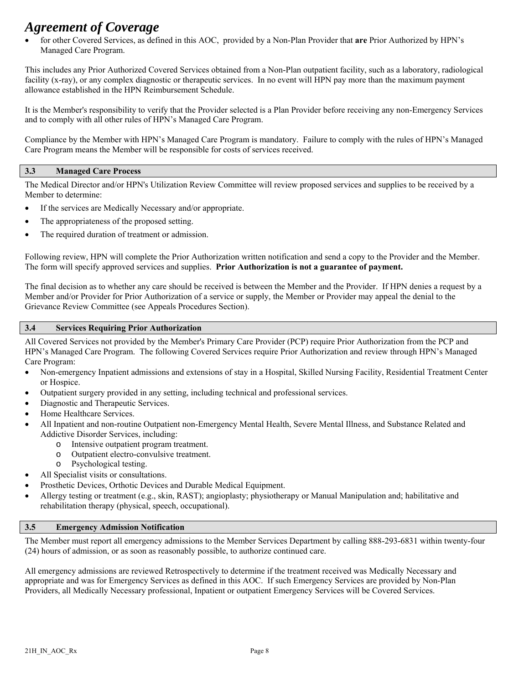for other Covered Services, as defined in this AOC, provided by a Non-Plan Provider that **are** Prior Authorized by HPN's Managed Care Program.

This includes any Prior Authorized Covered Services obtained from a Non-Plan outpatient facility, such as a laboratory, radiological facility (x-ray), or any complex diagnostic or therapeutic services. In no event will HPN pay more than the maximum payment allowance established in the HPN Reimbursement Schedule.

It is the Member's responsibility to verify that the Provider selected is a Plan Provider before receiving any non-Emergency Services and to comply with all other rules of HPN's Managed Care Program.

Compliance by the Member with HPN's Managed Care Program is mandatory. Failure to comply with the rules of HPN's Managed Care Program means the Member will be responsible for costs of services received.

### **3.3 Managed Care Process**

The Medical Director and/or HPN's Utilization Review Committee will review proposed services and supplies to be received by a Member to determine:

- If the services are Medically Necessary and/or appropriate.
- The appropriateness of the proposed setting.
- The required duration of treatment or admission.

Following review, HPN will complete the Prior Authorization written notification and send a copy to the Provider and the Member. The form will specify approved services and supplies. **Prior Authorization is not a guarantee of payment.** 

The final decision as to whether any care should be received is between the Member and the Provider. If HPN denies a request by a Member and/or Provider for Prior Authorization of a service or supply, the Member or Provider may appeal the denial to the Grievance Review Committee (see Appeals Procedures Section).

## **3.4 Services Requiring Prior Authorization**

All Covered Services not provided by the Member's Primary Care Provider (PCP) require Prior Authorization from the PCP and HPN's Managed Care Program. The following Covered Services require Prior Authorization and review through HPN's Managed Care Program:

- Non-emergency Inpatient admissions and extensions of stay in a Hospital, Skilled Nursing Facility, Residential Treatment Center or Hospice.
- Outpatient surgery provided in any setting, including technical and professional services.
- Diagnostic and Therapeutic Services.
- Home Healthcare Services.
- All Inpatient and non-routine Outpatient non-Emergency Mental Health, Severe Mental Illness, and Substance Related and Addictive Disorder Services, including:
	- o Intensive outpatient program treatment.
	- o Outpatient electro-convulsive treatment.
	- o Psychological testing.
- All Specialist visits or consultations.
- Prosthetic Devices, Orthotic Devices and Durable Medical Equipment.
- Allergy testing or treatment (e.g., skin, RAST); angioplasty; physiotherapy or Manual Manipulation and; habilitative and rehabilitation therapy (physical, speech, occupational).

## **3.5 Emergency Admission Notification**

The Member must report all emergency admissions to the Member Services Department by calling 888-293-6831 within twenty-four (24) hours of admission, or as soon as reasonably possible, to authorize continued care.

All emergency admissions are reviewed Retrospectively to determine if the treatment received was Medically Necessary and appropriate and was for Emergency Services as defined in this AOC. If such Emergency Services are provided by Non-Plan Providers, all Medically Necessary professional, Inpatient or outpatient Emergency Services will be Covered Services.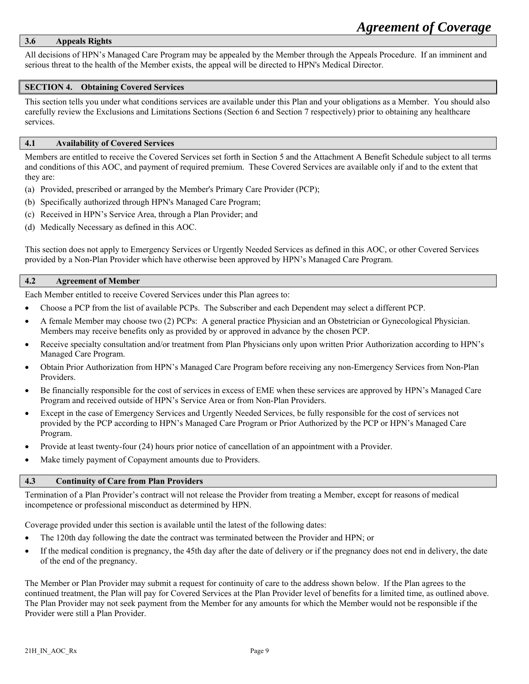# **3.6 Appeals Rights**

All decisions of HPN's Managed Care Program may be appealed by the Member through the Appeals Procedure. If an imminent and serious threat to the health of the Member exists, the appeal will be directed to HPN's Medical Director.

### **SECTION 4. Obtaining Covered Services**

This section tells you under what conditions services are available under this Plan and your obligations as a Member. You should also carefully review the Exclusions and Limitations Sections (Section 6 and Section 7 respectively) prior to obtaining any healthcare services.

#### **4.1 Availability of Covered Services**

Members are entitled to receive the Covered Services set forth in Section 5 and the Attachment A Benefit Schedule subject to all terms and conditions of this AOC, and payment of required premium. These Covered Services are available only if and to the extent that they are:

- (a) Provided, prescribed or arranged by the Member's Primary Care Provider (PCP);
- (b) Specifically authorized through HPN's Managed Care Program;
- (c) Received in HPN's Service Area, through a Plan Provider; and
- (d) Medically Necessary as defined in this AOC.

This section does not apply to Emergency Services or Urgently Needed Services as defined in this AOC, or other Covered Services provided by a Non-Plan Provider which have otherwise been approved by HPN's Managed Care Program.

#### **4.2 Agreement of Member**

Each Member entitled to receive Covered Services under this Plan agrees to:

- Choose a PCP from the list of available PCPs. The Subscriber and each Dependent may select a different PCP.
- A female Member may choose two (2) PCPs: A general practice Physician and an Obstetrician or Gynecological Physician. Members may receive benefits only as provided by or approved in advance by the chosen PCP.
- Receive specialty consultation and/or treatment from Plan Physicians only upon written Prior Authorization according to HPN's Managed Care Program.
- Obtain Prior Authorization from HPN's Managed Care Program before receiving any non-Emergency Services from Non-Plan Providers.
- Be financially responsible for the cost of services in excess of EME when these services are approved by HPN's Managed Care Program and received outside of HPN's Service Area or from Non-Plan Providers.
- Except in the case of Emergency Services and Urgently Needed Services, be fully responsible for the cost of services not provided by the PCP according to HPN's Managed Care Program or Prior Authorized by the PCP or HPN's Managed Care Program.
- Provide at least twenty-four (24) hours prior notice of cancellation of an appointment with a Provider.
- Make timely payment of Copayment amounts due to Providers.

## **4.3 Continuity of Care from Plan Providers**

Termination of a Plan Provider's contract will not release the Provider from treating a Member, except for reasons of medical incompetence or professional misconduct as determined by HPN.

Coverage provided under this section is available until the latest of the following dates:

- The 120th day following the date the contract was terminated between the Provider and HPN; or
- If the medical condition is pregnancy, the 45th day after the date of delivery or if the pregnancy does not end in delivery, the date of the end of the pregnancy.

The Member or Plan Provider may submit a request for continuity of care to the address shown below. If the Plan agrees to the continued treatment, the Plan will pay for Covered Services at the Plan Provider level of benefits for a limited time, as outlined above. The Plan Provider may not seek payment from the Member for any amounts for which the Member would not be responsible if the Provider were still a Plan Provider.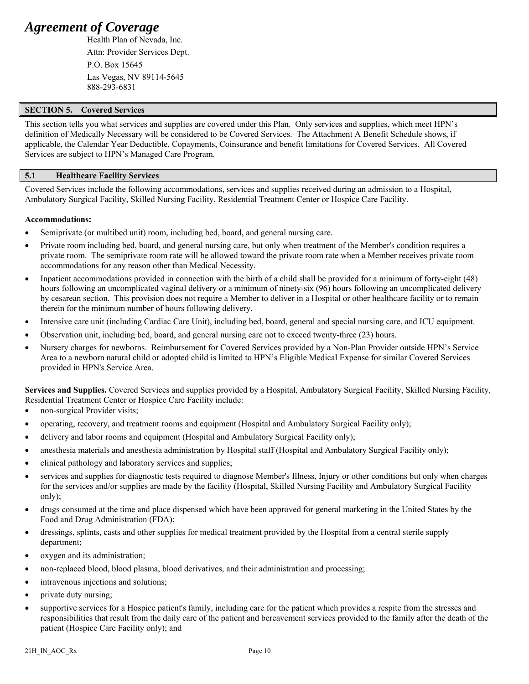Health Plan of Nevada, Inc. Attn: Provider Services Dept. P.O. Box 15645 Las Vegas, NV 89114-5645 888-293-6831

## **SECTION 5. Covered Services**

This section tells you what services and supplies are covered under this Plan. Only services and supplies, which meet HPN's definition of Medically Necessary will be considered to be Covered Services. The Attachment A Benefit Schedule shows, if applicable, the Calendar Year Deductible, Copayments, Coinsurance and benefit limitations for Covered Services. All Covered Services are subject to HPN's Managed Care Program.

### **5.1 Healthcare Facility Services**

Covered Services include the following accommodations, services and supplies received during an admission to a Hospital, Ambulatory Surgical Facility, Skilled Nursing Facility, Residential Treatment Center or Hospice Care Facility.

#### **Accommodations:**

- Semiprivate (or multibed unit) room, including bed, board, and general nursing care.
- Private room including bed, board, and general nursing care, but only when treatment of the Member's condition requires a private room. The semiprivate room rate will be allowed toward the private room rate when a Member receives private room accommodations for any reason other than Medical Necessity.
- Inpatient accommodations provided in connection with the birth of a child shall be provided for a minimum of forty-eight (48) hours following an uncomplicated vaginal delivery or a minimum of ninety-six (96) hours following an uncomplicated delivery by cesarean section. This provision does not require a Member to deliver in a Hospital or other healthcare facility or to remain therein for the minimum number of hours following delivery.
- Intensive care unit (including Cardiac Care Unit), including bed, board, general and special nursing care, and ICU equipment.
- Observation unit, including bed, board, and general nursing care not to exceed twenty-three (23) hours.
- Nursery charges for newborns. Reimbursement for Covered Services provided by a Non-Plan Provider outside HPN's Service Area to a newborn natural child or adopted child is limited to HPN's Eligible Medical Expense for similar Covered Services provided in HPN's Service Area.

**Services and Supplies.** Covered Services and supplies provided by a Hospital, Ambulatory Surgical Facility, Skilled Nursing Facility, Residential Treatment Center or Hospice Care Facility include:

- non-surgical Provider visits:
- operating, recovery, and treatment rooms and equipment (Hospital and Ambulatory Surgical Facility only);
- delivery and labor rooms and equipment (Hospital and Ambulatory Surgical Facility only);
- anesthesia materials and anesthesia administration by Hospital staff (Hospital and Ambulatory Surgical Facility only);
- clinical pathology and laboratory services and supplies;
- services and supplies for diagnostic tests required to diagnose Member's Illness, Injury or other conditions but only when charges for the services and/or supplies are made by the facility (Hospital, Skilled Nursing Facility and Ambulatory Surgical Facility only);
- drugs consumed at the time and place dispensed which have been approved for general marketing in the United States by the Food and Drug Administration (FDA);
- dressings, splints, casts and other supplies for medical treatment provided by the Hospital from a central sterile supply department;
- oxygen and its administration;
- non-replaced blood, blood plasma, blood derivatives, and their administration and processing;
- intravenous injections and solutions;
- private duty nursing;
- supportive services for a Hospice patient's family, including care for the patient which provides a respite from the stresses and responsibilities that result from the daily care of the patient and bereavement services provided to the family after the death of the patient (Hospice Care Facility only); and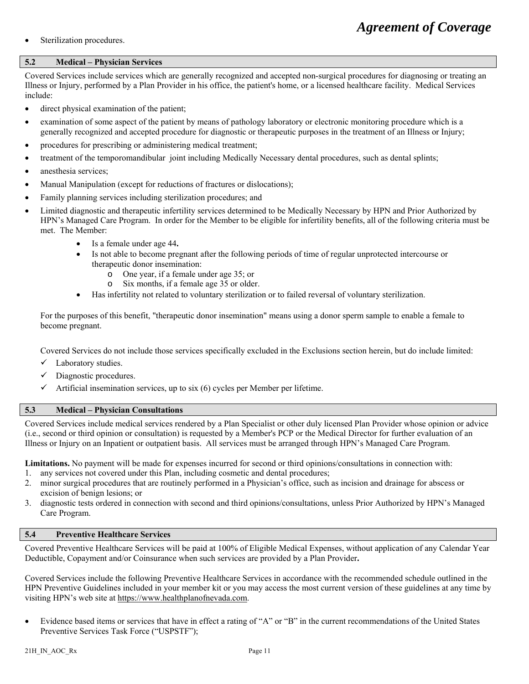Sterilization procedures.

#### **5.2 Medical – Physician Services**

Covered Services include services which are generally recognized and accepted non-surgical procedures for diagnosing or treating an Illness or Injury, performed by a Plan Provider in his office, the patient's home, or a licensed healthcare facility. Medical Services include:

- direct physical examination of the patient;
- examination of some aspect of the patient by means of pathology laboratory or electronic monitoring procedure which is a generally recognized and accepted procedure for diagnostic or therapeutic purposes in the treatment of an Illness or Injury;
- procedures for prescribing or administering medical treatment;
- treatment of the temporomandibular joint including Medically Necessary dental procedures, such as dental splints;
- anesthesia services;
- Manual Manipulation (except for reductions of fractures or dislocations);
- Family planning services including sterilization procedures; and
- Limited diagnostic and therapeutic infertility services determined to be Medically Necessary by HPN and Prior Authorized by HPN's Managed Care Program. In order for the Member to be eligible for infertility benefits, all of the following criteria must be met. The Member:
	- Is a female under age 44**.**
	- Is not able to become pregnant after the following periods of time of regular unprotected intercourse or therapeutic donor insemination:
		- o One year, if a female under age 35; or
		- o Six months, if a female age 35 or older.
	- Has infertility not related to voluntary sterilization or to failed reversal of voluntary sterilization.

For the purposes of this benefit, "therapeutic donor insemination" means using a donor sperm sample to enable a female to become pregnant.

Covered Services do not include those services specifically excluded in the Exclusions section herein, but do include limited:

- $\checkmark$  Laboratory studies.
- $\checkmark$  Diagnostic procedures.
- Artificial insemination services, up to six (6) cycles per Member per lifetime.

### **5.3 Medical – Physician Consultations**

Covered Services include medical services rendered by a Plan Specialist or other duly licensed Plan Provider whose opinion or advice (i.e., second or third opinion or consultation) is requested by a Member's PCP or the Medical Director for further evaluation of an Illness or Injury on an Inpatient or outpatient basis. All services must be arranged through HPN's Managed Care Program.

**Limitations.** No payment will be made for expenses incurred for second or third opinions/consultations in connection with:

- 1. any services not covered under this Plan, including cosmetic and dental procedures;
- 2. minor surgical procedures that are routinely performed in a Physician's office, such as incision and drainage for abscess or excision of benign lesions; or
- 3. diagnostic tests ordered in connection with second and third opinions/consultations, unless Prior Authorized by HPN's Managed Care Program.

### **5.4 Preventive Healthcare Services**

Covered Preventive Healthcare Services will be paid at 100% of Eligible Medical Expenses, without application of any Calendar Year Deductible, Copayment and/or Coinsurance when such services are provided by a Plan Provider**.** 

Covered Services include the following Preventive Healthcare Services in accordance with the recommended schedule outlined in the HPN Preventive Guidelines included in your member kit or you may access the most current version of these guidelines at any time by visiting HPN's web site at https://www.healthplanofnevada.com.

 Evidence based items or services that have in effect a rating of "A" or "B" in the current recommendations of the United States Preventive Services Task Force ("USPSTF");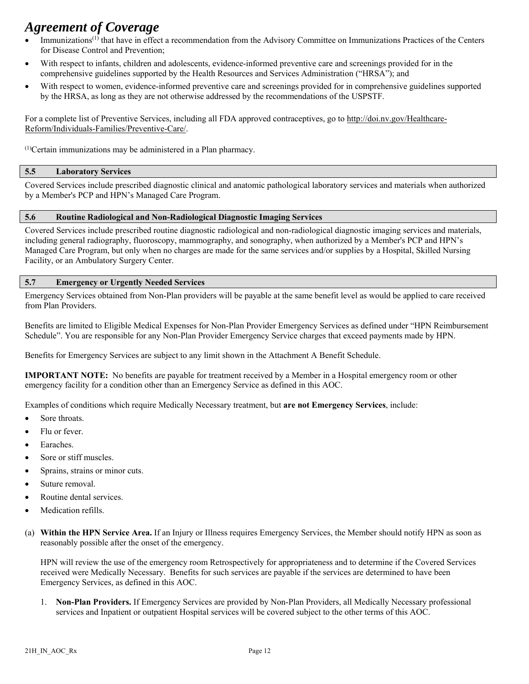- Immunizations(1) that have in effect a recommendation from the Advisory Committee on Immunizations Practices of the Centers for Disease Control and Prevention;
- With respect to infants, children and adolescents, evidence-informed preventive care and screenings provided for in the comprehensive guidelines supported by the Health Resources and Services Administration ("HRSA"); and
- With respect to women, evidence-informed preventive care and screenings provided for in comprehensive guidelines supported by the HRSA, as long as they are not otherwise addressed by the recommendations of the USPSTF.

For a complete list of Preventive Services, including all FDA approved contraceptives, go to http://doi.nv.gov/Healthcare-Reform/Individuals-Families/Preventive-Care/.

(1)Certain immunizations may be administered in a Plan pharmacy.

# **5.5 Laboratory Services**

Covered Services include prescribed diagnostic clinical and anatomic pathological laboratory services and materials when authorized by a Member's PCP and HPN's Managed Care Program.

# **5.6 Routine Radiological and Non-Radiological Diagnostic Imaging Services**

Covered Services include prescribed routine diagnostic radiological and non-radiological diagnostic imaging services and materials, including general radiography, fluoroscopy, mammography, and sonography, when authorized by a Member's PCP and HPN's Managed Care Program, but only when no charges are made for the same services and/or supplies by a Hospital, Skilled Nursing Facility, or an Ambulatory Surgery Center.

# **5.7 Emergency or Urgently Needed Services**

Emergency Services obtained from Non-Plan providers will be payable at the same benefit level as would be applied to care received from Plan Providers.

Benefits are limited to Eligible Medical Expenses for Non-Plan Provider Emergency Services as defined under "HPN Reimbursement Schedule". You are responsible for any Non-Plan Provider Emergency Service charges that exceed payments made by HPN.

Benefits for Emergency Services are subject to any limit shown in the Attachment A Benefit Schedule.

**IMPORTANT NOTE:** No benefits are payable for treatment received by a Member in a Hospital emergency room or other emergency facility for a condition other than an Emergency Service as defined in this AOC.

Examples of conditions which require Medically Necessary treatment, but **are not Emergency Services**, include:

- Sore throats.
- Flu or fever.
- Earaches.
- Sore or stiff muscles.
- Sprains, strains or minor cuts.
- Suture removal.
- Routine dental services.
- Medication refills.
- (a) **Within the HPN Service Area.** If an Injury or Illness requires Emergency Services, the Member should notify HPN as soon as reasonably possible after the onset of the emergency.

HPN will review the use of the emergency room Retrospectively for appropriateness and to determine if the Covered Services received were Medically Necessary. Benefits for such services are payable if the services are determined to have been Emergency Services, as defined in this AOC.

1. **Non-Plan Providers.** If Emergency Services are provided by Non-Plan Providers, all Medically Necessary professional services and Inpatient or outpatient Hospital services will be covered subject to the other terms of this AOC.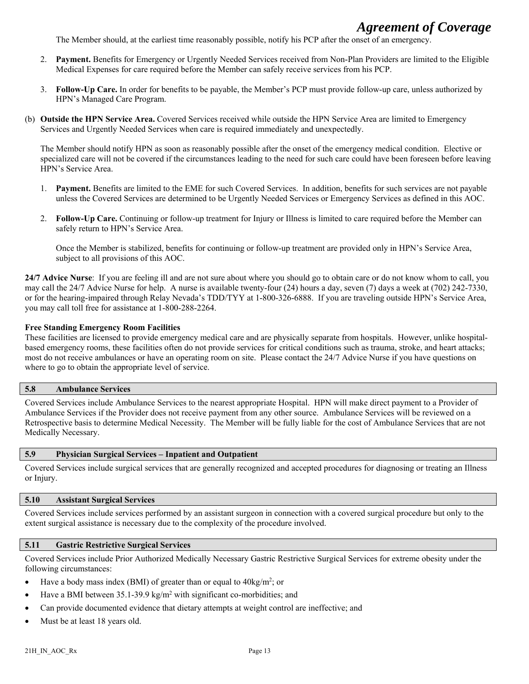The Member should, at the earliest time reasonably possible, notify his PCP after the onset of an emergency.

- 2. **Payment.** Benefits for Emergency or Urgently Needed Services received from Non-Plan Providers are limited to the Eligible Medical Expenses for care required before the Member can safely receive services from his PCP.
- 3. **Follow-Up Care.** In order for benefits to be payable, the Member's PCP must provide follow-up care, unless authorized by HPN's Managed Care Program.
- (b) **Outside the HPN Service Area.** Covered Services received while outside the HPN Service Area are limited to Emergency Services and Urgently Needed Services when care is required immediately and unexpectedly.

The Member should notify HPN as soon as reasonably possible after the onset of the emergency medical condition. Elective or specialized care will not be covered if the circumstances leading to the need for such care could have been foreseen before leaving HPN's Service Area.

- 1. **Payment.** Benefits are limited to the EME for such Covered Services. In addition, benefits for such services are not payable unless the Covered Services are determined to be Urgently Needed Services or Emergency Services as defined in this AOC.
- 2. **Follow-Up Care.** Continuing or follow-up treatment for Injury or Illness is limited to care required before the Member can safely return to HPN's Service Area.

Once the Member is stabilized, benefits for continuing or follow-up treatment are provided only in HPN's Service Area, subject to all provisions of this AOC.

**24/7 Advice Nurse**: If you are feeling ill and are not sure about where you should go to obtain care or do not know whom to call, you may call the 24/7 Advice Nurse for help. A nurse is available twenty-four (24) hours a day, seven (7) days a week at (702) 242-7330, or for the hearing-impaired through Relay Nevada's TDD/TYY at 1-800-326-6888. If you are traveling outside HPN's Service Area, you may call toll free for assistance at 1-800-288-2264.

#### **Free Standing Emergency Room Facilities**

These facilities are licensed to provide emergency medical care and are physically separate from hospitals. However, unlike hospitalbased emergency rooms, these facilities often do not provide services for critical conditions such as trauma, stroke, and heart attacks; most do not receive ambulances or have an operating room on site. Please contact the 24/7 Advice Nurse if you have questions on where to go to obtain the appropriate level of service.

### **5.8 Ambulance Services**

Covered Services include Ambulance Services to the nearest appropriate Hospital. HPN will make direct payment to a Provider of Ambulance Services if the Provider does not receive payment from any other source. Ambulance Services will be reviewed on a Retrospective basis to determine Medical Necessity. The Member will be fully liable for the cost of Ambulance Services that are not Medically Necessary.

#### **5.9 Physician Surgical Services – Inpatient and Outpatient**

Covered Services include surgical services that are generally recognized and accepted procedures for diagnosing or treating an Illness or Injury.

### **5.10 Assistant Surgical Services**

Covered Services include services performed by an assistant surgeon in connection with a covered surgical procedure but only to the extent surgical assistance is necessary due to the complexity of the procedure involved.

#### **5.11 Gastric Restrictive Surgical Services**

Covered Services include Prior Authorized Medically Necessary Gastric Restrictive Surgical Services for extreme obesity under the following circumstances:

- Have a body mass index (BMI) of greater than or equal to  $40\text{kg/m}^2$ ; or
- Have a BMI between  $35.1-39.9 \text{ kg/m}^2$  with significant co-morbidities; and
- Can provide documented evidence that dietary attempts at weight control are ineffective; and
- Must be at least 18 years old.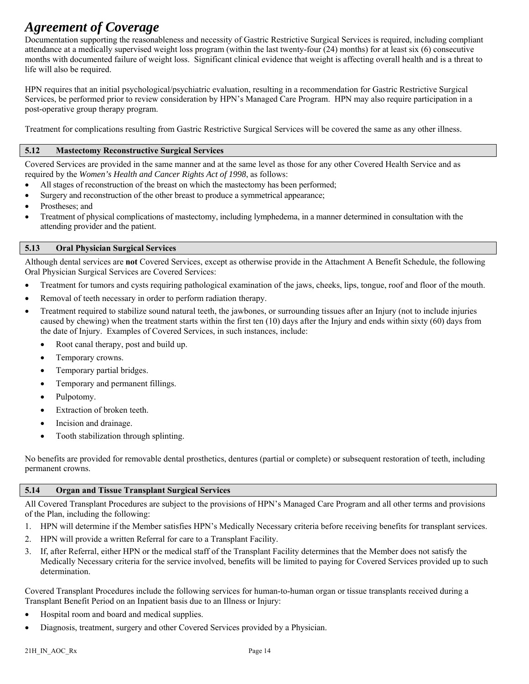Documentation supporting the reasonableness and necessity of Gastric Restrictive Surgical Services is required, including compliant attendance at a medically supervised weight loss program (within the last twenty-four (24) months) for at least six (6) consecutive months with documented failure of weight loss. Significant clinical evidence that weight is affecting overall health and is a threat to life will also be required.

HPN requires that an initial psychological/psychiatric evaluation, resulting in a recommendation for Gastric Restrictive Surgical Services, be performed prior to review consideration by HPN's Managed Care Program. HPN may also require participation in a post-operative group therapy program.

Treatment for complications resulting from Gastric Restrictive Surgical Services will be covered the same as any other illness.

# **5.12 Mastectomy Reconstructive Surgical Services**

Covered Services are provided in the same manner and at the same level as those for any other Covered Health Service and as required by the *Women's Health and Cancer Rights Act of 1998*, as follows:

- All stages of reconstruction of the breast on which the mastectomy has been performed;
- Surgery and reconstruction of the other breast to produce a symmetrical appearance;
- Prostheses; and
- Treatment of physical complications of mastectomy, including lymphedema, in a manner determined in consultation with the attending provider and the patient.

# **5.13 Oral Physician Surgical Services**

Although dental services are **not** Covered Services, except as otherwise provide in the Attachment A Benefit Schedule, the following Oral Physician Surgical Services are Covered Services:

- Treatment for tumors and cysts requiring pathological examination of the jaws, cheeks, lips, tongue, roof and floor of the mouth.
- Removal of teeth necessary in order to perform radiation therapy.
- Treatment required to stabilize sound natural teeth, the jawbones, or surrounding tissues after an Injury (not to include injuries caused by chewing) when the treatment starts within the first ten (10) days after the Injury and ends within sixty (60) days from the date of Injury. Examples of Covered Services, in such instances, include:
	- Root canal therapy, post and build up.
	- Temporary crowns.
	- Temporary partial bridges.
	- Temporary and permanent fillings.
	- Pulpotomy.
	- Extraction of broken teeth.
	- Incision and drainage.
	- Tooth stabilization through splinting.

No benefits are provided for removable dental prosthetics, dentures (partial or complete) or subsequent restoration of teeth, including permanent crowns.

## **5.14 Organ and Tissue Transplant Surgical Services**

All Covered Transplant Procedures are subject to the provisions of HPN's Managed Care Program and all other terms and provisions of the Plan, including the following:

- 1. HPN will determine if the Member satisfies HPN's Medically Necessary criteria before receiving benefits for transplant services.
- 2. HPN will provide a written Referral for care to a Transplant Facility.
- 3. If, after Referral, either HPN or the medical staff of the Transplant Facility determines that the Member does not satisfy the Medically Necessary criteria for the service involved, benefits will be limited to paying for Covered Services provided up to such determination.

Covered Transplant Procedures include the following services for human-to-human organ or tissue transplants received during a Transplant Benefit Period on an Inpatient basis due to an Illness or Injury:

- Hospital room and board and medical supplies.
- Diagnosis, treatment, surgery and other Covered Services provided by a Physician.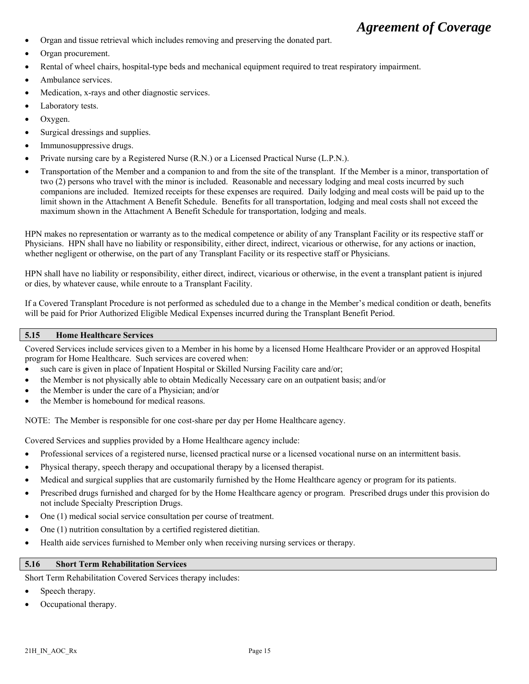- Organ and tissue retrieval which includes removing and preserving the donated part.
- Organ procurement.
- Rental of wheel chairs, hospital-type beds and mechanical equipment required to treat respiratory impairment.
- Ambulance services.
- Medication, x-rays and other diagnostic services.
- Laboratory tests.
- Oxygen.
- Surgical dressings and supplies.
- Immunosuppressive drugs.
- Private nursing care by a Registered Nurse (R.N.) or a Licensed Practical Nurse (L.P.N.).
- Transportation of the Member and a companion to and from the site of the transplant. If the Member is a minor, transportation of two (2) persons who travel with the minor is included. Reasonable and necessary lodging and meal costs incurred by such companions are included. Itemized receipts for these expenses are required. Daily lodging and meal costs will be paid up to the limit shown in the Attachment A Benefit Schedule. Benefits for all transportation, lodging and meal costs shall not exceed the maximum shown in the Attachment A Benefit Schedule for transportation, lodging and meals.

HPN makes no representation or warranty as to the medical competence or ability of any Transplant Facility or its respective staff or Physicians. HPN shall have no liability or responsibility, either direct, indirect, vicarious or otherwise, for any actions or inaction, whether negligent or otherwise, on the part of any Transplant Facility or its respective staff or Physicians.

HPN shall have no liability or responsibility, either direct, indirect, vicarious or otherwise, in the event a transplant patient is injured or dies, by whatever cause, while enroute to a Transplant Facility.

If a Covered Transplant Procedure is not performed as scheduled due to a change in the Member's medical condition or death, benefits will be paid for Prior Authorized Eligible Medical Expenses incurred during the Transplant Benefit Period.

#### **5.15 Home Healthcare Services**

Covered Services include services given to a Member in his home by a licensed Home Healthcare Provider or an approved Hospital program for Home Healthcare. Such services are covered when:

- such care is given in place of Inpatient Hospital or Skilled Nursing Facility care and/or;
- the Member is not physically able to obtain Medically Necessary care on an outpatient basis; and/or
- the Member is under the care of a Physician; and/or
- the Member is homebound for medical reasons.

NOTE: The Member is responsible for one cost-share per day per Home Healthcare agency.

Covered Services and supplies provided by a Home Healthcare agency include:

- Professional services of a registered nurse, licensed practical nurse or a licensed vocational nurse on an intermittent basis.
- Physical therapy, speech therapy and occupational therapy by a licensed therapist.
- Medical and surgical supplies that are customarily furnished by the Home Healthcare agency or program for its patients.
- Prescribed drugs furnished and charged for by the Home Healthcare agency or program. Prescribed drugs under this provision do not include Specialty Prescription Drugs.
- One (1) medical social service consultation per course of treatment.
- One (1) nutrition consultation by a certified registered dietitian.
- Health aide services furnished to Member only when receiving nursing services or therapy.

# **5.16 Short Term Rehabilitation Services**

Short Term Rehabilitation Covered Services therapy includes:

- Speech therapy.
- Occupational therapy.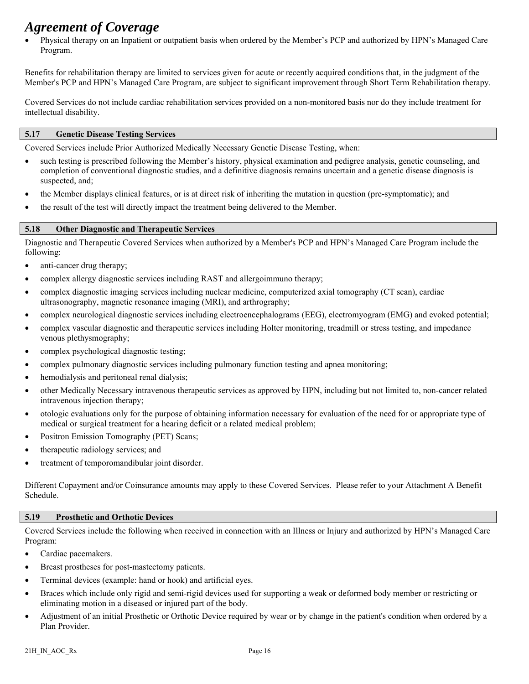Physical therapy on an Inpatient or outpatient basis when ordered by the Member's PCP and authorized by HPN's Managed Care Program.

Benefits for rehabilitation therapy are limited to services given for acute or recently acquired conditions that, in the judgment of the Member's PCP and HPN's Managed Care Program, are subject to significant improvement through Short Term Rehabilitation therapy.

Covered Services do not include cardiac rehabilitation services provided on a non-monitored basis nor do they include treatment for intellectual disability.

### **5.17 Genetic Disease Testing Services**

Covered Services include Prior Authorized Medically Necessary Genetic Disease Testing, when:

- such testing is prescribed following the Member's history, physical examination and pedigree analysis, genetic counseling, and completion of conventional diagnostic studies, and a definitive diagnosis remains uncertain and a genetic disease diagnosis is suspected, and;
- the Member displays clinical features, or is at direct risk of inheriting the mutation in question (pre-symptomatic); and
- the result of the test will directly impact the treatment being delivered to the Member.

#### **5.18 Other Diagnostic and Therapeutic Services**

Diagnostic and Therapeutic Covered Services when authorized by a Member's PCP and HPN's Managed Care Program include the following:

- anti-cancer drug therapy;
- complex allergy diagnostic services including RAST and allergoimmuno therapy;
- complex diagnostic imaging services including nuclear medicine, computerized axial tomography (CT scan), cardiac ultrasonography, magnetic resonance imaging (MRI), and arthrography;
- complex neurological diagnostic services including electroencephalograms (EEG), electromyogram (EMG) and evoked potential;
- complex vascular diagnostic and therapeutic services including Holter monitoring, treadmill or stress testing, and impedance venous plethysmography;
- complex psychological diagnostic testing;
- complex pulmonary diagnostic services including pulmonary function testing and apnea monitoring;
- hemodialysis and peritoneal renal dialysis;
- other Medically Necessary intravenous therapeutic services as approved by HPN, including but not limited to, non-cancer related intravenous injection therapy;
- otologic evaluations only for the purpose of obtaining information necessary for evaluation of the need for or appropriate type of medical or surgical treatment for a hearing deficit or a related medical problem;
- Positron Emission Tomography (PET) Scans;
- therapeutic radiology services; and
- treatment of temporomandibular joint disorder.

Different Copayment and/or Coinsurance amounts may apply to these Covered Services. Please refer to your Attachment A Benefit Schedule.

#### **5.19 Prosthetic and Orthotic Devices**

Covered Services include the following when received in connection with an Illness or Injury and authorized by HPN's Managed Care Program:

- Cardiac pacemakers.
- Breast prostheses for post-mastectomy patients.
- Terminal devices (example: hand or hook) and artificial eyes.
- Braces which include only rigid and semi-rigid devices used for supporting a weak or deformed body member or restricting or eliminating motion in a diseased or injured part of the body.
- Adjustment of an initial Prosthetic or Orthotic Device required by wear or by change in the patient's condition when ordered by a Plan Provider.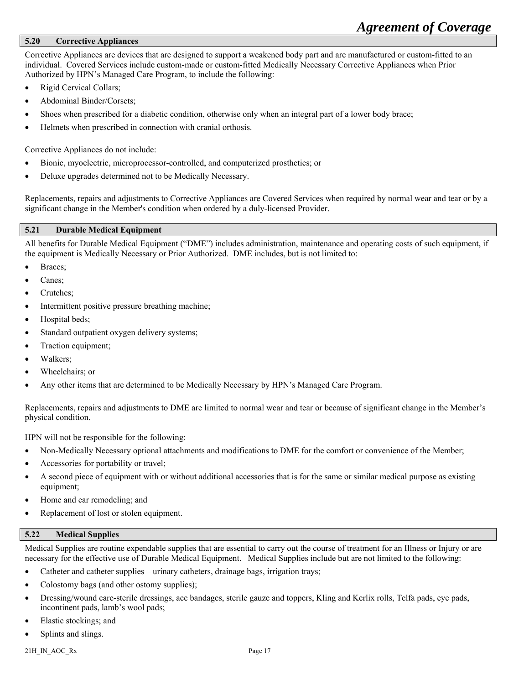# **5.20 Corrective Appliances**

Corrective Appliances are devices that are designed to support a weakened body part and are manufactured or custom-fitted to an individual. Covered Services include custom-made or custom-fitted Medically Necessary Corrective Appliances when Prior Authorized by HPN's Managed Care Program, to include the following:

- Rigid Cervical Collars;
- Abdominal Binder/Corsets;
- Shoes when prescribed for a diabetic condition, otherwise only when an integral part of a lower body brace;
- Helmets when prescribed in connection with cranial orthosis.

Corrective Appliances do not include:

- Bionic, myoelectric, microprocessor-controlled, and computerized prosthetics; or
- Deluxe upgrades determined not to be Medically Necessary.

Replacements, repairs and adjustments to Corrective Appliances are Covered Services when required by normal wear and tear or by a significant change in the Member's condition when ordered by a duly-licensed Provider.

#### **5.21 Durable Medical Equipment**

All benefits for Durable Medical Equipment ("DME") includes administration, maintenance and operating costs of such equipment, if the equipment is Medically Necessary or Prior Authorized. DME includes, but is not limited to:

- Braces;
- Canes;
- Crutches;
- Intermittent positive pressure breathing machine;
- Hospital beds;
- Standard outpatient oxygen delivery systems;
- Traction equipment;
- Walkers;
- Wheelchairs; or
- Any other items that are determined to be Medically Necessary by HPN's Managed Care Program.

Replacements, repairs and adjustments to DME are limited to normal wear and tear or because of significant change in the Member's physical condition.

HPN will not be responsible for the following:

- Non-Medically Necessary optional attachments and modifications to DME for the comfort or convenience of the Member;
- Accessories for portability or travel;
- A second piece of equipment with or without additional accessories that is for the same or similar medical purpose as existing equipment;
- Home and car remodeling; and
- Replacement of lost or stolen equipment.

# **5.22 Medical Supplies**

Medical Supplies are routine expendable supplies that are essential to carry out the course of treatment for an Illness or Injury or are necessary for the effective use of Durable Medical Equipment. Medical Supplies include but are not limited to the following:

- Catheter and catheter supplies urinary catheters, drainage bags, irrigation trays;
- Colostomy bags (and other ostomy supplies);
- Dressing/wound care-sterile dressings, ace bandages, sterile gauze and toppers, Kling and Kerlix rolls, Telfa pads, eye pads, incontinent pads, lamb's wool pads;
- Elastic stockings; and
- Splints and slings.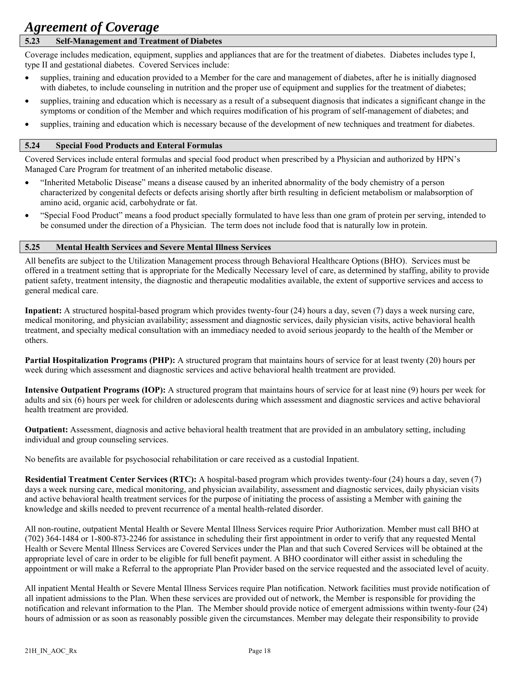# **5.23 Self-Management and Treatment of Diabetes**

Coverage includes medication, equipment, supplies and appliances that are for the treatment of diabetes. Diabetes includes type I, type II and gestational diabetes. Covered Services include:

- supplies, training and education provided to a Member for the care and management of diabetes, after he is initially diagnosed with diabetes, to include counseling in nutrition and the proper use of equipment and supplies for the treatment of diabetes;
- supplies, training and education which is necessary as a result of a subsequent diagnosis that indicates a significant change in the symptoms or condition of the Member and which requires modification of his program of self-management of diabetes; and
- supplies, training and education which is necessary because of the development of new techniques and treatment for diabetes.

### **5.24 Special Food Products and Enteral Formulas**

Covered Services include enteral formulas and special food product when prescribed by a Physician and authorized by HPN's Managed Care Program for treatment of an inherited metabolic disease.

- "Inherited Metabolic Disease" means a disease caused by an inherited abnormality of the body chemistry of a person characterized by congenital defects or defects arising shortly after birth resulting in deficient metabolism or malabsorption of amino acid, organic acid, carbohydrate or fat.
- "Special Food Product" means a food product specially formulated to have less than one gram of protein per serving, intended to be consumed under the direction of a Physician. The term does not include food that is naturally low in protein.

#### **5.25 Mental Health Services and Severe Mental Illness Services**

All benefits are subject to the Utilization Management process through Behavioral Healthcare Options (BHO). Services must be offered in a treatment setting that is appropriate for the Medically Necessary level of care, as determined by staffing, ability to provide patient safety, treatment intensity, the diagnostic and therapeutic modalities available, the extent of supportive services and access to general medical care.

**Inpatient:** A structured hospital-based program which provides twenty-four (24) hours a day, seven (7) days a week nursing care, medical monitoring, and physician availability; assessment and diagnostic services, daily physician visits, active behavioral health treatment, and specialty medical consultation with an immediacy needed to avoid serious jeopardy to the health of the Member or others.

**Partial Hospitalization Programs (PHP):** A structured program that maintains hours of service for at least twenty (20) hours per week during which assessment and diagnostic services and active behavioral health treatment are provided.

**Intensive Outpatient Programs (IOP):** A structured program that maintains hours of service for at least nine (9) hours per week for adults and six (6) hours per week for children or adolescents during which assessment and diagnostic services and active behavioral health treatment are provided.

**Outpatient:** Assessment, diagnosis and active behavioral health treatment that are provided in an ambulatory setting, including individual and group counseling services.

No benefits are available for psychosocial rehabilitation or care received as a custodial Inpatient.

**Residential Treatment Center Services (RTC):** A hospital-based program which provides twenty-four (24) hours a day, seven (7) days a week nursing care, medical monitoring, and physician availability, assessment and diagnostic services, daily physician visits and active behavioral health treatment services for the purpose of initiating the process of assisting a Member with gaining the knowledge and skills needed to prevent recurrence of a mental health-related disorder.

All non-routine, outpatient Mental Health or Severe Mental Illness Services require Prior Authorization. Member must call BHO at (702) 364-1484 or 1-800-873-2246 for assistance in scheduling their first appointment in order to verify that any requested Mental Health or Severe Mental Illness Services are Covered Services under the Plan and that such Covered Services will be obtained at the appropriate level of care in order to be eligible for full benefit payment. A BHO coordinator will either assist in scheduling the appointment or will make a Referral to the appropriate Plan Provider based on the service requested and the associated level of acuity.

All inpatient Mental Health or Severe Mental Illness Services require Plan notification. Network facilities must provide notification of all inpatient admissions to the Plan. When these services are provided out of network, the Member is responsible for providing the notification and relevant information to the Plan. The Member should provide notice of emergent admissions within twenty-four (24) hours of admission or as soon as reasonably possible given the circumstances. Member may delegate their responsibility to provide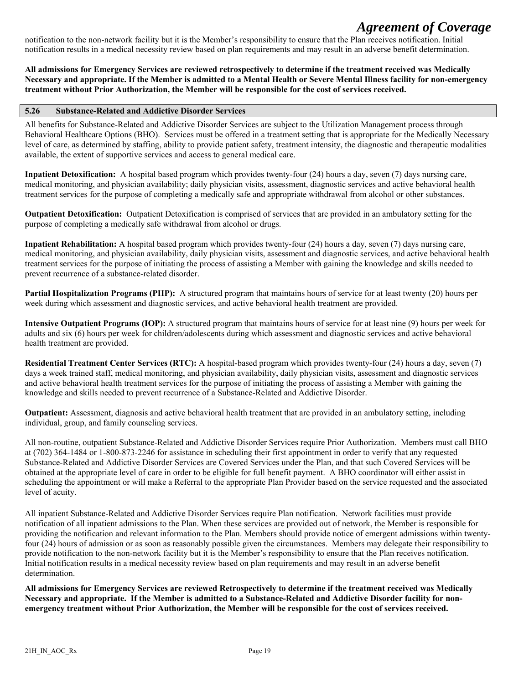notification to the non-network facility but it is the Member's responsibility to ensure that the Plan receives notification. Initial notification results in a medical necessity review based on plan requirements and may result in an adverse benefit determination.

**All admissions for Emergency Services are reviewed retrospectively to determine if the treatment received was Medically Necessary and appropriate. If the Member is admitted to a Mental Health or Severe Mental Illness facility for non-emergency treatment without Prior Authorization, the Member will be responsible for the cost of services received.**

# **5.26 Substance-Related and Addictive Disorder Services**

All benefits for Substance-Related and Addictive Disorder Services are subject to the Utilization Management process through Behavioral Healthcare Options (BHO). Services must be offered in a treatment setting that is appropriate for the Medically Necessary level of care, as determined by staffing, ability to provide patient safety, treatment intensity, the diagnostic and therapeutic modalities available, the extent of supportive services and access to general medical care.

**Inpatient Detoxification:** A hospital based program which provides twenty-four (24) hours a day, seven (7) days nursing care, medical monitoring, and physician availability; daily physician visits, assessment, diagnostic services and active behavioral health treatment services for the purpose of completing a medically safe and appropriate withdrawal from alcohol or other substances.

**Outpatient Detoxification:** Outpatient Detoxification is comprised of services that are provided in an ambulatory setting for the purpose of completing a medically safe withdrawal from alcohol or drugs.

**Inpatient Rehabilitation:** A hospital based program which provides twenty-four (24) hours a day, seven (7) days nursing care, medical monitoring, and physician availability, daily physician visits, assessment and diagnostic services, and active behavioral health treatment services for the purpose of initiating the process of assisting a Member with gaining the knowledge and skills needed to prevent recurrence of a substance-related disorder.

**Partial Hospitalization Programs (PHP):** A structured program that maintains hours of service for at least twenty (20) hours per week during which assessment and diagnostic services, and active behavioral health treatment are provided.

**Intensive Outpatient Programs (IOP):** A structured program that maintains hours of service for at least nine (9) hours per week for adults and six (6) hours per week for children/adolescents during which assessment and diagnostic services and active behavioral health treatment are provided.

**Residential Treatment Center Services (RTC):** A hospital-based program which provides twenty-four (24) hours a day, seven (7) days a week trained staff, medical monitoring, and physician availability, daily physician visits, assessment and diagnostic services and active behavioral health treatment services for the purpose of initiating the process of assisting a Member with gaining the knowledge and skills needed to prevent recurrence of a Substance-Related and Addictive Disorder.

**Outpatient:** Assessment, diagnosis and active behavioral health treatment that are provided in an ambulatory setting, including individual, group, and family counseling services.

All non-routine, outpatient Substance-Related and Addictive Disorder Services require Prior Authorization. Members must call BHO at (702) 364-1484 or 1-800-873-2246 for assistance in scheduling their first appointment in order to verify that any requested Substance-Related and Addictive Disorder Services are Covered Services under the Plan, and that such Covered Services will be obtained at the appropriate level of care in order to be eligible for full benefit payment. A BHO coordinator will either assist in scheduling the appointment or will make a Referral to the appropriate Plan Provider based on the service requested and the associated level of acuity.

All inpatient Substance-Related and Addictive Disorder Services require Plan notification. Network facilities must provide notification of all inpatient admissions to the Plan. When these services are provided out of network, the Member is responsible for providing the notification and relevant information to the Plan. Members should provide notice of emergent admissions within twentyfour (24) hours of admission or as soon as reasonably possible given the circumstances. Members may delegate their responsibility to provide notification to the non-network facility but it is the Member's responsibility to ensure that the Plan receives notification. Initial notification results in a medical necessity review based on plan requirements and may result in an adverse benefit determination.

**All admissions for Emergency Services are reviewed Retrospectively to determine if the treatment received was Medically Necessary and appropriate. If the Member is admitted to a Substance-Related and Addictive Disorder facility for nonemergency treatment without Prior Authorization, the Member will be responsible for the cost of services received.**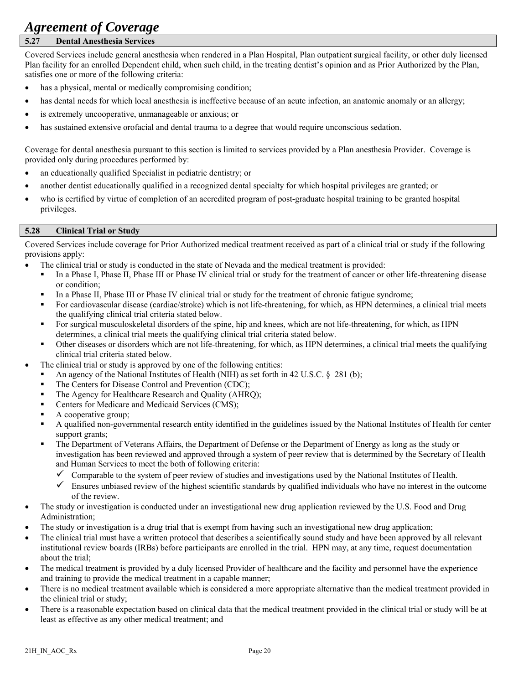# **5.27 Dental Anesthesia Services**

Covered Services include general anesthesia when rendered in a Plan Hospital, Plan outpatient surgical facility, or other duly licensed Plan facility for an enrolled Dependent child, when such child, in the treating dentist's opinion and as Prior Authorized by the Plan, satisfies one or more of the following criteria:

- has a physical, mental or medically compromising condition;
- has dental needs for which local anesthesia is ineffective because of an acute infection, an anatomic anomaly or an allergy;
- is extremely uncooperative, unmanageable or anxious; or
- has sustained extensive orofacial and dental trauma to a degree that would require unconscious sedation.

Coverage for dental anesthesia pursuant to this section is limited to services provided by a Plan anesthesia Provider. Coverage is provided only during procedures performed by:

- an educationally qualified Specialist in pediatric dentistry; or
- another dentist educationally qualified in a recognized dental specialty for which hospital privileges are granted; or
- who is certified by virtue of completion of an accredited program of post-graduate hospital training to be granted hospital privileges.

## **5.28 Clinical Trial or Study**

Covered Services include coverage for Prior Authorized medical treatment received as part of a clinical trial or study if the following provisions apply:

- The clinical trial or study is conducted in the state of Nevada and the medical treatment is provided:
	- In a Phase I, Phase II, Phase III or Phase IV clinical trial or study for the treatment of cancer or other life-threatening disease or condition;
	- In a Phase II, Phase III or Phase IV clinical trial or study for the treatment of chronic fatigue syndrome;
	- For cardiovascular disease (cardiac/stroke) which is not life-threatening, for which, as HPN determines, a clinical trial meets the qualifying clinical trial criteria stated below.
	- For surgical musculoskeletal disorders of the spine, hip and knees, which are not life-threatening, for which, as HPN determines, a clinical trial meets the qualifying clinical trial criteria stated below.
	- Other diseases or disorders which are not life-threatening, for which, as HPN determines, a clinical trial meets the qualifying clinical trial criteria stated below.
- The clinical trial or study is approved by one of the following entities:
	- An agency of the National Institutes of Health (NIH) as set forth in 42 U.S.C. § 281 (b);
	- The Centers for Disease Control and Prevention (CDC);
	- The Agency for Healthcare Research and Quality (AHRQ);
	- Centers for Medicare and Medicaid Services (CMS);
	- A cooperative group;
	- A qualified non-governmental research entity identified in the guidelines issued by the National Institutes of Health for center support grants;
	- The Department of Veterans Affairs, the Department of Defense or the Department of Energy as long as the study or investigation has been reviewed and approved through a system of peer review that is determined by the Secretary of Health and Human Services to meet the both of following criteria:
		- Comparable to the system of peer review of studies and investigations used by the National Institutes of Health.
		- $\checkmark$  Ensures unbiased review of the highest scientific standards by qualified individuals who have no interest in the outcome of the review.
- The study or investigation is conducted under an investigational new drug application reviewed by the U.S. Food and Drug Administration;
- The study or investigation is a drug trial that is exempt from having such an investigational new drug application;
- The clinical trial must have a written protocol that describes a scientifically sound study and have been approved by all relevant institutional review boards (IRBs) before participants are enrolled in the trial. HPN may, at any time, request documentation about the trial;
- The medical treatment is provided by a duly licensed Provider of healthcare and the facility and personnel have the experience and training to provide the medical treatment in a capable manner;
- There is no medical treatment available which is considered a more appropriate alternative than the medical treatment provided in the clinical trial or study;
- There is a reasonable expectation based on clinical data that the medical treatment provided in the clinical trial or study will be at least as effective as any other medical treatment; and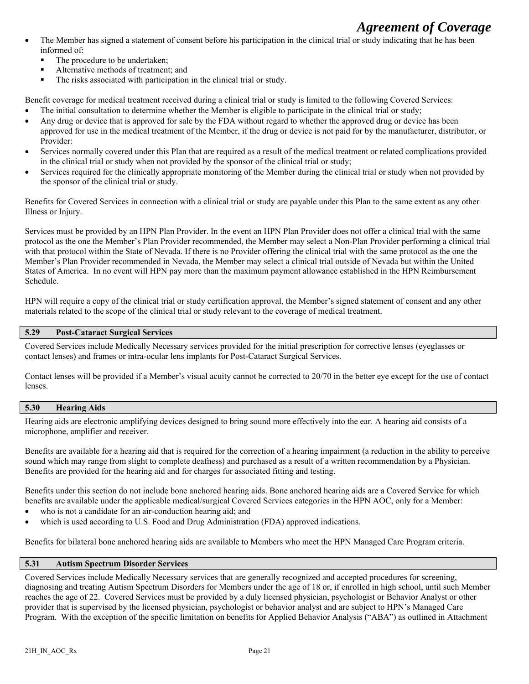- The Member has signed a statement of consent before his participation in the clinical trial or study indicating that he has been informed of:
	- The procedure to be undertaken:
	- Alternative methods of treatment; and
	- The risks associated with participation in the clinical trial or study.

Benefit coverage for medical treatment received during a clinical trial or study is limited to the following Covered Services:

- The initial consultation to determine whether the Member is eligible to participate in the clinical trial or study;
- Any drug or device that is approved for sale by the FDA without regard to whether the approved drug or device has been approved for use in the medical treatment of the Member, if the drug or device is not paid for by the manufacturer, distributor, or Provider:
- Services normally covered under this Plan that are required as a result of the medical treatment or related complications provided in the clinical trial or study when not provided by the sponsor of the clinical trial or study;
- Services required for the clinically appropriate monitoring of the Member during the clinical trial or study when not provided by the sponsor of the clinical trial or study.

Benefits for Covered Services in connection with a clinical trial or study are payable under this Plan to the same extent as any other Illness or Injury.

Services must be provided by an HPN Plan Provider. In the event an HPN Plan Provider does not offer a clinical trial with the same protocol as the one the Member's Plan Provider recommended, the Member may select a Non-Plan Provider performing a clinical trial with that protocol within the State of Nevada. If there is no Provider offering the clinical trial with the same protocol as the one the Member's Plan Provider recommended in Nevada, the Member may select a clinical trial outside of Nevada but within the United States of America. In no event will HPN pay more than the maximum payment allowance established in the HPN Reimbursement Schedule.

HPN will require a copy of the clinical trial or study certification approval, the Member's signed statement of consent and any other materials related to the scope of the clinical trial or study relevant to the coverage of medical treatment.

## **5.29 Post-Cataract Surgical Services**

Covered Services include Medically Necessary services provided for the initial prescription for corrective lenses (eyeglasses or contact lenses) and frames or intra-ocular lens implants for Post-Cataract Surgical Services.

Contact lenses will be provided if a Member's visual acuity cannot be corrected to 20/70 in the better eye except for the use of contact lenses.

# **5.30 Hearing Aids**

Hearing aids are electronic amplifying devices designed to bring sound more effectively into the ear. A hearing aid consists of a microphone, amplifier and receiver.

Benefits are available for a hearing aid that is required for the correction of a hearing impairment (a reduction in the ability to perceive sound which may range from slight to complete deafness) and purchased as a result of a written recommendation by a Physician. Benefits are provided for the hearing aid and for charges for associated fitting and testing.

Benefits under this section do not include bone anchored hearing aids. Bone anchored hearing aids are a Covered Service for which benefits are available under the applicable medical/surgical Covered Services categories in the HPN AOC, only for a Member:

- who is not a candidate for an air-conduction hearing aid; and
- which is used according to U.S. Food and Drug Administration (FDA) approved indications.

Benefits for bilateral bone anchored hearing aids are available to Members who meet the HPN Managed Care Program criteria.

## **5.31 Autism Spectrum Disorder Services**

Covered Services include Medically Necessary services that are generally recognized and accepted procedures for screening, diagnosing and treating Autism Spectrum Disorders for Members under the age of 18 or, if enrolled in high school, until such Member reaches the age of 22. Covered Services must be provided by a duly licensed physician, psychologist or Behavior Analyst or other provider that is supervised by the licensed physician, psychologist or behavior analyst and are subject to HPN's Managed Care Program. With the exception of the specific limitation on benefits for Applied Behavior Analysis ("ABA") as outlined in Attachment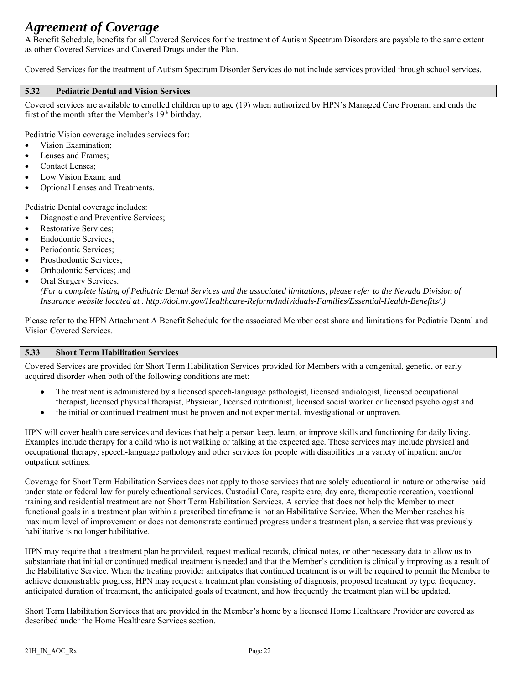A Benefit Schedule, benefits for all Covered Services for the treatment of Autism Spectrum Disorders are payable to the same extent as other Covered Services and Covered Drugs under the Plan.

Covered Services for the treatment of Autism Spectrum Disorder Services do not include services provided through school services.

### **5.32 Pediatric Dental and Vision Services**

Covered services are available to enrolled children up to age (19) when authorized by HPN's Managed Care Program and ends the first of the month after the Member's 19<sup>th</sup> birthday.

Pediatric Vision coverage includes services for:

- Vision Examination;
- Lenses and Frames;
- Contact Lenses;
- Low Vision Exam; and
- Optional Lenses and Treatments.

Pediatric Dental coverage includes:

- Diagnostic and Preventive Services;
- Restorative Services;
- Endodontic Services;
- Periodontic Services;
- Prosthodontic Services:
- Orthodontic Services; and
- Oral Surgery Services.

*(For a complete listing of Pediatric Dental Services and the associated limitations, please refer to the Nevada Division of Insurance website located at . http://doi.nv.gov/Healthcare-Reform/Individuals-Families/Essential-Health-Benefits/.)* 

Please refer to the HPN Attachment A Benefit Schedule for the associated Member cost share and limitations for Pediatric Dental and Vision Covered Services.

# **5.33 Short Term Habilitation Services**

Covered Services are provided for Short Term Habilitation Services provided for Members with a congenital, genetic, or early acquired disorder when both of the following conditions are met:

- The treatment is administered by a licensed speech-language pathologist, licensed audiologist, licensed occupational therapist, licensed physical therapist, Physician, licensed nutritionist, licensed social worker or licensed psychologist and
- the initial or continued treatment must be proven and not experimental, investigational or unproven.

HPN will cover health care services and devices that help a person keep, learn, or improve skills and functioning for daily living. Examples include therapy for a child who is not walking or talking at the expected age. These services may include physical and occupational therapy, speech-language pathology and other services for people with disabilities in a variety of inpatient and/or outpatient settings.

Coverage for Short Term Habilitation Services does not apply to those services that are solely educational in nature or otherwise paid under state or federal law for purely educational services. Custodial Care, respite care, day care, therapeutic recreation, vocational training and residential treatment are not Short Term Habilitation Services. A service that does not help the Member to meet functional goals in a treatment plan within a prescribed timeframe is not an Habilitative Service. When the Member reaches his maximum level of improvement or does not demonstrate continued progress under a treatment plan, a service that was previously habilitative is no longer habilitative.

HPN may require that a treatment plan be provided, request medical records, clinical notes, or other necessary data to allow us to substantiate that initial or continued medical treatment is needed and that the Member's condition is clinically improving as a result of the Habilitative Service. When the treating provider anticipates that continued treatment is or will be required to permit the Member to achieve demonstrable progress, HPN may request a treatment plan consisting of diagnosis, proposed treatment by type, frequency, anticipated duration of treatment, the anticipated goals of treatment, and how frequently the treatment plan will be updated.

Short Term Habilitation Services that are provided in the Member's home by a licensed Home Healthcare Provider are covered as described under the Home Healthcare Services section.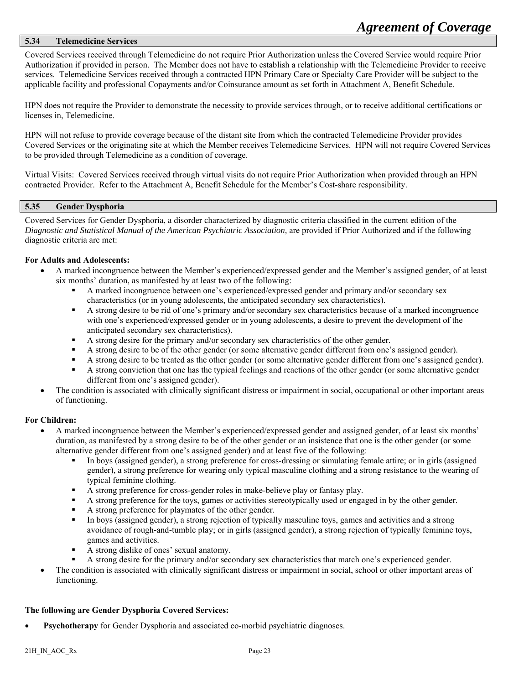#### **5.34 Telemedicine Services**

Covered Services received through Telemedicine do not require Prior Authorization unless the Covered Service would require Prior Authorization if provided in person. The Member does not have to establish a relationship with the Telemedicine Provider to receive services. Telemedicine Services received through a contracted HPN Primary Care or Specialty Care Provider will be subject to the applicable facility and professional Copayments and/or Coinsurance amount as set forth in Attachment A, Benefit Schedule.

HPN does not require the Provider to demonstrate the necessity to provide services through, or to receive additional certifications or licenses in, Telemedicine.

HPN will not refuse to provide coverage because of the distant site from which the contracted Telemedicine Provider provides Covered Services or the originating site at which the Member receives Telemedicine Services. HPN will not require Covered Services to be provided through Telemedicine as a condition of coverage.

Virtual Visits: Covered Services received through virtual visits do not require Prior Authorization when provided through an HPN contracted Provider. Refer to the Attachment A, Benefit Schedule for the Member's Cost-share responsibility.

### **5.35 Gender Dysphoria**

Covered Services for Gender Dysphoria, a disorder characterized by diagnostic criteria classified in the current edition of the *Diagnostic and Statistical Manual of the American Psychiatric Association,* are provided if Prior Authorized and if the following diagnostic criteria are met:

#### **For Adults and Adolescents:**

- A marked incongruence between the Member's experienced/expressed gender and the Member's assigned gender, of at least six months' duration, as manifested by at least two of the following:
	- A marked incongruence between one's experienced/expressed gender and primary and/or secondary sex characteristics (or in young adolescents, the anticipated secondary sex characteristics).
	- A strong desire to be rid of one's primary and/or secondary sex characteristics because of a marked incongruence with one's experienced/expressed gender or in young adolescents, a desire to prevent the development of the anticipated secondary sex characteristics).
	- A strong desire for the primary and/or secondary sex characteristics of the other gender.
	- A strong desire to be of the other gender (or some alternative gender different from one's assigned gender).
	- A strong desire to be treated as the other gender (or some alternative gender different from one's assigned gender).
	- A strong conviction that one has the typical feelings and reactions of the other gender (or some alternative gender different from one's assigned gender).
- The condition is associated with clinically significant distress or impairment in social, occupational or other important areas of functioning.

#### **For Children:**

- A marked incongruence between the Member's experienced/expressed gender and assigned gender, of at least six months' duration, as manifested by a strong desire to be of the other gender or an insistence that one is the other gender (or some alternative gender different from one's assigned gender) and at least five of the following:
	- In boys (assigned gender), a strong preference for cross-dressing or simulating female attire; or in girls (assigned gender), a strong preference for wearing only typical masculine clothing and a strong resistance to the wearing of typical feminine clothing.
	- A strong preference for cross-gender roles in make-believe play or fantasy play.
	- A strong preference for the toys, games or activities stereotypically used or engaged in by the other gender.
	- A strong preference for playmates of the other gender.
	- In boys (assigned gender), a strong rejection of typically masculine toys, games and activities and a strong avoidance of rough-and-tumble play; or in girls (assigned gender), a strong rejection of typically feminine toys, games and activities.
	- A strong dislike of ones' sexual anatomy.
	- A strong desire for the primary and/or secondary sex characteristics that match one's experienced gender.
- The condition is associated with clinically significant distress or impairment in social, school or other important areas of functioning.

#### **The following are Gender Dysphoria Covered Services:**

**Psychotherapy** for Gender Dysphoria and associated co-morbid psychiatric diagnoses.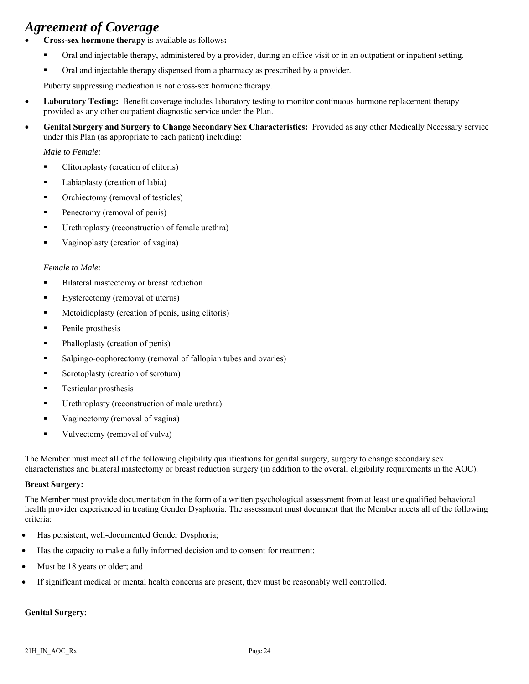- **Cross-sex hormone therapy** is available as follows**:**
	- Oral and injectable therapy, administered by a provider, during an office visit or in an outpatient or inpatient setting.
	- Oral and injectable therapy dispensed from a pharmacy as prescribed by a provider.

Puberty suppressing medication is not cross-sex hormone therapy.

- **Laboratory Testing:** Benefit coverage includes laboratory testing to monitor continuous hormone replacement therapy provided as any other outpatient diagnostic service under the Plan.
- **Genital Surgery and Surgery to Change Secondary Sex Characteristics:** Provided as any other Medically Necessary service under this Plan (as appropriate to each patient) including:

#### *Male to Female:*

- Clitoroplasty (creation of clitoris)
- Labiaplasty (creation of labia)
- Orchiectomy (removal of testicles)
- **Penectomy (removal of penis)**
- **Urethroplasty (reconstruction of female urethra)**
- Vaginoplasty (creation of vagina)

#### *Female to Male:*

- **Bilateral mastectomy or breast reduction**
- **Hysterectomy (removal of uterus)**
- Metoidioplasty (creation of penis, using clitoris)
- Penile prosthesis
- Phalloplasty (creation of penis)
- Salpingo-oophorectomy (removal of fallopian tubes and ovaries)
- Scrotoplasty (creation of scrotum)
- Testicular prosthesis
- Urethroplasty (reconstruction of male urethra)
- vaginectomy (removal of vagina)
- Vulvectomy (removal of vulva)

The Member must meet all of the following eligibility qualifications for genital surgery, surgery to change secondary sex characteristics and bilateral mastectomy or breast reduction surgery (in addition to the overall eligibility requirements in the AOC).

#### **Breast Surgery:**

The Member must provide documentation in the form of a written psychological assessment from at least one qualified behavioral health provider experienced in treating Gender Dysphoria. The assessment must document that the Member meets all of the following criteria:

- Has persistent, well-documented Gender Dysphoria;
- Has the capacity to make a fully informed decision and to consent for treatment;
- Must be 18 years or older; and
- If significant medical or mental health concerns are present, they must be reasonably well controlled.

# **Genital Surgery:**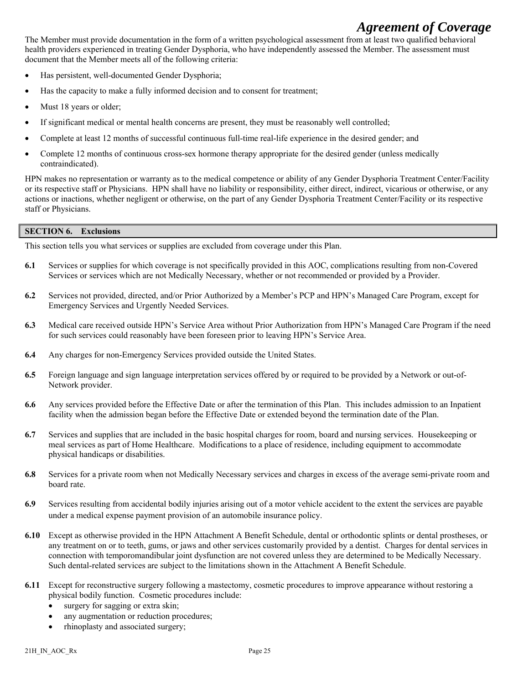The Member must provide documentation in the form of a written psychological assessment from at least two qualified behavioral health providers experienced in treating Gender Dysphoria, who have independently assessed the Member. The assessment must document that the Member meets all of the following criteria:

- Has persistent, well-documented Gender Dysphoria;
- Has the capacity to make a fully informed decision and to consent for treatment;
- Must 18 years or older;
- If significant medical or mental health concerns are present, they must be reasonably well controlled;
- Complete at least 12 months of successful continuous full-time real-life experience in the desired gender; and
- Complete 12 months of continuous cross-sex hormone therapy appropriate for the desired gender (unless medically contraindicated).

HPN makes no representation or warranty as to the medical competence or ability of any Gender Dysphoria Treatment Center/Facility or its respective staff or Physicians. HPN shall have no liability or responsibility, either direct, indirect, vicarious or otherwise, or any actions or inactions, whether negligent or otherwise, on the part of any Gender Dysphoria Treatment Center/Facility or its respective staff or Physicians.

#### **SECTION 6. Exclusions**

This section tells you what services or supplies are excluded from coverage under this Plan.

- **6.1** Services or supplies for which coverage is not specifically provided in this AOC, complications resulting from non-Covered Services or services which are not Medically Necessary, whether or not recommended or provided by a Provider.
- **6.2** Services not provided, directed, and/or Prior Authorized by a Member's PCP and HPN's Managed Care Program, except for Emergency Services and Urgently Needed Services.
- **6.3** Medical care received outside HPN's Service Area without Prior Authorization from HPN's Managed Care Program if the need for such services could reasonably have been foreseen prior to leaving HPN's Service Area.
- **6.4** Any charges for non-Emergency Services provided outside the United States.
- **6.5** Foreign language and sign language interpretation services offered by or required to be provided by a Network or out-of-Network provider.
- **6.6** Any services provided before the Effective Date or after the termination of this Plan. This includes admission to an Inpatient facility when the admission began before the Effective Date or extended beyond the termination date of the Plan.
- **6.7** Services and supplies that are included in the basic hospital charges for room, board and nursing services. Housekeeping or meal services as part of Home Healthcare. Modifications to a place of residence, including equipment to accommodate physical handicaps or disabilities.
- **6.8** Services for a private room when not Medically Necessary services and charges in excess of the average semi-private room and board rate.
- **6.9** Services resulting from accidental bodily injuries arising out of a motor vehicle accident to the extent the services are payable under a medical expense payment provision of an automobile insurance policy.
- **6.10** Except as otherwise provided in the HPN Attachment A Benefit Schedule, dental or orthodontic splints or dental prostheses, or any treatment on or to teeth, gums, or jaws and other services customarily provided by a dentist. Charges for dental services in connection with temporomandibular joint dysfunction are not covered unless they are determined to be Medically Necessary. Such dental-related services are subject to the limitations shown in the Attachment A Benefit Schedule.
- **6.11** Except for reconstructive surgery following a mastectomy, cosmetic procedures to improve appearance without restoring a physical bodily function. Cosmetic procedures include:
	- surgery for sagging or extra skin;
	- any augmentation or reduction procedures;
	- rhinoplasty and associated surgery;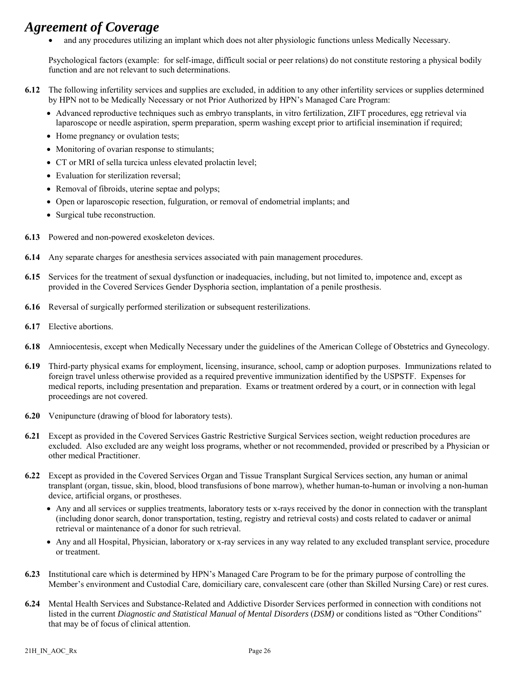and any procedures utilizing an implant which does not alter physiologic functions unless Medically Necessary.

Psychological factors (example: for self-image, difficult social or peer relations) do not constitute restoring a physical bodily function and are not relevant to such determinations.

- **6.12** The following infertility services and supplies are excluded, in addition to any other infertility services or supplies determined by HPN not to be Medically Necessary or not Prior Authorized by HPN's Managed Care Program:
	- Advanced reproductive techniques such as embryo transplants, in vitro fertilization, ZIFT procedures, egg retrieval via laparoscope or needle aspiration, sperm preparation, sperm washing except prior to artificial insemination if required;
	- Home pregnancy or ovulation tests;
	- Monitoring of ovarian response to stimulants;
	- CT or MRI of sella turcica unless elevated prolactin level;
	- Evaluation for sterilization reversal;
	- Removal of fibroids, uterine septae and polyps;
	- Open or laparoscopic resection, fulguration, or removal of endometrial implants; and
	- Surgical tube reconstruction.
- **6.13** Powered and non-powered exoskeleton devices.
- **6.14** Any separate charges for anesthesia services associated with pain management procedures.
- **6.15** Services for the treatment of sexual dysfunction or inadequacies, including, but not limited to, impotence and, except as provided in the Covered Services Gender Dysphoria section, implantation of a penile prosthesis.
- **6.16** Reversal of surgically performed sterilization or subsequent resterilizations.
- **6.17** Elective abortions.
- **6.18** Amniocentesis, except when Medically Necessary under the guidelines of the American College of Obstetrics and Gynecology.
- **6.19** Third-party physical exams for employment, licensing, insurance, school, camp or adoption purposes. Immunizations related to foreign travel unless otherwise provided as a required preventive immunization identified by the USPSTF. Expenses for medical reports, including presentation and preparation. Exams or treatment ordered by a court, or in connection with legal proceedings are not covered.
- **6.20** Venipuncture (drawing of blood for laboratory tests).
- **6.21** Except as provided in the Covered Services Gastric Restrictive Surgical Services section, weight reduction procedures are excluded. Also excluded are any weight loss programs, whether or not recommended, provided or prescribed by a Physician or other medical Practitioner.
- **6.22** Except as provided in the Covered Services Organ and Tissue Transplant Surgical Services section, any human or animal transplant (organ, tissue, skin, blood, blood transfusions of bone marrow), whether human-to-human or involving a non-human device, artificial organs, or prostheses.
	- Any and all services or supplies treatments, laboratory tests or x-rays received by the donor in connection with the transplant (including donor search, donor transportation, testing, registry and retrieval costs) and costs related to cadaver or animal retrieval or maintenance of a donor for such retrieval.
	- Any and all Hospital, Physician, laboratory or x-ray services in any way related to any excluded transplant service, procedure or treatment.
- **6.23** Institutional care which is determined by HPN's Managed Care Program to be for the primary purpose of controlling the Member's environment and Custodial Care, domiciliary care, convalescent care (other than Skilled Nursing Care) or rest cures.
- **6.24** Mental Health Services and Substance-Related and Addictive Disorder Services performed in connection with conditions not listed in the current *Diagnostic and Statistical Manual of Mental Disorders* (*DSM)* or conditions listed as "Other Conditions" that may be of focus of clinical attention.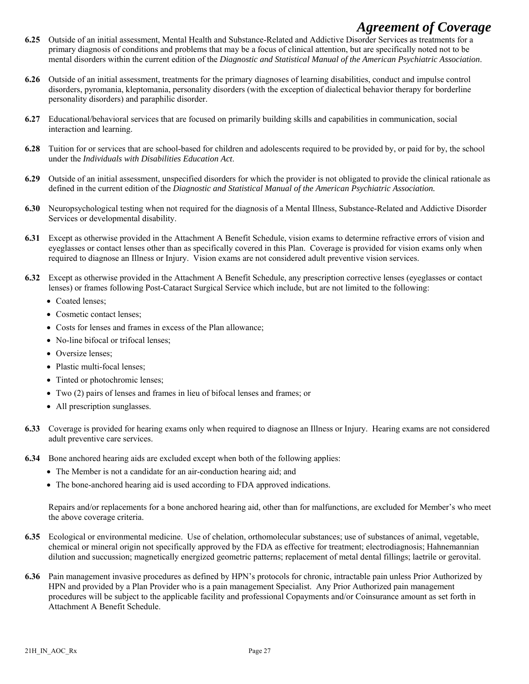- **6.25** Outside of an initial assessment, Mental Health and Substance-Related and Addictive Disorder Services as treatments for a primary diagnosis of conditions and problems that may be a focus of clinical attention, but are specifically noted not to be mental disorders within the current edition of the *Diagnostic and Statistical Manual of the American Psychiatric Association*.
- **6.26** Outside of an initial assessment, treatments for the primary diagnoses of learning disabilities, conduct and impulse control disorders, pyromania, kleptomania, personality disorders (with the exception of dialectical behavior therapy for borderline personality disorders) and paraphilic disorder.
- **6.27** Educational/behavioral services that are focused on primarily building skills and capabilities in communication, social interaction and learning.
- **6.28** Tuition for or services that are school-based for children and adolescents required to be provided by, or paid for by, the school under the *Individuals with Disabilities Education Act*.
- **6.29** Outside of an initial assessment, unspecified disorders for which the provider is not obligated to provide the clinical rationale as defined in the current edition of the *Diagnostic and Statistical Manual of the American Psychiatric Association.*
- **6.30** Neuropsychological testing when not required for the diagnosis of a Mental Illness, Substance-Related and Addictive Disorder Services or developmental disability.
- **6.31** Except as otherwise provided in the Attachment A Benefit Schedule, vision exams to determine refractive errors of vision and eyeglasses or contact lenses other than as specifically covered in this Plan. Coverage is provided for vision exams only when required to diagnose an Illness or Injury. Vision exams are not considered adult preventive vision services.
- **6.32** Except as otherwise provided in the Attachment A Benefit Schedule, any prescription corrective lenses (eyeglasses or contact lenses) or frames following Post-Cataract Surgical Service which include, but are not limited to the following:
	- Coated lenses:
	- Cosmetic contact lenses;
	- Costs for lenses and frames in excess of the Plan allowance;
	- No-line bifocal or trifocal lenses;
	- Oversize lenses:
	- Plastic multi-focal lenses;
	- Tinted or photochromic lenses;
	- Two (2) pairs of lenses and frames in lieu of bifocal lenses and frames; or
	- All prescription sunglasses.
- **6.33** Coverage is provided for hearing exams only when required to diagnose an Illness or Injury. Hearing exams are not considered adult preventive care services.
- **6.34** Bone anchored hearing aids are excluded except when both of the following applies:
	- The Member is not a candidate for an air-conduction hearing aid; and
	- The bone-anchored hearing aid is used according to FDA approved indications.

Repairs and/or replacements for a bone anchored hearing aid, other than for malfunctions, are excluded for Member's who meet the above coverage criteria.

- **6.35** Ecological or environmental medicine. Use of chelation, orthomolecular substances; use of substances of animal, vegetable, chemical or mineral origin not specifically approved by the FDA as effective for treatment; electrodiagnosis; Hahnemannian dilution and succussion; magnetically energized geometric patterns; replacement of metal dental fillings; laetrile or gerovital.
- **6.36** Pain management invasive procedures as defined by HPN's protocols for chronic, intractable pain unless Prior Authorized by HPN and provided by a Plan Provider who is a pain management Specialist. Any Prior Authorized pain management procedures will be subject to the applicable facility and professional Copayments and/or Coinsurance amount as set forth in Attachment A Benefit Schedule.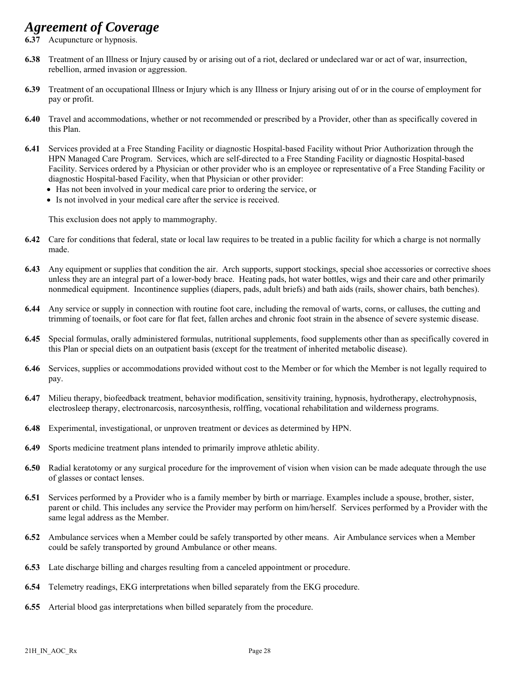- **6.37** Acupuncture or hypnosis.
- **6.38** Treatment of an Illness or Injury caused by or arising out of a riot, declared or undeclared war or act of war, insurrection, rebellion, armed invasion or aggression.
- **6.39** Treatment of an occupational Illness or Injury which is any Illness or Injury arising out of or in the course of employment for pay or profit.
- **6.40** Travel and accommodations, whether or not recommended or prescribed by a Provider, other than as specifically covered in this Plan.
- **6.41** Services provided at a Free Standing Facility or diagnostic Hospital-based Facility without Prior Authorization through the HPN Managed Care Program. Services, which are self-directed to a Free Standing Facility or diagnostic Hospital-based Facility. Services ordered by a Physician or other provider who is an employee or representative of a Free Standing Facility or diagnostic Hospital-based Facility, when that Physician or other provider:
	- Has not been involved in your medical care prior to ordering the service, or
	- Is not involved in your medical care after the service is received.

This exclusion does not apply to mammography.

- **6.42** Care for conditions that federal, state or local law requires to be treated in a public facility for which a charge is not normally made.
- **6.43** Any equipment or supplies that condition the air. Arch supports, support stockings, special shoe accessories or corrective shoes unless they are an integral part of a lower-body brace. Heating pads, hot water bottles, wigs and their care and other primarily nonmedical equipment. Incontinence supplies (diapers, pads, adult briefs) and bath aids (rails, shower chairs, bath benches).
- **6.44** Any service or supply in connection with routine foot care, including the removal of warts, corns, or calluses, the cutting and trimming of toenails, or foot care for flat feet, fallen arches and chronic foot strain in the absence of severe systemic disease.
- **6.45** Special formulas, orally administered formulas, nutritional supplements, food supplements other than as specifically covered in this Plan or special diets on an outpatient basis (except for the treatment of inherited metabolic disease).
- **6.46** Services, supplies or accommodations provided without cost to the Member or for which the Member is not legally required to pay.
- **6.47** Milieu therapy, biofeedback treatment, behavior modification, sensitivity training, hypnosis, hydrotherapy, electrohypnosis, electrosleep therapy, electronarcosis, narcosynthesis, rolffing, vocational rehabilitation and wilderness programs.
- **6.48** Experimental, investigational, or unproven treatment or devices as determined by HPN.
- **6.49** Sports medicine treatment plans intended to primarily improve athletic ability.
- **6.50** Radial keratotomy or any surgical procedure for the improvement of vision when vision can be made adequate through the use of glasses or contact lenses.
- **6.51** Services performed by a Provider who is a family member by birth or marriage. Examples include a spouse, brother, sister, parent or child. This includes any service the Provider may perform on him/herself. Services performed by a Provider with the same legal address as the Member.
- **6.52** Ambulance services when a Member could be safely transported by other means. Air Ambulance services when a Member could be safely transported by ground Ambulance or other means.
- **6.53** Late discharge billing and charges resulting from a canceled appointment or procedure.
- **6.54** Telemetry readings, EKG interpretations when billed separately from the EKG procedure.
- **6.55** Arterial blood gas interpretations when billed separately from the procedure.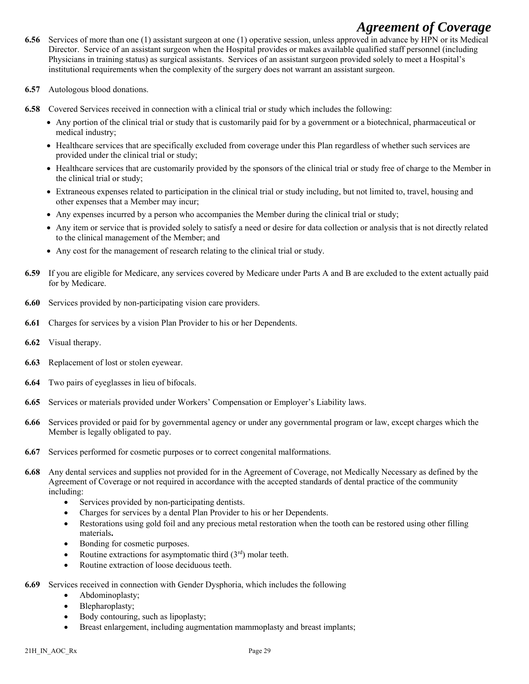- **6.56** Services of more than one (1) assistant surgeon at one (1) operative session, unless approved in advance by HPN or its Medical Director. Service of an assistant surgeon when the Hospital provides or makes available qualified staff personnel (including Physicians in training status) as surgical assistants. Services of an assistant surgeon provided solely to meet a Hospital's institutional requirements when the complexity of the surgery does not warrant an assistant surgeon.
- **6.57** Autologous blood donations.
- **6.58** Covered Services received in connection with a clinical trial or study which includes the following:
	- Any portion of the clinical trial or study that is customarily paid for by a government or a biotechnical, pharmaceutical or medical industry;
	- Healthcare services that are specifically excluded from coverage under this Plan regardless of whether such services are provided under the clinical trial or study;
	- Healthcare services that are customarily provided by the sponsors of the clinical trial or study free of charge to the Member in the clinical trial or study;
	- Extraneous expenses related to participation in the clinical trial or study including, but not limited to, travel, housing and other expenses that a Member may incur;
	- Any expenses incurred by a person who accompanies the Member during the clinical trial or study;
	- Any item or service that is provided solely to satisfy a need or desire for data collection or analysis that is not directly related to the clinical management of the Member; and
	- Any cost for the management of research relating to the clinical trial or study.
- **6.59** If you are eligible for Medicare, any services covered by Medicare under Parts A and B are excluded to the extent actually paid for by Medicare.
- **6.60** Services provided by non-participating vision care providers.
- **6.61** Charges for services by a vision Plan Provider to his or her Dependents.
- **6.62** Visual therapy.
- **6.63** Replacement of lost or stolen eyewear.
- **6.64** Two pairs of eyeglasses in lieu of bifocals.
- **6.65** Services or materials provided under Workers' Compensation or Employer's Liability laws.
- **6.66** Services provided or paid for by governmental agency or under any governmental program or law, except charges which the Member is legally obligated to pay.
- **6.67** Services performed for cosmetic purposes or to correct congenital malformations.
- **6.68** Any dental services and supplies not provided for in the Agreement of Coverage, not Medically Necessary as defined by the Agreement of Coverage or not required in accordance with the accepted standards of dental practice of the community including:
	- Services provided by non-participating dentists.
	- Charges for services by a dental Plan Provider to his or her Dependents.
	- Restorations using gold foil and any precious metal restoration when the tooth can be restored using other filling materials**.**
	- Bonding for cosmetic purposes.
	- Routine extractions for asymptomatic third  $(3<sup>rd</sup>)$  molar teeth.
	- Routine extraction of loose deciduous teeth.
- **6.69** Services received in connection with Gender Dysphoria, which includes the following
	- Abdominoplasty;
	- Blepharoplasty;
	- Body contouring, such as lipoplasty;
	- Breast enlargement, including augmentation mammoplasty and breast implants;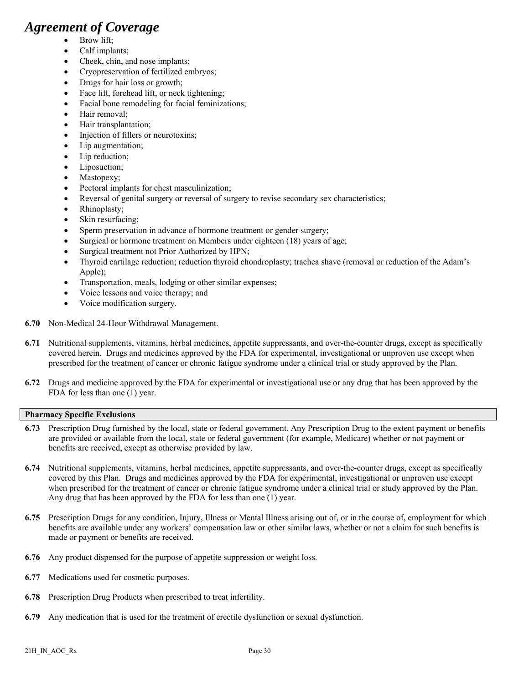- Brow lift;
- Calf implants;
- Cheek, chin, and nose implants;
- Cryopreservation of fertilized embryos;
- Drugs for hair loss or growth;
- Face lift, forehead lift, or neck tightening;
- Facial bone remodeling for facial feminizations;
- Hair removal;
- Hair transplantation;
- Injection of fillers or neurotoxins;
- Lip augmentation;
- Lip reduction;
- Liposuction;
- Mastopexy;
- Pectoral implants for chest masculinization;
- Reversal of genital surgery or reversal of surgery to revise secondary sex characteristics;
- Rhinoplasty;
- Skin resurfacing;
- Sperm preservation in advance of hormone treatment or gender surgery;
- Surgical or hormone treatment on Members under eighteen (18) years of age;
- Surgical treatment not Prior Authorized by HPN;
- Thyroid cartilage reduction; reduction thyroid chondroplasty; trachea shave (removal or reduction of the Adam's Apple);
- Transportation, meals, lodging or other similar expenses;
- Voice lessons and voice therapy; and
- Voice modification surgery.
- **6.70** Non-Medical 24-Hour Withdrawal Management.
- **6.71** Nutritional supplements, vitamins, herbal medicines, appetite suppressants, and over-the-counter drugs, except as specifically covered herein. Drugs and medicines approved by the FDA for experimental, investigational or unproven use except when prescribed for the treatment of cancer or chronic fatigue syndrome under a clinical trial or study approved by the Plan.
- **6.72** Drugs and medicine approved by the FDA for experimental or investigational use or any drug that has been approved by the FDA for less than one (1) year.

# **Pharmacy Specific Exclusions**

- **6.73** Prescription Drug furnished by the local, state or federal government. Any Prescription Drug to the extent payment or benefits are provided or available from the local, state or federal government (for example, Medicare) whether or not payment or benefits are received, except as otherwise provided by law.
- **6.74** Nutritional supplements, vitamins, herbal medicines, appetite suppressants, and over-the-counter drugs, except as specifically covered by this Plan. Drugs and medicines approved by the FDA for experimental, investigational or unproven use except when prescribed for the treatment of cancer or chronic fatigue syndrome under a clinical trial or study approved by the Plan. Any drug that has been approved by the FDA for less than one (1) year.
- **6.75** Prescription Drugs for any condition, Injury, Illness or Mental Illness arising out of, or in the course of, employment for which benefits are available under any workers' compensation law or other similar laws, whether or not a claim for such benefits is made or payment or benefits are received.
- **6.76** Any product dispensed for the purpose of appetite suppression or weight loss.
- **6.77** Medications used for cosmetic purposes.
- **6.78** Prescription Drug Products when prescribed to treat infertility.
- **6.79** Any medication that is used for the treatment of erectile dysfunction or sexual dysfunction.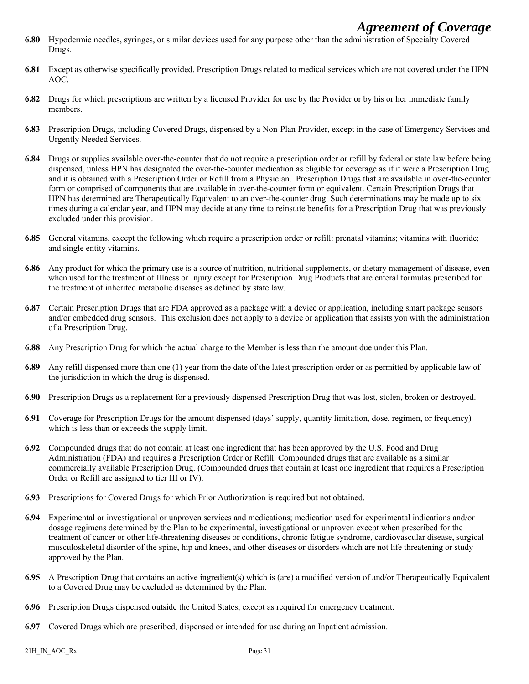- **6.80** Hypodermic needles, syringes, or similar devices used for any purpose other than the administration of Specialty Covered Drugs.
- **6.81** Except as otherwise specifically provided, Prescription Drugs related to medical services which are not covered under the HPN AOC.
- **6.82** Drugs for which prescriptions are written by a licensed Provider for use by the Provider or by his or her immediate family members.
- **6.83** Prescription Drugs, including Covered Drugs, dispensed by a Non-Plan Provider, except in the case of Emergency Services and Urgently Needed Services.
- **6.84** Drugs or supplies available over-the-counter that do not require a prescription order or refill by federal or state law before being dispensed, unless HPN has designated the over-the-counter medication as eligible for coverage as if it were a Prescription Drug and it is obtained with a Prescription Order or Refill from a Physician. Prescription Drugs that are available in over-the-counter form or comprised of components that are available in over-the-counter form or equivalent. Certain Prescription Drugs that HPN has determined are Therapeutically Equivalent to an over-the-counter drug. Such determinations may be made up to six times during a calendar year, and HPN may decide at any time to reinstate benefits for a Prescription Drug that was previously excluded under this provision.
- **6.85** General vitamins, except the following which require a prescription order or refill: prenatal vitamins; vitamins with fluoride; and single entity vitamins.
- **6.86** Any product for which the primary use is a source of nutrition, nutritional supplements, or dietary management of disease, even when used for the treatment of Illness or Injury except for Prescription Drug Products that are enteral formulas prescribed for the treatment of inherited metabolic diseases as defined by state law.
- **6.87** Certain Prescription Drugs that are FDA approved as a package with a device or application, including smart package sensors and/or embedded drug sensors. This exclusion does not apply to a device or application that assists you with the administration of a Prescription Drug.
- **6.88** Any Prescription Drug for which the actual charge to the Member is less than the amount due under this Plan.
- **6.89** Any refill dispensed more than one (1) year from the date of the latest prescription order or as permitted by applicable law of the jurisdiction in which the drug is dispensed.
- **6.90** Prescription Drugs as a replacement for a previously dispensed Prescription Drug that was lost, stolen, broken or destroyed.
- **6.91** Coverage for Prescription Drugs for the amount dispensed (days' supply, quantity limitation, dose, regimen, or frequency) which is less than or exceeds the supply limit.
- **6.92** Compounded drugs that do not contain at least one ingredient that has been approved by the U.S. Food and Drug Administration (FDA) and requires a Prescription Order or Refill. Compounded drugs that are available as a similar commercially available Prescription Drug. (Compounded drugs that contain at least one ingredient that requires a Prescription Order or Refill are assigned to tier III or IV).
- **6.93** Prescriptions for Covered Drugs for which Prior Authorization is required but not obtained.
- **6.94** Experimental or investigational or unproven services and medications; medication used for experimental indications and/or dosage regimens determined by the Plan to be experimental, investigational or unproven except when prescribed for the treatment of cancer or other life-threatening diseases or conditions, chronic fatigue syndrome, cardiovascular disease, surgical musculoskeletal disorder of the spine, hip and knees, and other diseases or disorders which are not life threatening or study approved by the Plan.
- **6.95** A Prescription Drug that contains an active ingredient(s) which is (are) a modified version of and/or Therapeutically Equivalent to a Covered Drug may be excluded as determined by the Plan.
- **6.96** Prescription Drugs dispensed outside the United States, except as required for emergency treatment.
- **6.97** Covered Drugs which are prescribed, dispensed or intended for use during an Inpatient admission.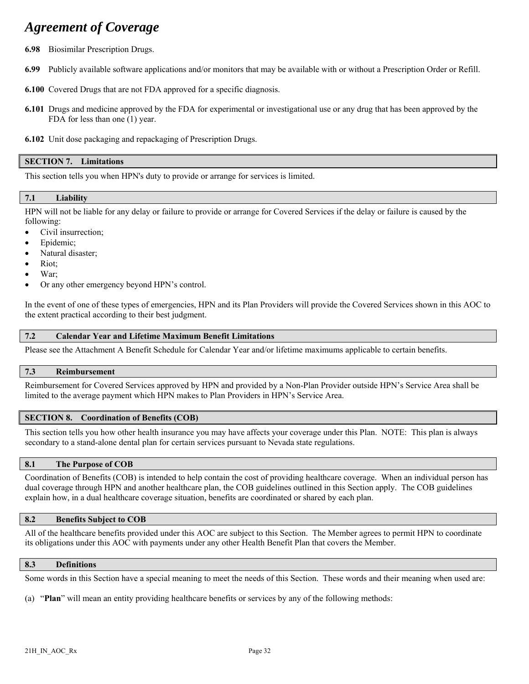- **6.98** Biosimilar Prescription Drugs.
- **6.99** Publicly available software applications and/or monitors that may be available with or without a Prescription Order or Refill.
- **6.100** Covered Drugs that are not FDA approved for a specific diagnosis.
- **6.101** Drugs and medicine approved by the FDA for experimental or investigational use or any drug that has been approved by the FDA for less than one (1) year.
- **6.102** Unit dose packaging and repackaging of Prescription Drugs.

# **SECTION 7. Limitations**

This section tells you when HPN's duty to provide or arrange for services is limited.

# **7.1 Liability**

HPN will not be liable for any delay or failure to provide or arrange for Covered Services if the delay or failure is caused by the following:

- Civil insurrection;
- Epidemic;
- Natural disaster;
- Riot;
- War;
- Or any other emergency beyond HPN's control.

In the event of one of these types of emergencies, HPN and its Plan Providers will provide the Covered Services shown in this AOC to the extent practical according to their best judgment.

#### **7.2 Calendar Year and Lifetime Maximum Benefit Limitations**

Please see the Attachment A Benefit Schedule for Calendar Year and/or lifetime maximums applicable to certain benefits.

# **7.3 Reimbursement**

Reimbursement for Covered Services approved by HPN and provided by a Non-Plan Provider outside HPN's Service Area shall be limited to the average payment which HPN makes to Plan Providers in HPN's Service Area.

## **SECTION 8. Coordination of Benefits (COB)**

This section tells you how other health insurance you may have affects your coverage under this Plan. NOTE: This plan is always secondary to a stand-alone dental plan for certain services pursuant to Nevada state regulations.

# **8.1 The Purpose of COB**

Coordination of Benefits (COB) is intended to help contain the cost of providing healthcare coverage. When an individual person has dual coverage through HPN and another healthcare plan, the COB guidelines outlined in this Section apply. The COB guidelines explain how, in a dual healthcare coverage situation, benefits are coordinated or shared by each plan.

## **8.2 Benefits Subject to COB**

All of the healthcare benefits provided under this AOC are subject to this Section. The Member agrees to permit HPN to coordinate its obligations under this AOC with payments under any other Health Benefit Plan that covers the Member.

### **8.3 Definitions**

Some words in this Section have a special meaning to meet the needs of this Section. These words and their meaning when used are:

(a) "**Plan**" will mean an entity providing healthcare benefits or services by any of the following methods: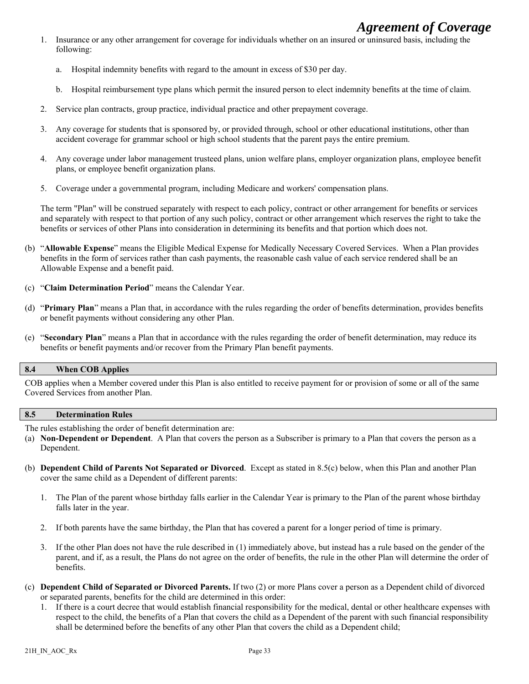- 1. Insurance or any other arrangement for coverage for individuals whether on an insured or uninsured basis, including the following:
	- a. Hospital indemnity benefits with regard to the amount in excess of \$30 per day.
	- b. Hospital reimbursement type plans which permit the insured person to elect indemnity benefits at the time of claim.
- 2. Service plan contracts, group practice, individual practice and other prepayment coverage.
- 3. Any coverage for students that is sponsored by, or provided through, school or other educational institutions, other than accident coverage for grammar school or high school students that the parent pays the entire premium.
- 4. Any coverage under labor management trusteed plans, union welfare plans, employer organization plans, employee benefit plans, or employee benefit organization plans.
- 5. Coverage under a governmental program, including Medicare and workers' compensation plans.

The term "Plan" will be construed separately with respect to each policy, contract or other arrangement for benefits or services and separately with respect to that portion of any such policy, contract or other arrangement which reserves the right to take the benefits or services of other Plans into consideration in determining its benefits and that portion which does not.

- (b) "**Allowable Expense**" means the Eligible Medical Expense for Medically Necessary Covered Services. When a Plan provides benefits in the form of services rather than cash payments, the reasonable cash value of each service rendered shall be an Allowable Expense and a benefit paid.
- (c) "**Claim Determination Period**" means the Calendar Year.
- (d) "**Primary Plan**" means a Plan that, in accordance with the rules regarding the order of benefits determination, provides benefits or benefit payments without considering any other Plan.
- (e) "**Secondary Plan**" means a Plan that in accordance with the rules regarding the order of benefit determination, may reduce its benefits or benefit payments and/or recover from the Primary Plan benefit payments.

## **8.4 When COB Applies**

COB applies when a Member covered under this Plan is also entitled to receive payment for or provision of some or all of the same Covered Services from another Plan.

# **8.5 Determination Rules**

The rules establishing the order of benefit determination are:

- (a) **Non-Dependent or Dependent**. A Plan that covers the person as a Subscriber is primary to a Plan that covers the person as a Dependent.
- (b) **Dependent Child of Parents Not Separated or Divorced**. Except as stated in 8.5(c) below, when this Plan and another Plan cover the same child as a Dependent of different parents:
	- 1. The Plan of the parent whose birthday falls earlier in the Calendar Year is primary to the Plan of the parent whose birthday falls later in the year.
	- 2. If both parents have the same birthday, the Plan that has covered a parent for a longer period of time is primary.
	- 3. If the other Plan does not have the rule described in (1) immediately above, but instead has a rule based on the gender of the parent, and if, as a result, the Plans do not agree on the order of benefits, the rule in the other Plan will determine the order of benefits.
- (c) **Dependent Child of Separated or Divorced Parents.** If two (2) or more Plans cover a person as a Dependent child of divorced or separated parents, benefits for the child are determined in this order:
	- 1. If there is a court decree that would establish financial responsibility for the medical, dental or other healthcare expenses with respect to the child, the benefits of a Plan that covers the child as a Dependent of the parent with such financial responsibility shall be determined before the benefits of any other Plan that covers the child as a Dependent child;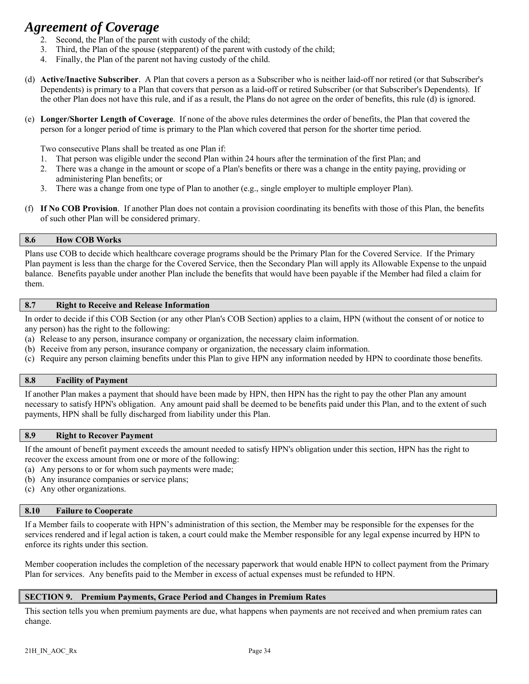- 2. Second, the Plan of the parent with custody of the child;
- 3. Third, the Plan of the spouse (stepparent) of the parent with custody of the child;
- 4. Finally, the Plan of the parent not having custody of the child.
- (d) **Active/Inactive Subscriber**. A Plan that covers a person as a Subscriber who is neither laid-off nor retired (or that Subscriber's Dependents) is primary to a Plan that covers that person as a laid-off or retired Subscriber (or that Subscriber's Dependents). If the other Plan does not have this rule, and if as a result, the Plans do not agree on the order of benefits, this rule (d) is ignored.
- (e) **Longer/Shorter Length of Coverage**. If none of the above rules determines the order of benefits, the Plan that covered the person for a longer period of time is primary to the Plan which covered that person for the shorter time period.

Two consecutive Plans shall be treated as one Plan if:

- 1. That person was eligible under the second Plan within 24 hours after the termination of the first Plan; and
- 2. There was a change in the amount or scope of a Plan's benefits or there was a change in the entity paying, providing or administering Plan benefits; or
- 3. There was a change from one type of Plan to another (e.g., single employer to multiple employer Plan).
- (f) **If No COB Provision**. If another Plan does not contain a provision coordinating its benefits with those of this Plan, the benefits of such other Plan will be considered primary.

## **8.6 How COB Works**

Plans use COB to decide which healthcare coverage programs should be the Primary Plan for the Covered Service. If the Primary Plan payment is less than the charge for the Covered Service, then the Secondary Plan will apply its Allowable Expense to the unpaid balance. Benefits payable under another Plan include the benefits that would have been payable if the Member had filed a claim for them.

### **8.7 Right to Receive and Release Information**

In order to decide if this COB Section (or any other Plan's COB Section) applies to a claim, HPN (without the consent of or notice to any person) has the right to the following:

- (a) Release to any person, insurance company or organization, the necessary claim information.
- (b) Receive from any person, insurance company or organization, the necessary claim information.
- (c) Require any person claiming benefits under this Plan to give HPN any information needed by HPN to coordinate those benefits.

#### **8.8 Facility of Payment**

If another Plan makes a payment that should have been made by HPN, then HPN has the right to pay the other Plan any amount necessary to satisfy HPN's obligation. Any amount paid shall be deemed to be benefits paid under this Plan, and to the extent of such payments, HPN shall be fully discharged from liability under this Plan.

#### **8.9 Right to Recover Payment**

If the amount of benefit payment exceeds the amount needed to satisfy HPN's obligation under this section, HPN has the right to recover the excess amount from one or more of the following:

- (a) Any persons to or for whom such payments were made;
- (b) Any insurance companies or service plans;
- (c) Any other organizations.

## **8.10 Failure to Cooperate**

If a Member fails to cooperate with HPN's administration of this section, the Member may be responsible for the expenses for the services rendered and if legal action is taken, a court could make the Member responsible for any legal expense incurred by HPN to enforce its rights under this section.

Member cooperation includes the completion of the necessary paperwork that would enable HPN to collect payment from the Primary Plan for services. Any benefits paid to the Member in excess of actual expenses must be refunded to HPN.

#### **SECTION 9. Premium Payments, Grace Period and Changes in Premium Rates**

This section tells you when premium payments are due, what happens when payments are not received and when premium rates can change.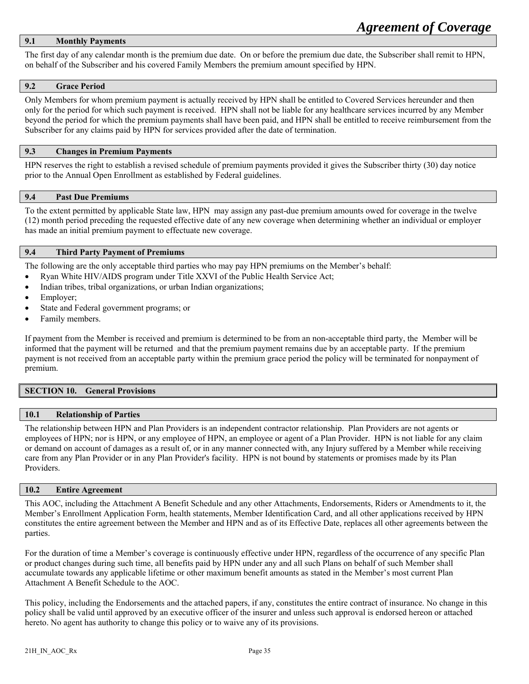# **9.1 Monthly Payments**

The first day of any calendar month is the premium due date. On or before the premium due date, the Subscriber shall remit to HPN, on behalf of the Subscriber and his covered Family Members the premium amount specified by HPN.

# **9.2 Grace Period**

Only Members for whom premium payment is actually received by HPN shall be entitled to Covered Services hereunder and then only for the period for which such payment is received. HPN shall not be liable for any healthcare services incurred by any Member beyond the period for which the premium payments shall have been paid, and HPN shall be entitled to receive reimbursement from the Subscriber for any claims paid by HPN for services provided after the date of termination.

# **9.3 Changes in Premium Payments**

HPN reserves the right to establish a revised schedule of premium payments provided it gives the Subscriber thirty (30) day notice prior to the Annual Open Enrollment as established by Federal guidelines.

# **9.4 Past Due Premiums**

To the extent permitted by applicable State law, HPN may assign any past-due premium amounts owed for coverage in the twelve (12) month period preceding the requested effective date of any new coverage when determining whether an individual or employer has made an initial premium payment to effectuate new coverage.

# **9.4 Third Party Payment of Premiums**

The following are the only acceptable third parties who may pay HPN premiums on the Member's behalf:

- Ryan White HIV/AIDS program under Title XXVI of the Public Health Service Act;
- Indian tribes, tribal organizations, or urban Indian organizations;
- Employer:
- State and Federal government programs; or
- Family members.

If payment from the Member is received and premium is determined to be from an non-acceptable third party, the Member will be informed that the payment will be returned and that the premium payment remains due by an acceptable party. If the premium payment is not received from an acceptable party within the premium grace period the policy will be terminated for nonpayment of premium.

#### **SECTION 10. General Provisions**

### **10.1 Relationship of Parties**

The relationship between HPN and Plan Providers is an independent contractor relationship. Plan Providers are not agents or employees of HPN; nor is HPN, or any employee of HPN, an employee or agent of a Plan Provider. HPN is not liable for any claim or demand on account of damages as a result of, or in any manner connected with, any Injury suffered by a Member while receiving care from any Plan Provider or in any Plan Provider's facility. HPN is not bound by statements or promises made by its Plan Providers.

#### **10.2 Entire Agreement**

This AOC, including the Attachment A Benefit Schedule and any other Attachments, Endorsements, Riders or Amendments to it, the Member's Enrollment Application Form, health statements, Member Identification Card, and all other applications received by HPN constitutes the entire agreement between the Member and HPN and as of its Effective Date, replaces all other agreements between the parties.

For the duration of time a Member's coverage is continuously effective under HPN, regardless of the occurrence of any specific Plan or product changes during such time, all benefits paid by HPN under any and all such Plans on behalf of such Member shall accumulate towards any applicable lifetime or other maximum benefit amounts as stated in the Member's most current Plan Attachment A Benefit Schedule to the AOC.

This policy, including the Endorsements and the attached papers, if any, constitutes the entire contract of insurance. No change in this policy shall be valid until approved by an executive officer of the insurer and unless such approval is endorsed hereon or attached hereto. No agent has authority to change this policy or to waive any of its provisions.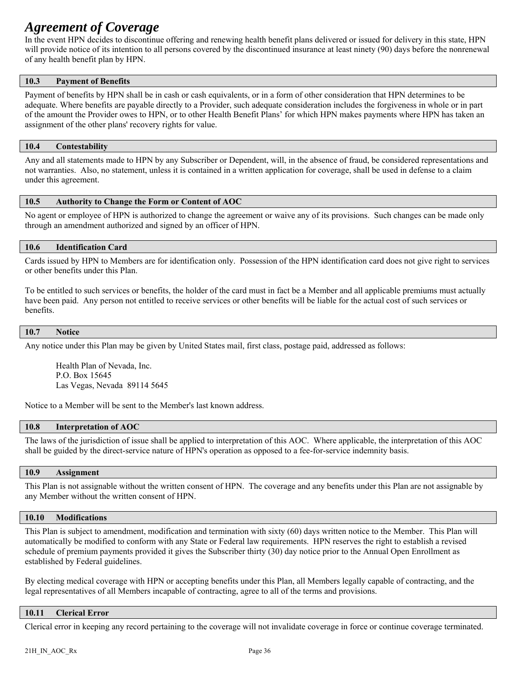In the event HPN decides to discontinue offering and renewing health benefit plans delivered or issued for delivery in this state, HPN will provide notice of its intention to all persons covered by the discontinued insurance at least ninety (90) days before the nonrenewal of any health benefit plan by HPN.

### **10.3 Payment of Benefits**

Payment of benefits by HPN shall be in cash or cash equivalents, or in a form of other consideration that HPN determines to be adequate. Where benefits are payable directly to a Provider, such adequate consideration includes the forgiveness in whole or in part of the amount the Provider owes to HPN, or to other Health Benefit Plans' for which HPN makes payments where HPN has taken an assignment of the other plans' recovery rights for value.

### **10.4 Contestability**

Any and all statements made to HPN by any Subscriber or Dependent, will, in the absence of fraud, be considered representations and not warranties. Also, no statement, unless it is contained in a written application for coverage, shall be used in defense to a claim under this agreement.

### **10.5 Authority to Change the Form or Content of AOC**

No agent or employee of HPN is authorized to change the agreement or waive any of its provisions. Such changes can be made only through an amendment authorized and signed by an officer of HPN.

## **10.6 Identification Card**

Cards issued by HPN to Members are for identification only. Possession of the HPN identification card does not give right to services or other benefits under this Plan.

To be entitled to such services or benefits, the holder of the card must in fact be a Member and all applicable premiums must actually have been paid. Any person not entitled to receive services or other benefits will be liable for the actual cost of such services or benefits.

#### **10.7 Notice**

Any notice under this Plan may be given by United States mail, first class, postage paid, addressed as follows:

Health Plan of Nevada, Inc. P.O. Box 15645 Las Vegas, Nevada 89114 5645

Notice to a Member will be sent to the Member's last known address.

# **10.8 Interpretation of AOC**

The laws of the jurisdiction of issue shall be applied to interpretation of this AOC. Where applicable, the interpretation of this AOC shall be guided by the direct-service nature of HPN's operation as opposed to a fee-for-service indemnity basis.

#### **10.9 Assignment**

This Plan is not assignable without the written consent of HPN. The coverage and any benefits under this Plan are not assignable by any Member without the written consent of HPN.

#### **10.10 Modifications**

This Plan is subject to amendment, modification and termination with sixty (60) days written notice to the Member. This Plan will automatically be modified to conform with any State or Federal law requirements. HPN reserves the right to establish a revised schedule of premium payments provided it gives the Subscriber thirty (30) day notice prior to the Annual Open Enrollment as established by Federal guidelines.

By electing medical coverage with HPN or accepting benefits under this Plan, all Members legally capable of contracting, and the legal representatives of all Members incapable of contracting, agree to all of the terms and provisions.

#### **10.11 Clerical Error**

Clerical error in keeping any record pertaining to the coverage will not invalidate coverage in force or continue coverage terminated.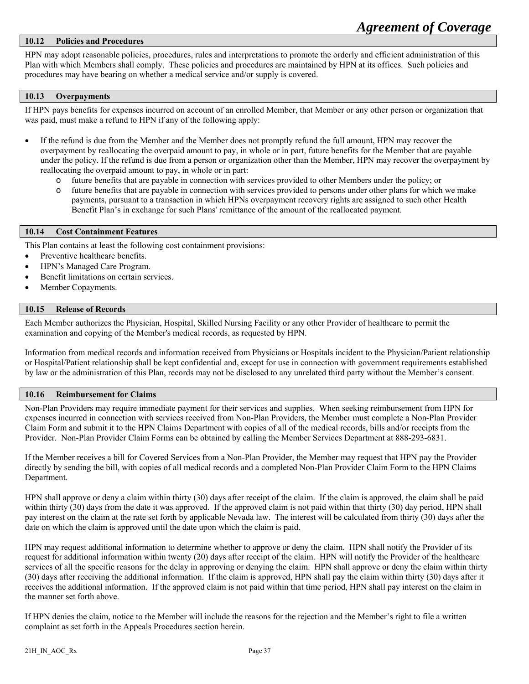#### **10.12 Policies and Procedures**

HPN may adopt reasonable policies, procedures, rules and interpretations to promote the orderly and efficient administration of this Plan with which Members shall comply. These policies and procedures are maintained by HPN at its offices. Such policies and procedures may have bearing on whether a medical service and/or supply is covered.

#### **10.13 Overpayments**

If HPN pays benefits for expenses incurred on account of an enrolled Member, that Member or any other person or organization that was paid, must make a refund to HPN if any of the following apply:

- If the refund is due from the Member and the Member does not promptly refund the full amount, HPN may recover the overpayment by reallocating the overpaid amount to pay, in whole or in part, future benefits for the Member that are payable under the policy. If the refund is due from a person or organization other than the Member, HPN may recover the overpayment by reallocating the overpaid amount to pay, in whole or in part:
	- o future benefits that are payable in connection with services provided to other Members under the policy; or
	- o future benefits that are payable in connection with services provided to persons under other plans for which we make payments, pursuant to a transaction in which HPNs overpayment recovery rights are assigned to such other Health Benefit Plan's in exchange for such Plans' remittance of the amount of the reallocated payment.

#### **10.14 Cost Containment Features**

This Plan contains at least the following cost containment provisions:

- Preventive healthcare benefits.
- HPN's Managed Care Program.
- Benefit limitations on certain services.
- Member Copayments.

### **10.15 Release of Records**

Each Member authorizes the Physician, Hospital, Skilled Nursing Facility or any other Provider of healthcare to permit the examination and copying of the Member's medical records, as requested by HPN.

Information from medical records and information received from Physicians or Hospitals incident to the Physician/Patient relationship or Hospital/Patient relationship shall be kept confidential and, except for use in connection with government requirements established by law or the administration of this Plan, records may not be disclosed to any unrelated third party without the Member's consent.

#### **10.16 Reimbursement for Claims**

Non-Plan Providers may require immediate payment for their services and supplies. When seeking reimbursement from HPN for expenses incurred in connection with services received from Non-Plan Providers, the Member must complete a Non-Plan Provider Claim Form and submit it to the HPN Claims Department with copies of all of the medical records, bills and/or receipts from the Provider. Non-Plan Provider Claim Forms can be obtained by calling the Member Services Department at 888-293-6831.

If the Member receives a bill for Covered Services from a Non-Plan Provider, the Member may request that HPN pay the Provider directly by sending the bill, with copies of all medical records and a completed Non-Plan Provider Claim Form to the HPN Claims Department.

HPN shall approve or deny a claim within thirty (30) days after receipt of the claim. If the claim is approved, the claim shall be paid within thirty (30) days from the date it was approved. If the approved claim is not paid within that thirty (30) day period, HPN shall pay interest on the claim at the rate set forth by applicable Nevada law. The interest will be calculated from thirty (30) days after the date on which the claim is approved until the date upon which the claim is paid.

HPN may request additional information to determine whether to approve or deny the claim. HPN shall notify the Provider of its request for additional information within twenty (20) days after receipt of the claim. HPN will notify the Provider of the healthcare services of all the specific reasons for the delay in approving or denying the claim. HPN shall approve or deny the claim within thirty (30) days after receiving the additional information. If the claim is approved, HPN shall pay the claim within thirty (30) days after it receives the additional information. If the approved claim is not paid within that time period, HPN shall pay interest on the claim in the manner set forth above.

If HPN denies the claim, notice to the Member will include the reasons for the rejection and the Member's right to file a written complaint as set forth in the Appeals Procedures section herein.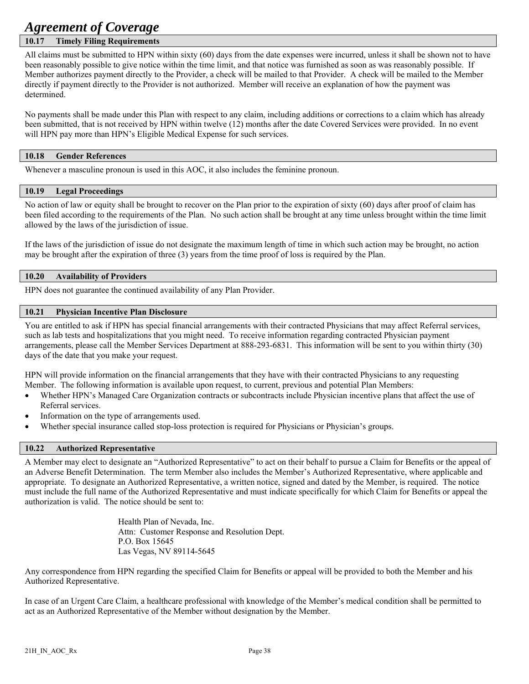# **10.17 Timely Filing Requirements**

All claims must be submitted to HPN within sixty (60) days from the date expenses were incurred, unless it shall be shown not to have been reasonably possible to give notice within the time limit, and that notice was furnished as soon as was reasonably possible. If Member authorizes payment directly to the Provider, a check will be mailed to that Provider. A check will be mailed to the Member directly if payment directly to the Provider is not authorized. Member will receive an explanation of how the payment was determined.

No payments shall be made under this Plan with respect to any claim, including additions or corrections to a claim which has already been submitted, that is not received by HPN within twelve (12) months after the date Covered Services were provided. In no event will HPN pay more than HPN's Eligible Medical Expense for such services.

### **10.18 Gender References**

Whenever a masculine pronoun is used in this AOC, it also includes the feminine pronoun.

#### **10.19 Legal Proceedings**

No action of law or equity shall be brought to recover on the Plan prior to the expiration of sixty (60) days after proof of claim has been filed according to the requirements of the Plan. No such action shall be brought at any time unless brought within the time limit allowed by the laws of the jurisdiction of issue.

If the laws of the jurisdiction of issue do not designate the maximum length of time in which such action may be brought, no action may be brought after the expiration of three (3) years from the time proof of loss is required by the Plan.

### **10.20 Availability of Providers**

HPN does not guarantee the continued availability of any Plan Provider.

#### **10.21 Physician Incentive Plan Disclosure**

You are entitled to ask if HPN has special financial arrangements with their contracted Physicians that may affect Referral services, such as lab tests and hospitalizations that you might need. To receive information regarding contracted Physician payment arrangements, please call the Member Services Department at 888-293-6831. This information will be sent to you within thirty (30) days of the date that you make your request.

HPN will provide information on the financial arrangements that they have with their contracted Physicians to any requesting Member. The following information is available upon request, to current, previous and potential Plan Members:

- Whether HPN's Managed Care Organization contracts or subcontracts include Physician incentive plans that affect the use of Referral services.
- Information on the type of arrangements used.
- Whether special insurance called stop-loss protection is required for Physicians or Physician's groups.

## **10.22 Authorized Representative**

A Member may elect to designate an "Authorized Representative" to act on their behalf to pursue a Claim for Benefits or the appeal of an Adverse Benefit Determination. The term Member also includes the Member's Authorized Representative, where applicable and appropriate. To designate an Authorized Representative, a written notice, signed and dated by the Member, is required. The notice must include the full name of the Authorized Representative and must indicate specifically for which Claim for Benefits or appeal the authorization is valid. The notice should be sent to:

> Health Plan of Nevada, Inc. Attn: Customer Response and Resolution Dept. P.O. Box 15645 Las Vegas, NV 89114-5645

Any correspondence from HPN regarding the specified Claim for Benefits or appeal will be provided to both the Member and his Authorized Representative.

In case of an Urgent Care Claim, a healthcare professional with knowledge of the Member's medical condition shall be permitted to act as an Authorized Representative of the Member without designation by the Member.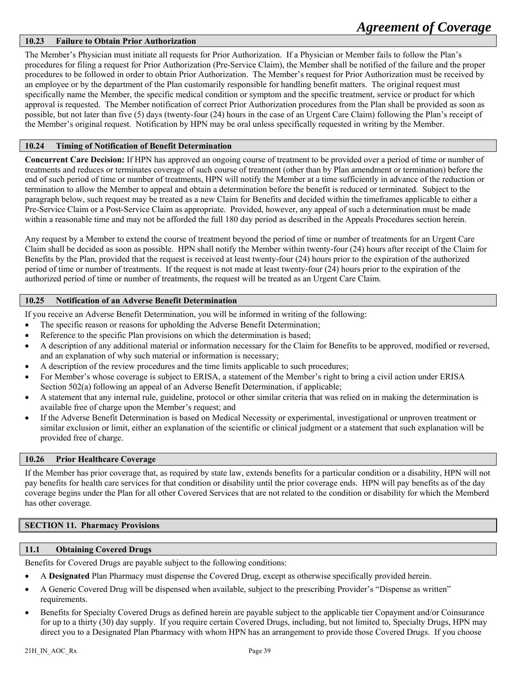#### **10.23 Failure to Obtain Prior Authorization**

The Member's Physician must initiate all requests for Prior Authorization. If a Physician or Member fails to follow the Plan's procedures for filing a request for Prior Authorization (Pre-Service Claim), the Member shall be notified of the failure and the proper procedures to be followed in order to obtain Prior Authorization. The Member's request for Prior Authorization must be received by an employee or by the department of the Plan customarily responsible for handling benefit matters. The original request must specifically name the Member, the specific medical condition or symptom and the specific treatment, service or product for which approval is requested. The Member notification of correct Prior Authorization procedures from the Plan shall be provided as soon as possible, but not later than five (5) days (twenty-four (24) hours in the case of an Urgent Care Claim) following the Plan's receipt of the Member's original request. Notification by HPN may be oral unless specifically requested in writing by the Member.

#### **10.24 Timing of Notification of Benefit Determination**

**Concurrent Care Decision:** If HPN has approved an ongoing course of treatment to be provided over a period of time or number of treatments and reduces or terminates coverage of such course of treatment (other than by Plan amendment or termination) before the end of such period of time or number of treatments, HPN will notify the Member at a time sufficiently in advance of the reduction or termination to allow the Member to appeal and obtain a determination before the benefit is reduced or terminated. Subject to the paragraph below, such request may be treated as a new Claim for Benefits and decided within the timeframes applicable to either a Pre-Service Claim or a Post-Service Claim as appropriate. Provided, however, any appeal of such a determination must be made within a reasonable time and may not be afforded the full 180 day period as described in the Appeals Procedures section herein.

Any request by a Member to extend the course of treatment beyond the period of time or number of treatments for an Urgent Care Claim shall be decided as soon as possible. HPN shall notify the Member within twenty-four (24) hours after receipt of the Claim for Benefits by the Plan, provided that the request is received at least twenty-four (24) hours prior to the expiration of the authorized period of time or number of treatments. If the request is not made at least twenty-four (24) hours prior to the expiration of the authorized period of time or number of treatments, the request will be treated as an Urgent Care Claim.

#### **10.25 Notification of an Adverse Benefit Determination**

If you receive an Adverse Benefit Determination, you will be informed in writing of the following:

- The specific reason or reasons for upholding the Adverse Benefit Determination;
- Reference to the specific Plan provisions on which the determination is based;
- A description of any additional material or information necessary for the Claim for Benefits to be approved, modified or reversed, and an explanation of why such material or information is necessary;
- A description of the review procedures and the time limits applicable to such procedures;
- For Member's whose coverage is subject to ERISA, a statement of the Member's right to bring a civil action under ERISA Section 502(a) following an appeal of an Adverse Benefit Determination, if applicable;
- A statement that any internal rule, guideline, protocol or other similar criteria that was relied on in making the determination is available free of charge upon the Member's request; and
- If the Adverse Benefit Determination is based on Medical Necessity or experimental, investigational or unproven treatment or similar exclusion or limit, either an explanation of the scientific or clinical judgment or a statement that such explanation will be provided free of charge.

### **10.26 Prior Healthcare Coverage**

If the Member has prior coverage that, as required by state law, extends benefits for a particular condition or a disability, HPN will not pay benefits for health care services for that condition or disability until the prior coverage ends. HPN will pay benefits as of the day coverage begins under the Plan for all other Covered Services that are not related to the condition or disability for which the Memberd has other coverage.

#### **SECTION 11. Pharmacy Provisions**

#### **11.1 Obtaining Covered Drugs**

Benefits for Covered Drugs are payable subject to the following conditions:

- A **Designated** Plan Pharmacy must dispense the Covered Drug, except as otherwise specifically provided herein.
- A Generic Covered Drug will be dispensed when available, subject to the prescribing Provider's "Dispense as written" requirements.
- Benefits for Specialty Covered Drugs as defined herein are payable subject to the applicable tier Copayment and/or Coinsurance for up to a thirty (30) day supply. If you require certain Covered Drugs, including, but not limited to, Specialty Drugs, HPN may direct you to a Designated Plan Pharmacy with whom HPN has an arrangement to provide those Covered Drugs. If you choose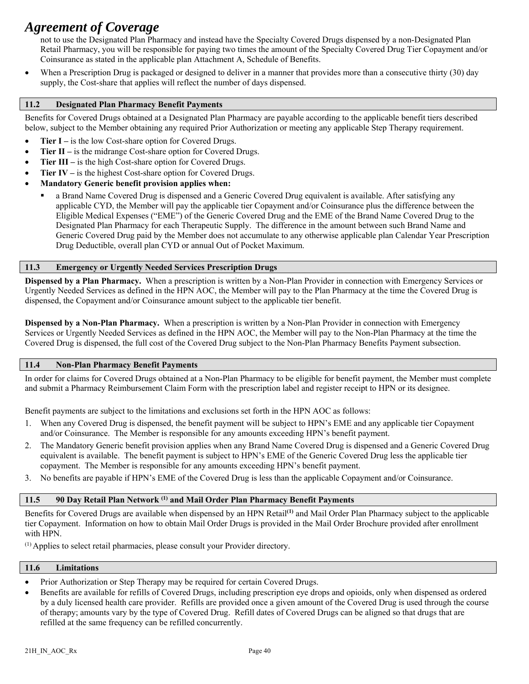not to use the Designated Plan Pharmacy and instead have the Specialty Covered Drugs dispensed by a non-Designated Plan Retail Pharmacy, you will be responsible for paying two times the amount of the Specialty Covered Drug Tier Copayment and/or Coinsurance as stated in the applicable plan Attachment A, Schedule of Benefits.

 When a Prescription Drug is packaged or designed to deliver in a manner that provides more than a consecutive thirty (30) day supply, the Cost-share that applies will reflect the number of days dispensed.

## **11.2 Designated Plan Pharmacy Benefit Payments**

Benefits for Covered Drugs obtained at a Designated Plan Pharmacy are payable according to the applicable benefit tiers described below, subject to the Member obtaining any required Prior Authorization or meeting any applicable Step Therapy requirement.

- **Tier I** is the low Cost-share option for Covered Drugs.
- **Tier II** is the midrange Cost-share option for Covered Drugs.
- **Tier III** is the high Cost-share option for Covered Drugs.
- **Tier IV** is the highest Cost-share option for Covered Drugs.
- **Mandatory Generic benefit provision applies when:** 
	- a Brand Name Covered Drug is dispensed and a Generic Covered Drug equivalent is available. After satisfying any applicable CYD, the Member will pay the applicable tier Copayment and/or Coinsurance plus the difference between the Eligible Medical Expenses ("EME") of the Generic Covered Drug and the EME of the Brand Name Covered Drug to the Designated Plan Pharmacy for each Therapeutic Supply. The difference in the amount between such Brand Name and Generic Covered Drug paid by the Member does not accumulate to any otherwise applicable plan Calendar Year Prescription Drug Deductible, overall plan CYD or annual Out of Pocket Maximum.

#### **11.3 Emergency or Urgently Needed Services Prescription Drugs**

**Dispensed by a Plan Pharmacy.** When a prescription is written by a Non-Plan Provider in connection with Emergency Services or Urgently Needed Services as defined in the HPN AOC, the Member will pay to the Plan Pharmacy at the time the Covered Drug is dispensed, the Copayment and/or Coinsurance amount subject to the applicable tier benefit.

**Dispensed by a Non-Plan Pharmacy.** When a prescription is written by a Non-Plan Provider in connection with Emergency Services or Urgently Needed Services as defined in the HPN AOC, the Member will pay to the Non-Plan Pharmacy at the time the Covered Drug is dispensed, the full cost of the Covered Drug subject to the Non-Plan Pharmacy Benefits Payment subsection.

### **11.4 Non-Plan Pharmacy Benefit Payments**

In order for claims for Covered Drugs obtained at a Non-Plan Pharmacy to be eligible for benefit payment, the Member must complete and submit a Pharmacy Reimbursement Claim Form with the prescription label and register receipt to HPN or its designee.

Benefit payments are subject to the limitations and exclusions set forth in the HPN AOC as follows:

- 1. When any Covered Drug is dispensed, the benefit payment will be subject to HPN's EME and any applicable tier Copayment and/or Coinsurance. The Member is responsible for any amounts exceeding HPN's benefit payment.
- 2. The Mandatory Generic benefit provision applies when any Brand Name Covered Drug is dispensed and a Generic Covered Drug equivalent is available. The benefit payment is subject to HPN's EME of the Generic Covered Drug less the applicable tier copayment. The Member is responsible for any amounts exceeding HPN's benefit payment.
- 3. No benefits are payable if HPN's EME of the Covered Drug is less than the applicable Copayment and/or Coinsurance.

# **11.5 90 Day Retail Plan Network (1) and Mail Order Plan Pharmacy Benefit Payments**

Benefits for Covered Drugs are available when dispensed by an HPN Retail**(1)** and Mail Order Plan Pharmacy subject to the applicable tier Copayment. Information on how to obtain Mail Order Drugs is provided in the Mail Order Brochure provided after enrollment with HPN.

 $<sup>(1)</sup>$  Applies to select retail pharmacies, please consult your Provider directory.</sup>

#### **11.6 Limitations**

- Prior Authorization or Step Therapy may be required for certain Covered Drugs.
- Benefits are available for refills of Covered Drugs, including prescription eye drops and opioids, only when dispensed as ordered by a duly licensed health care provider. Refills are provided once a given amount of the Covered Drug is used through the course of therapy; amounts vary by the type of Covered Drug. Refill dates of Covered Drugs can be aligned so that drugs that are refilled at the same frequency can be refilled concurrently.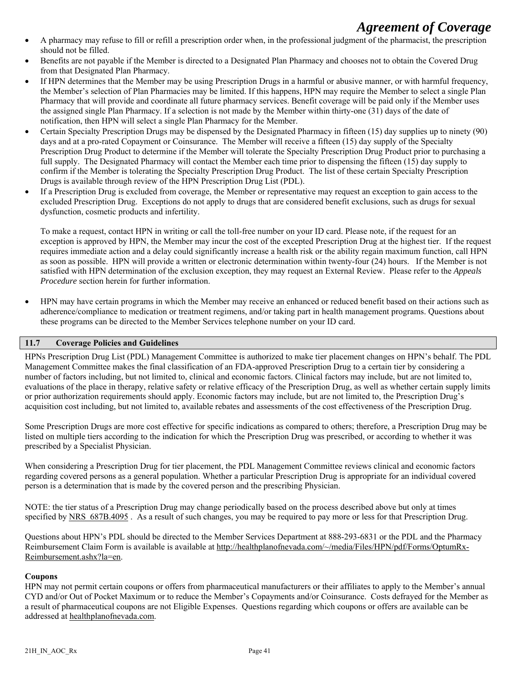- A pharmacy may refuse to fill or refill a prescription order when, in the professional judgment of the pharmacist, the prescription should not be filled.
- Benefits are not payable if the Member is directed to a Designated Plan Pharmacy and chooses not to obtain the Covered Drug from that Designated Plan Pharmacy.
- If HPN determines that the Member may be using Prescription Drugs in a harmful or abusive manner, or with harmful frequency, the Member's selection of Plan Pharmacies may be limited. If this happens, HPN may require the Member to select a single Plan Pharmacy that will provide and coordinate all future pharmacy services. Benefit coverage will be paid only if the Member uses the assigned single Plan Pharmacy. If a selection is not made by the Member within thirty-one (31) days of the date of notification, then HPN will select a single Plan Pharmacy for the Member.
- Certain Specialty Prescription Drugs may be dispensed by the Designated Pharmacy in fifteen (15) day supplies up to ninety (90) days and at a pro-rated Copayment or Coinsurance. The Member will receive a fifteen (15) day supply of the Specialty Prescription Drug Product to determine if the Member will tolerate the Specialty Prescription Drug Product prior to purchasing a full supply. The Designated Pharmacy will contact the Member each time prior to dispensing the fifteen (15) day supply to confirm if the Member is tolerating the Specialty Prescription Drug Product. The list of these certain Specialty Prescription Drugs is available through review of the HPN Prescription Drug List (PDL).
- If a Prescription Drug is excluded from coverage, the Member or representative may request an exception to gain access to the excluded Prescription Drug. Exceptions do not apply to drugs that are considered benefit exclusions, such as drugs for sexual dysfunction, cosmetic products and infertility.

To make a request, contact HPN in writing or call the toll-free number on your ID card. Please note, if the request for an exception is approved by HPN, the Member may incur the cost of the excepted Prescription Drug at the highest tier. If the request requires immediate action and a delay could significantly increase a health risk or the ability regain maximum function, call HPN as soon as possible. HPN will provide a written or electronic determination within twenty-four (24) hours. If the Member is not satisfied with HPN determination of the exclusion exception, they may request an External Review. Please refer to the *Appeals Procedure* section herein for further information.

 HPN may have certain programs in which the Member may receive an enhanced or reduced benefit based on their actions such as adherence/compliance to medication or treatment regimens, and/or taking part in health management programs. Questions about these programs can be directed to the Member Services telephone number on your ID card.

# **11.7 Coverage Policies and Guidelines**

HPNs Prescription Drug List (PDL) Management Committee is authorized to make tier placement changes on HPN's behalf. The PDL Management Committee makes the final classification of an FDA-approved Prescription Drug to a certain tier by considering a number of factors including, but not limited to, clinical and economic factors. Clinical factors may include, but are not limited to, evaluations of the place in therapy, relative safety or relative efficacy of the Prescription Drug, as well as whether certain supply limits or prior authorization requirements should apply. Economic factors may include, but are not limited to, the Prescription Drug's acquisition cost including, but not limited to, available rebates and assessments of the cost effectiveness of the Prescription Drug.

Some Prescription Drugs are more cost effective for specific indications as compared to others; therefore, a Prescription Drug may be listed on multiple tiers according to the indication for which the Prescription Drug was prescribed, or according to whether it was prescribed by a Specialist Physician.

When considering a Prescription Drug for tier placement, the PDL Management Committee reviews clinical and economic factors regarding covered persons as a general population. Whether a particular Prescription Drug is appropriate for an individual covered person is a determination that is made by the covered person and the prescribing Physician.

NOTE: the tier status of a Prescription Drug may change periodically based on the process described above but only at times specified by NRS 687B.4095 . As a result of such changes, you may be required to pay more or less for that Prescription Drug.

Questions about HPN's PDL should be directed to the Member Services Department at 888-293-6831 or the PDL and the Pharmacy Reimbursement Claim Form is available is available at http://healthplanofnevada.com/~/media/Files/HPN/pdf/Forms/OptumRx-Reimbursement.ashx?la=en.

## **Coupons**

HPN may not permit certain coupons or offers from pharmaceutical manufacturers or their affiliates to apply to the Member's annual CYD and/or Out of Pocket Maximum or to reduce the Member's Copayments and/or Coinsurance. Costs defrayed for the Member as a result of pharmaceutical coupons are not Eligible Expenses. Questions regarding which coupons or offers are available can be addressed at healthplanofnevada.com.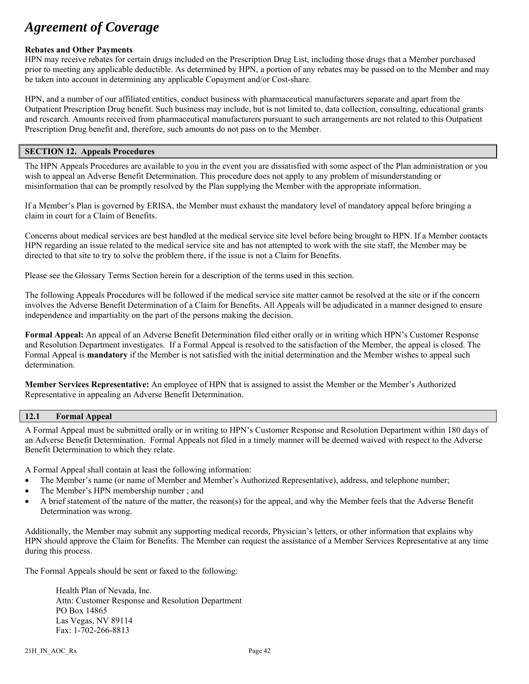# **Rebates and Other Payments**

HPN may receive rebates for certain drugs included on the Prescription Drug List, including those drugs that a Member purchased prior to meeting any applicable deductible. As determined by HPN, a portion of any rebates may be passed on to the Member and may be taken into account in determining any applicable Copayment and/or Cost-share.

HPN, and a number of our affiliated entities, conduct business with pharmaceutical manufacturers separate and apart from the Outpatient Prescription Drug benefit. Such business may include, but is not limited to, data collection, consulting, educational grants and research. Amounts received from pharmaceutical manufacturers pursuant to such arrangements are not related to this Outpatient Prescription Drug benefit and, therefore, such amounts do not pass on to the Member.

# **SECTION 12. Appeals Procedures**

The HPN Appeals Procedures are available to you in the event you are dissatisfied with some aspect of the Plan administration or you wish to appeal an Adverse Benefit Determination. This procedure does not apply to any problem of misunderstanding or misinformation that can be promptly resolved by the Plan supplying the Member with the appropriate information.

If a Member's Plan is governed by ERISA, the Member must exhaust the mandatory level of mandatory appeal before bringing a claim in court for a Claim of Benefits.

Concerns about medical services are best handled at the medical service site level before being brought to HPN. If a Member contacts HPN regarding an issue related to the medical service site and has not attempted to work with the site staff, the Member may be directed to that site to try to solve the problem there, if the issue is not a Claim for Benefits.

Please see the Glossary Terms Section herein for a description of the terms used in this section.

The following Appeals Procedures will be followed if the medical service site matter cannot be resolved at the site or if the concern involves the Adverse Benefit Determination of a Claim for Benefits. All Appeals will be adjudicated in a manner designed to ensure independence and impartiality on the part of the persons making the decision.

**Formal Appeal:** An appeal of an Adverse Benefit Determination filed either orally or in writing which HPN's Customer Response and Resolution Department investigates. If a Formal Appeal is resolved to the satisfaction of the Member, the appeal is closed. The Formal Appeal is **mandatory** if the Member is not satisfied with the initial determination and the Member wishes to appeal such determination.

**Member Services Representative:** An employee of HPN that is assigned to assist the Member or the Member's Authorized Representative in appealing an Adverse Benefit Determination.

# **12.1 Formal Appeal**

A Formal Appeal must be submitted orally or in writing to HPN's Customer Response and Resolution Department within 180 days of an Adverse Benefit Determination. Formal Appeals not filed in a timely manner will be deemed waived with respect to the Adverse Benefit Determination to which they relate.

A Formal Appeal shall contain at least the following information:

- The Member's name (or name of Member and Member's Authorized Representative), address, and telephone number;
- The Member's HPN membership number ; and
- A brief statement of the nature of the matter, the reason(s) for the appeal, and why the Member feels that the Adverse Benefit Determination was wrong.

Additionally, the Member may submit any supporting medical records, Physician's letters, or other information that explains why HPN should approve the Claim for Benefits. The Member can request the assistance of a Member Services Representative at any time during this process.

The Formal Appeals should be sent or faxed to the following:

Health Plan of Nevada, Inc. Attn: Customer Response and Resolution Department PO Box 14865 Las Vegas, NV 89114 Fax: 1-702-266-8813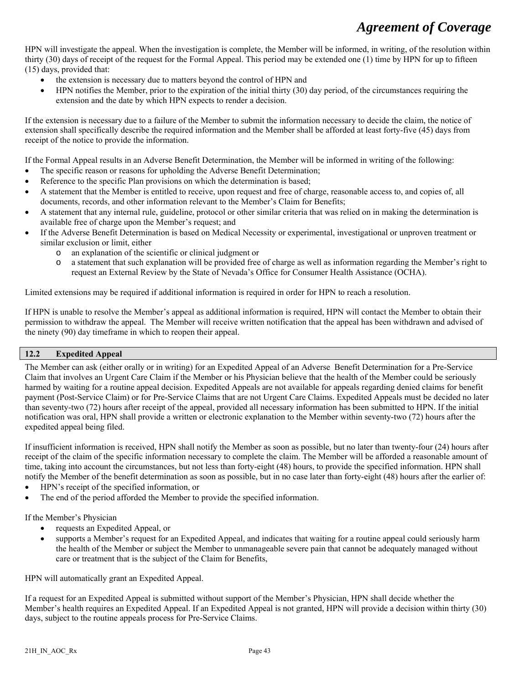HPN will investigate the appeal. When the investigation is complete, the Member will be informed, in writing, of the resolution within thirty (30) days of receipt of the request for the Formal Appeal. This period may be extended one (1) time by HPN for up to fifteen (15) days, provided that:

- the extension is necessary due to matters beyond the control of HPN and
- HPN notifies the Member, prior to the expiration of the initial thirty (30) day period, of the circumstances requiring the extension and the date by which HPN expects to render a decision.

If the extension is necessary due to a failure of the Member to submit the information necessary to decide the claim, the notice of extension shall specifically describe the required information and the Member shall be afforded at least forty-five (45) days from receipt of the notice to provide the information.

If the Formal Appeal results in an Adverse Benefit Determination, the Member will be informed in writing of the following:

- The specific reason or reasons for upholding the Adverse Benefit Determination;
- Reference to the specific Plan provisions on which the determination is based;
- A statement that the Member is entitled to receive, upon request and free of charge, reasonable access to, and copies of, all documents, records, and other information relevant to the Member's Claim for Benefits;
- A statement that any internal rule, guideline, protocol or other similar criteria that was relied on in making the determination is available free of charge upon the Member's request; and
- If the Adverse Benefit Determination is based on Medical Necessity or experimental, investigational or unproven treatment or similar exclusion or limit, either
	- o an explanation of the scientific or clinical judgment or
	- o a statement that such explanation will be provided free of charge as well as information regarding the Member's right to request an External Review by the State of Nevada's Office for Consumer Health Assistance (OCHA).

Limited extensions may be required if additional information is required in order for HPN to reach a resolution.

If HPN is unable to resolve the Member's appeal as additional information is required, HPN will contact the Member to obtain their permission to withdraw the appeal. The Member will receive written notification that the appeal has been withdrawn and advised of the ninety (90) day timeframe in which to reopen their appeal.

## **12.2 Expedited Appeal**

The Member can ask (either orally or in writing) for an Expedited Appeal of an Adverse Benefit Determination for a Pre-Service Claim that involves an Urgent Care Claim if the Member or his Physician believe that the health of the Member could be seriously harmed by waiting for a routine appeal decision. Expedited Appeals are not available for appeals regarding denied claims for benefit payment (Post-Service Claim) or for Pre-Service Claims that are not Urgent Care Claims. Expedited Appeals must be decided no later than seventy-two (72) hours after receipt of the appeal, provided all necessary information has been submitted to HPN. If the initial notification was oral, HPN shall provide a written or electronic explanation to the Member within seventy-two (72) hours after the expedited appeal being filed.

If insufficient information is received, HPN shall notify the Member as soon as possible, but no later than twenty-four (24) hours after receipt of the claim of the specific information necessary to complete the claim. The Member will be afforded a reasonable amount of time, taking into account the circumstances, but not less than forty-eight (48) hours, to provide the specified information. HPN shall notify the Member of the benefit determination as soon as possible, but in no case later than forty-eight (48) hours after the earlier of:

- HPN's receipt of the specified information, or
- The end of the period afforded the Member to provide the specified information.

If the Member's Physician

- requests an Expedited Appeal, or
- supports a Member's request for an Expedited Appeal, and indicates that waiting for a routine appeal could seriously harm the health of the Member or subject the Member to unmanageable severe pain that cannot be adequately managed without care or treatment that is the subject of the Claim for Benefits,

HPN will automatically grant an Expedited Appeal.

If a request for an Expedited Appeal is submitted without support of the Member's Physician, HPN shall decide whether the Member's health requires an Expedited Appeal. If an Expedited Appeal is not granted, HPN will provide a decision within thirty (30) days, subject to the routine appeals process for Pre-Service Claims.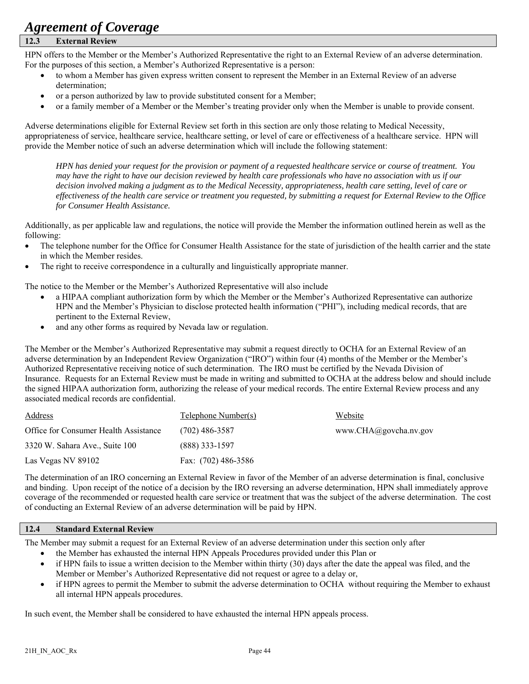# **12.3 External Review**

HPN offers to the Member or the Member's Authorized Representative the right to an External Review of an adverse determination. For the purposes of this section, a Member's Authorized Representative is a person:

- to whom a Member has given express written consent to represent the Member in an External Review of an adverse determination;
- or a person authorized by law to provide substituted consent for a Member;
- or a family member of a Member or the Member's treating provider only when the Member is unable to provide consent.

Adverse determinations eligible for External Review set forth in this section are only those relating to Medical Necessity, appropriateness of service, healthcare service, healthcare setting, or level of care or effectiveness of a healthcare service. HPN will provide the Member notice of such an adverse determination which will include the following statement:

*HPN has denied your request for the provision or payment of a requested healthcare service or course of treatment. You may have the right to have our decision reviewed by health care professionals who have no association with us if our decision involved making a judgment as to the Medical Necessity, appropriateness, health care setting, level of care or effectiveness of the health care service or treatment you requested, by submitting a request for External Review to the Office for Consumer Health Assistance.* 

Additionally, as per applicable law and regulations, the notice will provide the Member the information outlined herein as well as the following:

- The telephone number for the Office for Consumer Health Assistance for the state of jurisdiction of the health carrier and the state in which the Member resides.
- The right to receive correspondence in a culturally and linguistically appropriate manner.

The notice to the Member or the Member's Authorized Representative will also include

- a HIPAA compliant authorization form by which the Member or the Member's Authorized Representative can authorize HPN and the Member's Physician to disclose protected health information ("PHI"), including medical records, that are pertinent to the External Review,
- and any other forms as required by Nevada law or regulation.

The Member or the Member's Authorized Representative may submit a request directly to OCHA for an External Review of an adverse determination by an Independent Review Organization ("IRO") within four (4) months of the Member or the Member's Authorized Representative receiving notice of such determination. The IRO must be certified by the Nevada Division of Insurance. Requests for an External Review must be made in writing and submitted to OCHA at the address below and should include the signed HIPAA authorization form, authorizing the release of your medical records. The entire External Review process and any associated medical records are confidential.

| <b>Address</b>                        | Telephone Number(s)   | Website               |
|---------------------------------------|-----------------------|-----------------------|
| Office for Consumer Health Assistance | $(702)$ 486-3587      | www.CHA@govcha.nv.gov |
| 3320 W. Sahara Ave., Suite 100        | $(888)$ 333-1597      |                       |
| Las Vegas NV 89102                    | Fax: $(702)$ 486-3586 |                       |

The determination of an IRO concerning an External Review in favor of the Member of an adverse determination is final, conclusive and binding. Upon receipt of the notice of a decision by the IRO reversing an adverse determination, HPN shall immediately approve coverage of the recommended or requested health care service or treatment that was the subject of the adverse determination. The cost of conducting an External Review of an adverse determination will be paid by HPN.

#### **12.4 Standard External Review**

The Member may submit a request for an External Review of an adverse determination under this section only after

- the Member has exhausted the internal HPN Appeals Procedures provided under this Plan or
- if HPN fails to issue a written decision to the Member within thirty (30) days after the date the appeal was filed, and the Member or Member's Authorized Representative did not request or agree to a delay or,
- if HPN agrees to permit the Member to submit the adverse determination to OCHA without requiring the Member to exhaust all internal HPN appeals procedures.

In such event, the Member shall be considered to have exhausted the internal HPN appeals process.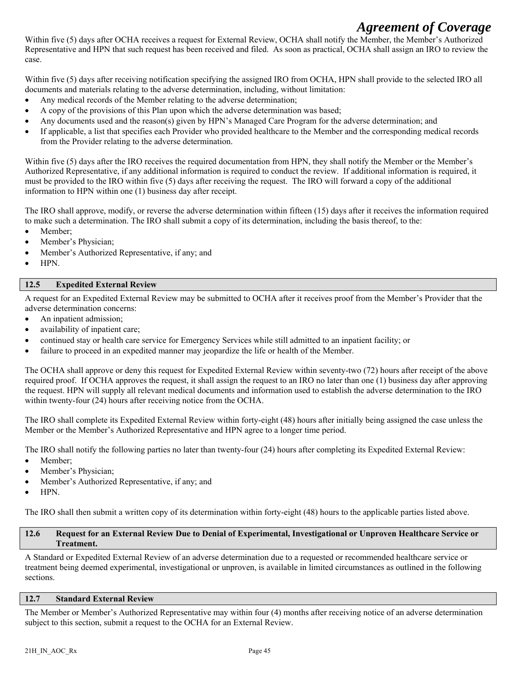Within five (5) days after OCHA receives a request for External Review, OCHA shall notify the Member, the Member's Authorized Representative and HPN that such request has been received and filed. As soon as practical, OCHA shall assign an IRO to review the case.

Within five (5) days after receiving notification specifying the assigned IRO from OCHA, HPN shall provide to the selected IRO all documents and materials relating to the adverse determination, including, without limitation:

- Any medical records of the Member relating to the adverse determination;
- A copy of the provisions of this Plan upon which the adverse determination was based;
- Any documents used and the reason(s) given by HPN's Managed Care Program for the adverse determination; and
- If applicable, a list that specifies each Provider who provided healthcare to the Member and the corresponding medical records from the Provider relating to the adverse determination.

Within five (5) days after the IRO receives the required documentation from HPN, they shall notify the Member or the Member's Authorized Representative, if any additional information is required to conduct the review. If additional information is required, it must be provided to the IRO within five (5) days after receiving the request. The IRO will forward a copy of the additional information to HPN within one (1) business day after receipt.

The IRO shall approve, modify, or reverse the adverse determination within fifteen (15) days after it receives the information required to make such a determination. The IRO shall submit a copy of its determination, including the basis thereof, to the:

- Member;
- Member's Physician;
- Member's Authorized Representative, if any; and
- HPN.

# **12.5 Expedited External Review**

A request for an Expedited External Review may be submitted to OCHA after it receives proof from the Member's Provider that the adverse determination concerns:

- An inpatient admission;
- availability of inpatient care;
- continued stay or health care service for Emergency Services while still admitted to an inpatient facility; or
- failure to proceed in an expedited manner may jeopardize the life or health of the Member.

The OCHA shall approve or deny this request for Expedited External Review within seventy-two (72) hours after receipt of the above required proof. If OCHA approves the request, it shall assign the request to an IRO no later than one (1) business day after approving the request. HPN will supply all relevant medical documents and information used to establish the adverse determination to the IRO within twenty-four (24) hours after receiving notice from the OCHA.

The IRO shall complete its Expedited External Review within forty-eight (48) hours after initially being assigned the case unless the Member or the Member's Authorized Representative and HPN agree to a longer time period.

The IRO shall notify the following parties no later than twenty-four (24) hours after completing its Expedited External Review:

- Member;
- Member's Physician;
- Member's Authorized Representative, if any; and
- HPN.

The IRO shall then submit a written copy of its determination within forty-eight (48) hours to the applicable parties listed above.

# **12.6 Request for an External Review Due to Denial of Experimental, Investigational or Unproven Healthcare Service or Treatment.**

A Standard or Expedited External Review of an adverse determination due to a requested or recommended healthcare service or treatment being deemed experimental, investigational or unproven, is available in limited circumstances as outlined in the following sections.

# **12.7 Standard External Review**

The Member or Member's Authorized Representative may within four (4) months after receiving notice of an adverse determination subject to this section, submit a request to the OCHA for an External Review.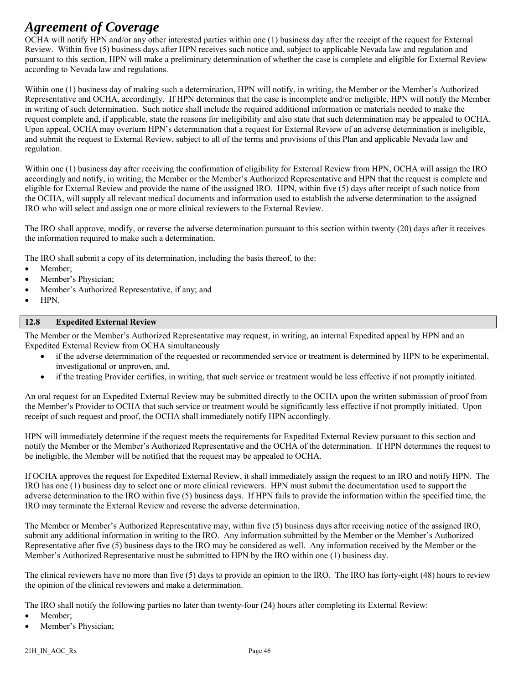OCHA will notify HPN and/or any other interested parties within one (1) business day after the receipt of the request for External Review. Within five (5) business days after HPN receives such notice and, subject to applicable Nevada law and regulation and pursuant to this section, HPN will make a preliminary determination of whether the case is complete and eligible for External Review according to Nevada law and regulations.

Within one (1) business day of making such a determination, HPN will notify, in writing, the Member or the Member's Authorized Representative and OCHA, accordingly. If HPN determines that the case is incomplete and/or ineligible, HPN will notify the Member in writing of such determination. Such notice shall include the required additional information or materials needed to make the request complete and, if applicable, state the reasons for ineligibility and also state that such determination may be appealed to OCHA. Upon appeal, OCHA may overturn HPN's determination that a request for External Review of an adverse determination is ineligible, and submit the request to External Review, subject to all of the terms and provisions of this Plan and applicable Nevada law and regulation.

Within one (1) business day after receiving the confirmation of eligibility for External Review from HPN, OCHA will assign the IRO accordingly and notify, in writing, the Member or the Member's Authorized Representative and HPN that the request is complete and eligible for External Review and provide the name of the assigned IRO. HPN, within five (5) days after receipt of such notice from the OCHA, will supply all relevant medical documents and information used to establish the adverse determination to the assigned IRO who will select and assign one or more clinical reviewers to the External Review.

The IRO shall approve, modify, or reverse the adverse determination pursuant to this section within twenty (20) days after it receives the information required to make such a determination.

The IRO shall submit a copy of its determination, including the basis thereof, to the:

- Member:
- Member's Physician;
- Member's Authorized Representative, if any; and
- HPN.

# **12.8 Expedited External Review**

The Member or the Member's Authorized Representative may request, in writing, an internal Expedited appeal by HPN and an Expedited External Review from OCHA simultaneously

- if the adverse determination of the requested or recommended service or treatment is determined by HPN to be experimental, investigational or unproven, and,
- if the treating Provider certifies, in writing, that such service or treatment would be less effective if not promptly initiated.

An oral request for an Expedited External Review may be submitted directly to the OCHA upon the written submission of proof from the Member's Provider to OCHA that such service or treatment would be significantly less effective if not promptly initiated. Upon receipt of such request and proof, the OCHA shall immediately notify HPN accordingly.

HPN will immediately determine if the request meets the requirements for Expedited External Review pursuant to this section and notify the Member or the Member's Authorized Representative and the OCHA of the determination. If HPN determines the request to be ineligible, the Member will be notified that the request may be appealed to OCHA.

If OCHA approves the request for Expedited External Review, it shall immediately assign the request to an IRO and notify HPN. The IRO has one (1) business day to select one or more clinical reviewers. HPN must submit the documentation used to support the adverse determination to the IRO within five (5) business days. If HPN fails to provide the information within the specified time, the IRO may terminate the External Review and reverse the adverse determination.

The Member or Member's Authorized Representative may, within five (5) business days after receiving notice of the assigned IRO, submit any additional information in writing to the IRO. Any information submitted by the Member or the Member's Authorized Representative after five (5) business days to the IRO may be considered as well. Any information received by the Member or the Member's Authorized Representative must be submitted to HPN by the IRO within one (1) business day.

The clinical reviewers have no more than five (5) days to provide an opinion to the IRO. The IRO has forty-eight (48) hours to review the opinion of the clinical reviewers and make a determination.

The IRO shall notify the following parties no later than twenty-four (24) hours after completing its External Review:

- Member:
- Member's Physician;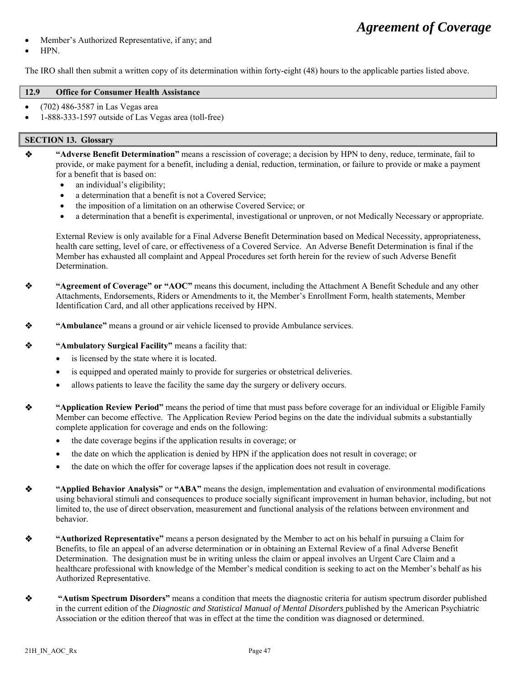- Member's Authorized Representative, if any; and
- HPN.

The IRO shall then submit a written copy of its determination within forty-eight (48) hours to the applicable parties listed above.

### **12.9 Office for Consumer Health Assistance**

- (702) 486-3587 in Las Vegas area
- 1-888-333-1597 outside of Las Vegas area (toll-free)

## **SECTION 13. Glossary**

- **"Adverse Benefit Determination"** means a rescission of coverage; a decision by HPN to deny, reduce, terminate, fail to provide, or make payment for a benefit, including a denial, reduction, termination, or failure to provide or make a payment for a benefit that is based on:
	- an individual's eligibility;
	- a determination that a benefit is not a Covered Service;
	- the imposition of a limitation on an otherwise Covered Service; or
	- a determination that a benefit is experimental, investigational or unproven, or not Medically Necessary or appropriate.

External Review is only available for a Final Adverse Benefit Determination based on Medical Necessity, appropriateness, health care setting, level of care, or effectiveness of a Covered Service. An Adverse Benefit Determination is final if the Member has exhausted all complaint and Appeal Procedures set forth herein for the review of such Adverse Benefit Determination.

- **"Agreement of Coverage" or "AOC"** means this document, including the Attachment A Benefit Schedule and any other Attachments, Endorsements, Riders or Amendments to it, the Member's Enrollment Form, health statements, Member Identification Card, and all other applications received by HPN.
- **"Ambulance"** means a ground or air vehicle licensed to provide Ambulance services.
- **"Ambulatory Surgical Facility"** means a facility that:
	- is licensed by the state where it is located.
	- is equipped and operated mainly to provide for surgeries or obstetrical deliveries.
	- allows patients to leave the facility the same day the surgery or delivery occurs.
- **"Application Review Period"** means the period of time that must pass before coverage for an individual or Eligible Family Member can become effective. The Application Review Period begins on the date the individual submits a substantially complete application for coverage and ends on the following:
	- the date coverage begins if the application results in coverage; or
	- the date on which the application is denied by HPN if the application does not result in coverage; or
	- the date on which the offer for coverage lapses if the application does not result in coverage.
- **"Applied Behavior Analysis"** or **"ABA"** means the design, implementation and evaluation of environmental modifications using behavioral stimuli and consequences to produce socially significant improvement in human behavior, including, but not limited to, the use of direct observation, measurement and functional analysis of the relations between environment and behavior.
- **"Authorized Representative"** means a person designated by the Member to act on his behalf in pursuing a Claim for Benefits, to file an appeal of an adverse determination or in obtaining an External Review of a final Adverse Benefit Determination. The designation must be in writing unless the claim or appeal involves an Urgent Care Claim and a healthcare professional with knowledge of the Member's medical condition is seeking to act on the Member's behalf as his Authorized Representative.
- **"Autism Spectrum Disorders"** means a condition that meets the diagnostic criteria for autism spectrum disorder published in the current edition of the *Diagnostic and Statistical Manual of Mental Disorders* published by the American Psychiatric Association or the edition thereof that was in effect at the time the condition was diagnosed or determined.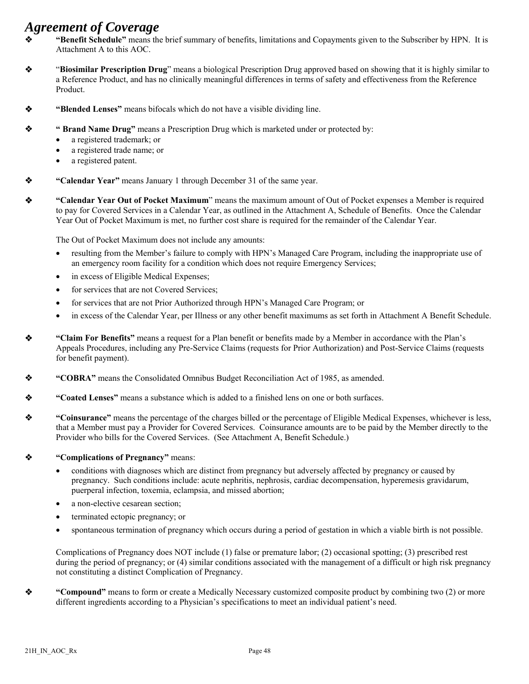- **"Benefit Schedule"** means the brief summary of benefits, limitations and Copayments given to the Subscriber by HPN. It is Attachment A to this AOC.
- "**Biosimilar Prescription Drug**" means a biological Prescription Drug approved based on showing that it is highly similar to a Reference Product, and has no clinically meaningful differences in terms of safety and effectiveness from the Reference Product.
- **"Blended Lenses"** means bifocals which do not have a visible dividing line.
- **" Brand Name Drug"** means a Prescription Drug which is marketed under or protected by:
	- a registered trademark; or
	- a registered trade name; or
	- a registered patent.
- **"Calendar Year"** means January 1 through December 31 of the same year.
- **"Calendar Year Out of Pocket Maximum**" means the maximum amount of Out of Pocket expenses a Member is required to pay for Covered Services in a Calendar Year, as outlined in the Attachment A, Schedule of Benefits. Once the Calendar Year Out of Pocket Maximum is met, no further cost share is required for the remainder of the Calendar Year.

The Out of Pocket Maximum does not include any amounts:

- resulting from the Member's failure to comply with HPN's Managed Care Program, including the inappropriate use of an emergency room facility for a condition which does not require Emergency Services;
- in excess of Eligible Medical Expenses;
- for services that are not Covered Services;
- for services that are not Prior Authorized through HPN's Managed Care Program; or
- in excess of the Calendar Year, per Illness or any other benefit maximums as set forth in Attachment A Benefit Schedule.
- **"Claim For Benefits"** means a request for a Plan benefit or benefits made by a Member in accordance with the Plan's Appeals Procedures, including any Pre-Service Claims (requests for Prior Authorization) and Post-Service Claims (requests for benefit payment).
- **"COBRA"** means the Consolidated Omnibus Budget Reconciliation Act of 1985, as amended.
- **"Coated Lenses"** means a substance which is added to a finished lens on one or both surfaces.
- **"Coinsurance"** means the percentage of the charges billed or the percentage of Eligible Medical Expenses, whichever is less, that a Member must pay a Provider for Covered Services. Coinsurance amounts are to be paid by the Member directly to the Provider who bills for the Covered Services. (See Attachment A, Benefit Schedule.)

## **"Complications of Pregnancy"** means:

- conditions with diagnoses which are distinct from pregnancy but adversely affected by pregnancy or caused by pregnancy. Such conditions include: acute nephritis, nephrosis, cardiac decompensation, hyperemesis gravidarum, puerperal infection, toxemia, eclampsia, and missed abortion;
- a non-elective cesarean section;
- terminated ectopic pregnancy; or
- spontaneous termination of pregnancy which occurs during a period of gestation in which a viable birth is not possible.

Complications of Pregnancy does NOT include (1) false or premature labor; (2) occasional spotting; (3) prescribed rest during the period of pregnancy; or (4) similar conditions associated with the management of a difficult or high risk pregnancy not constituting a distinct Complication of Pregnancy.

 **"Compound"** means to form or create a Medically Necessary customized composite product by combining two (2) or more different ingredients according to a Physician's specifications to meet an individual patient's need.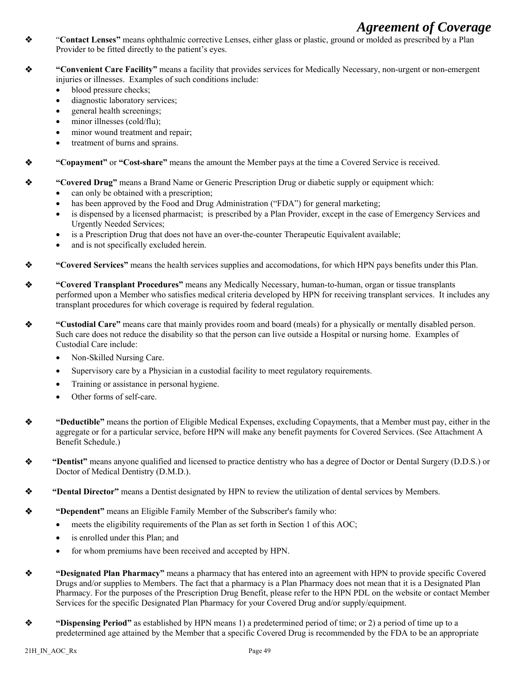- "**Contact Lenses"** means ophthalmic corrective Lenses, either glass or plastic, ground or molded as prescribed by a Plan Provider to be fitted directly to the patient's eyes.
- **"Convenient Care Facility"** means a facility that provides services for Medically Necessary, non-urgent or non-emergent injuries or illnesses. Examples of such conditions include:
	- blood pressure checks;
	- diagnostic laboratory services;
	- general health screenings;
	- minor illnesses (cold/flu);
	- minor wound treatment and repair;
	- treatment of burns and sprains.
- **"Copayment"** or **"Cost-share"** means the amount the Member pays at the time a Covered Service is received.
- **"Covered Drug"** means a Brand Name or Generic Prescription Drug or diabetic supply or equipment which:
	- can only be obtained with a prescription;
	- has been approved by the Food and Drug Administration ("FDA") for general marketing;
	- is dispensed by a licensed pharmacist; is prescribed by a Plan Provider, except in the case of Emergency Services and Urgently Needed Services;
	- is a Prescription Drug that does not have an over-the-counter Therapeutic Equivalent available;
	- and is not specifically excluded herein.
- **"Covered Services"** means the health services supplies and accomodations, for which HPN pays benefits under this Plan.
- **"Covered Transplant Procedures"** means any Medically Necessary, human-to-human, organ or tissue transplants performed upon a Member who satisfies medical criteria developed by HPN for receiving transplant services. It includes any transplant procedures for which coverage is required by federal regulation.
- **"Custodial Care"** means care that mainly provides room and board (meals) for a physically or mentally disabled person. Such care does not reduce the disability so that the person can live outside a Hospital or nursing home. Examples of Custodial Care include:
	- Non-Skilled Nursing Care.
	- Supervisory care by a Physician in a custodial facility to meet regulatory requirements.
	- Training or assistance in personal hygiene.
	- Other forms of self-care.
- **"Deductible"** means the portion of Eligible Medical Expenses, excluding Copayments, that a Member must pay, either in the aggregate or for a particular service, before HPN will make any benefit payments for Covered Services. (See Attachment A Benefit Schedule.)
- **"Dentist"** means anyone qualified and licensed to practice dentistry who has a degree of Doctor or Dental Surgery (D.D.S.) or Doctor of Medical Dentistry (D.M.D.).
- **"Dental Director"** means a Dentist designated by HPN to review the utilization of dental services by Members.
- **"Dependent"** means an Eligible Family Member of the Subscriber's family who:
	- meets the eligibility requirements of the Plan as set forth in Section 1 of this AOC;
	- is enrolled under this Plan; and
	- for whom premiums have been received and accepted by HPN.
- **"Designated Plan Pharmacy"** means a pharmacy that has entered into an agreement with HPN to provide specific Covered Drugs and/or supplies to Members. The fact that a pharmacy is a Plan Pharmacy does not mean that it is a Designated Plan Pharmacy. For the purposes of the Prescription Drug Benefit, please refer to the HPN PDL on the website or contact Member Services for the specific Designated Plan Pharmacy for your Covered Drug and/or supply/equipment.
- **"Dispensing Period"** as established by HPN means 1) a predetermined period of time; or 2) a period of time up to a predetermined age attained by the Member that a specific Covered Drug is recommended by the FDA to be an appropriate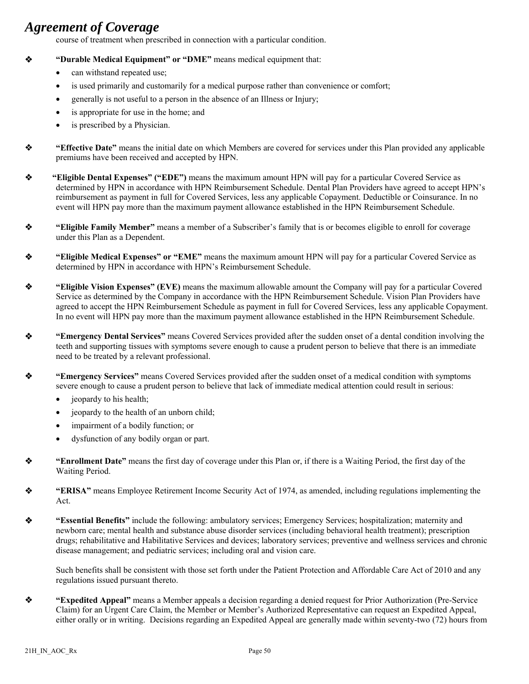course of treatment when prescribed in connection with a particular condition.

- **"Durable Medical Equipment" or "DME"** means medical equipment that:
	- can withstand repeated use;
	- is used primarily and customarily for a medical purpose rather than convenience or comfort;
	- generally is not useful to a person in the absence of an Illness or Injury;
	- is appropriate for use in the home; and
	- is prescribed by a Physician.
- **"Effective Date"** means the initial date on which Members are covered for services under this Plan provided any applicable premiums have been received and accepted by HPN.
- **"Eligible Dental Expenses" ("EDE")** means the maximum amount HPN will pay for a particular Covered Service as determined by HPN in accordance with HPN Reimbursement Schedule. Dental Plan Providers have agreed to accept HPN's reimbursement as payment in full for Covered Services, less any applicable Copayment. Deductible or Coinsurance. In no event will HPN pay more than the maximum payment allowance established in the HPN Reimbursement Schedule.
- **"Eligible Family Member"** means a member of a Subscriber's family that is or becomes eligible to enroll for coverage under this Plan as a Dependent.
- **"Eligible Medical Expenses" or "EME"** means the maximum amount HPN will pay for a particular Covered Service as determined by HPN in accordance with HPN's Reimbursement Schedule.
- **"Eligible Vision Expenses" (EVE)** means the maximum allowable amount the Company will pay for a particular Covered Service as determined by the Company in accordance with the HPN Reimbursement Schedule. Vision Plan Providers have agreed to accept the HPN Reimbursement Schedule as payment in full for Covered Services, less any applicable Copayment. In no event will HPN pay more than the maximum payment allowance established in the HPN Reimbursement Schedule.
- **"Emergency Dental Services"** means Covered Services provided after the sudden onset of a dental condition involving the teeth and supporting tissues with symptoms severe enough to cause a prudent person to believe that there is an immediate need to be treated by a relevant professional.
- **"Emergency Services"** means Covered Services provided after the sudden onset of a medical condition with symptoms severe enough to cause a prudent person to believe that lack of immediate medical attention could result in serious:
	- jeopardy to his health;
	- jeopardy to the health of an unborn child;
	- impairment of a bodily function; or
	- dysfunction of any bodily organ or part.
- **"Enrollment Date"** means the first day of coverage under this Plan or, if there is a Waiting Period, the first day of the Waiting Period.
- **"ERISA"** means Employee Retirement Income Security Act of 1974, as amended, including regulations implementing the Act.
- **"Essential Benefits"** include the following: ambulatory services; Emergency Services; hospitalization; maternity and newborn care; mental health and substance abuse disorder services (including behavioral health treatment); prescription drugs; rehabilitative and Habilitative Services and devices; laboratory services; preventive and wellness services and chronic disease management; and pediatric services; including oral and vision care.

Such benefits shall be consistent with those set forth under the Patient Protection and Affordable Care Act of 2010 and any regulations issued pursuant thereto.

 **"Expedited Appeal"** means a Member appeals a decision regarding a denied request for Prior Authorization (Pre-Service Claim) for an Urgent Care Claim, the Member or Member's Authorized Representative can request an Expedited Appeal, either orally or in writing. Decisions regarding an Expedited Appeal are generally made within seventy-two (72) hours from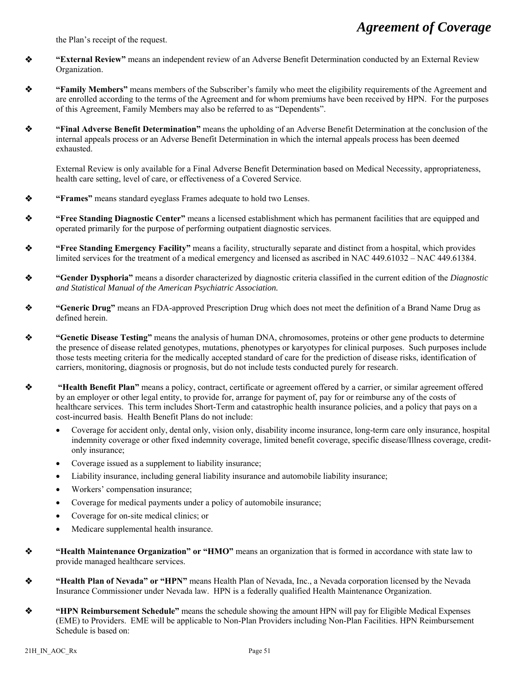the Plan's receipt of the request.

- **"External Review"** means an independent review of an Adverse Benefit Determination conducted by an External Review Organization.
- **"Family Members"** means members of the Subscriber's family who meet the eligibility requirements of the Agreement and are enrolled according to the terms of the Agreement and for whom premiums have been received by HPN. For the purposes of this Agreement, Family Members may also be referred to as "Dependents".
- **"Final Adverse Benefit Determination"** means the upholding of an Adverse Benefit Determination at the conclusion of the internal appeals process or an Adverse Benefit Determination in which the internal appeals process has been deemed exhausted.

External Review is only available for a Final Adverse Benefit Determination based on Medical Necessity, appropriateness, health care setting, level of care, or effectiveness of a Covered Service.

- **"Frames"** means standard eyeglass Frames adequate to hold two Lenses.
- **"Free Standing Diagnostic Center"** means a licensed establishment which has permanent facilities that are equipped and operated primarily for the purpose of performing outpatient diagnostic services.
- **"Free Standing Emergency Facility"** means a facility, structurally separate and distinct from a hospital, which provides limited services for the treatment of a medical emergency and licensed as ascribed in NAC 449.61032 – NAC 449.61384.
- **"Gender Dysphoria"** means a disorder characterized by diagnostic criteria classified in the current edition of the *Diagnostic and Statistical Manual of the American Psychiatric Association.*
- **"Generic Drug"** means an FDA-approved Prescription Drug which does not meet the definition of a Brand Name Drug as defined herein.
- **"Genetic Disease Testing"** means the analysis of human DNA, chromosomes, proteins or other gene products to determine the presence of disease related genotypes, mutations, phenotypes or karyotypes for clinical purposes. Such purposes include those tests meeting criteria for the medically accepted standard of care for the prediction of disease risks, identification of carriers, monitoring, diagnosis or prognosis, but do not include tests conducted purely for research.
- **"Health Benefit Plan"** means a policy, contract, certificate or agreement offered by a carrier, or similar agreement offered by an employer or other legal entity, to provide for, arrange for payment of, pay for or reimburse any of the costs of healthcare services. This term includes Short-Term and catastrophic health insurance policies, and a policy that pays on a cost-incurred basis. Health Benefit Plans do not include:
	- Coverage for accident only, dental only, vision only, disability income insurance, long-term care only insurance, hospital indemnity coverage or other fixed indemnity coverage, limited benefit coverage, specific disease/Illness coverage, creditonly insurance;
	- Coverage issued as a supplement to liability insurance;
	- Liability insurance, including general liability insurance and automobile liability insurance;
	- Workers' compensation insurance;
	- Coverage for medical payments under a policy of automobile insurance;
	- Coverage for on-site medical clinics; or
	- Medicare supplemental health insurance.
- **"Health Maintenance Organization" or "HMO"** means an organization that is formed in accordance with state law to provide managed healthcare services.
- **"Health Plan of Nevada" or "HPN"** means Health Plan of Nevada, Inc., a Nevada corporation licensed by the Nevada Insurance Commissioner under Nevada law. HPN is a federally qualified Health Maintenance Organization.
- **"HPN Reimbursement Schedule"** means the schedule showing the amount HPN will pay for Eligible Medical Expenses (EME) to Providers. EME will be applicable to Non-Plan Providers including Non-Plan Facilities. HPN Reimbursement Schedule is based on: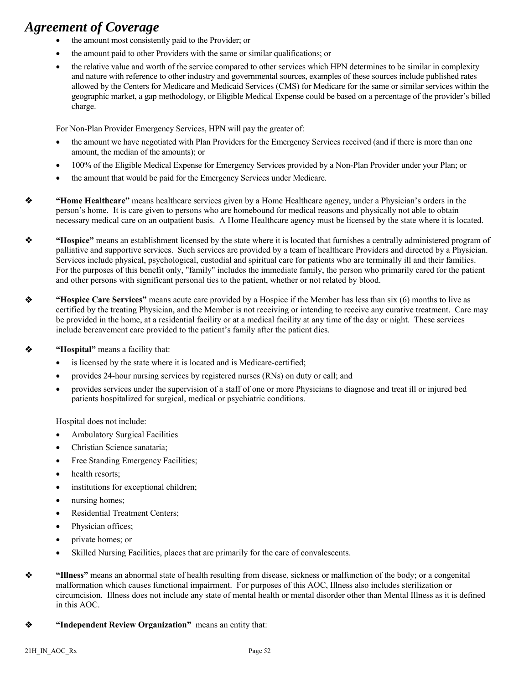- the amount most consistently paid to the Provider; or
- the amount paid to other Providers with the same or similar qualifications; or
- the relative value and worth of the service compared to other services which HPN determines to be similar in complexity and nature with reference to other industry and governmental sources, examples of these sources include published rates allowed by the Centers for Medicare and Medicaid Services (CMS) for Medicare for the same or similar services within the geographic market, a gap methodology, or Eligible Medical Expense could be based on a percentage of the provider's billed charge.

For Non-Plan Provider Emergency Services, HPN will pay the greater of:

- the amount we have negotiated with Plan Providers for the Emergency Services received (and if there is more than one amount, the median of the amounts); or
- 100% of the Eligible Medical Expense for Emergency Services provided by a Non-Plan Provider under your Plan; or
- the amount that would be paid for the Emergency Services under Medicare.
- **"Home Healthcare"** means healthcare services given by a Home Healthcare agency, under a Physician's orders in the person's home. It is care given to persons who are homebound for medical reasons and physically not able to obtain necessary medical care on an outpatient basis. A Home Healthcare agency must be licensed by the state where it is located.
- **"Hospice"** means an establishment licensed by the state where it is located that furnishes a centrally administered program of palliative and supportive services. Such services are provided by a team of healthcare Providers and directed by a Physician. Services include physical, psychological, custodial and spiritual care for patients who are terminally ill and their families. For the purposes of this benefit only, "family" includes the immediate family, the person who primarily cared for the patient and other persons with significant personal ties to the patient, whether or not related by blood.
- **"Hospice Care Services"** means acute care provided by a Hospice if the Member has less than six (6) months to live as certified by the treating Physician, and the Member is not receiving or intending to receive any curative treatment. Care may be provided in the home, at a residential facility or at a medical facility at any time of the day or night. These services include bereavement care provided to the patient's family after the patient dies.
- **"Hospital"** means a facility that:
	- is licensed by the state where it is located and is Medicare-certified;
	- provides 24-hour nursing services by registered nurses (RNs) on duty or call; and
	- provides services under the supervision of a staff of one or more Physicians to diagnose and treat ill or injured bed patients hospitalized for surgical, medical or psychiatric conditions.

Hospital does not include:

- Ambulatory Surgical Facilities
- Christian Science sanataria;
- Free Standing Emergency Facilities;
- health resorts;
- institutions for exceptional children;
- nursing homes;
- Residential Treatment Centers;
- Physician offices;
- private homes; or
- Skilled Nursing Facilities, places that are primarily for the care of convalescents.
- **"Illness"** means an abnormal state of health resulting from disease, sickness or malfunction of the body; or a congenital malformation which causes functional impairment. For purposes of this AOC, Illness also includes sterilization or circumcision. Illness does not include any state of mental health or mental disorder other than Mental Illness as it is defined in this AOC.
- **"Independent Review Organization"** means an entity that: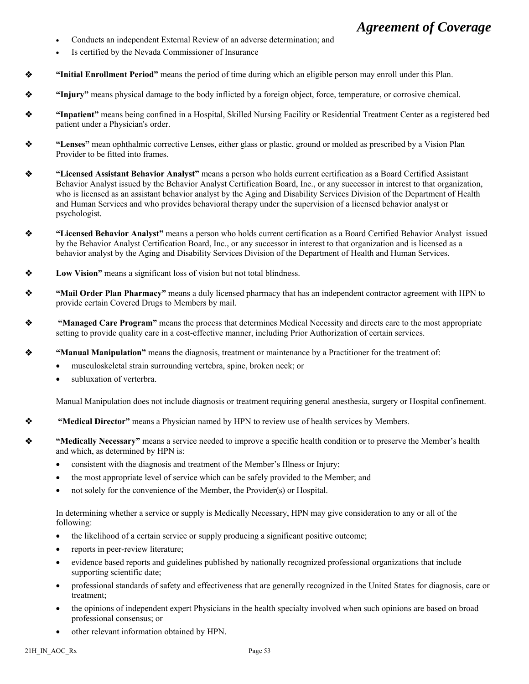- Conducts an independent External Review of an adverse determination; and
- Is certified by the Nevada Commissioner of Insurance
- **"Initial Enrollment Period"** means the period of time during which an eligible person may enroll under this Plan.
- **"Injury"** means physical damage to the body inflicted by a foreign object, force, temperature, or corrosive chemical.
- **"Inpatient"** means being confined in a Hospital, Skilled Nursing Facility or Residential Treatment Center as a registered bed patient under a Physician's order.
- **"Lenses"** mean ophthalmic corrective Lenses, either glass or plastic, ground or molded as prescribed by a Vision Plan Provider to be fitted into frames.
- **"Licensed Assistant Behavior Analyst"** means a person who holds current certification as a Board Certified Assistant Behavior Analyst issued by the Behavior Analyst Certification Board, Inc., or any successor in interest to that organization, who is licensed as an assistant behavior analyst by the Aging and Disability Services Division of the Department of Health and Human Services and who provides behavioral therapy under the supervision of a licensed behavior analyst or psychologist.
- **"Licensed Behavior Analyst"** means a person who holds current certification as a Board Certified Behavior Analyst issued by the Behavior Analyst Certification Board, Inc., or any successor in interest to that organization and is licensed as a behavior analyst by the Aging and Disability Services Division of the Department of Health and Human Services.
- Low Vision" means a significant loss of vision but not total blindness.
- **"Mail Order Plan Pharmacy"** means a duly licensed pharmacy that has an independent contractor agreement with HPN to provide certain Covered Drugs to Members by mail.
- **"Managed Care Program"** means the process that determines Medical Necessity and directs care to the most appropriate setting to provide quality care in a cost-effective manner, including Prior Authorization of certain services.
- **"Manual Manipulation"** means the diagnosis, treatment or maintenance by a Practitioner for the treatment of:
	- musculoskeletal strain surrounding vertebra, spine, broken neck; or
	- subluxation of verterbra.

Manual Manipulation does not include diagnosis or treatment requiring general anesthesia, surgery or Hospital confinement.

- **"Medical Director"** means a Physician named by HPN to review use of health services by Members.
- **"Medically Necessary"** means a service needed to improve a specific health condition or to preserve the Member's health and which, as determined by HPN is:
	- consistent with the diagnosis and treatment of the Member's Illness or Injury;
	- the most appropriate level of service which can be safely provided to the Member; and
	- not solely for the convenience of the Member, the Provider(s) or Hospital.

In determining whether a service or supply is Medically Necessary, HPN may give consideration to any or all of the following:

- the likelihood of a certain service or supply producing a significant positive outcome;
- reports in peer-review literature;
- evidence based reports and guidelines published by nationally recognized professional organizations that include supporting scientific date;
- professional standards of safety and effectiveness that are generally recognized in the United States for diagnosis, care or treatment;
- the opinions of independent expert Physicians in the health specialty involved when such opinions are based on broad professional consensus; or
- other relevant information obtained by HPN.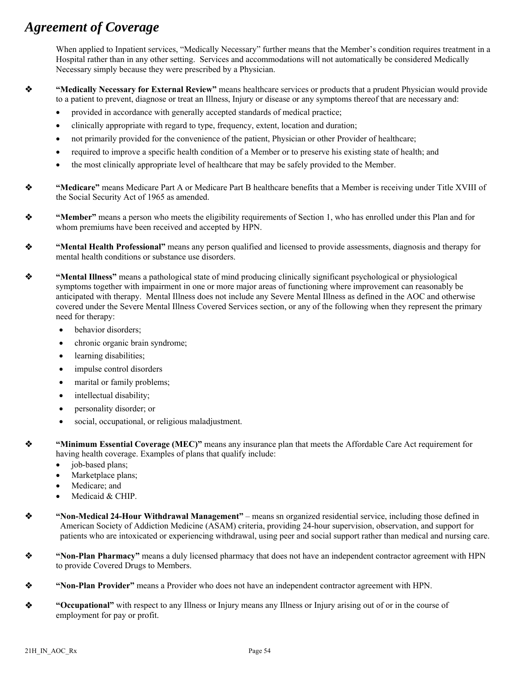When applied to Inpatient services, "Medically Necessary" further means that the Member's condition requires treatment in a Hospital rather than in any other setting. Services and accommodations will not automatically be considered Medically Necessary simply because they were prescribed by a Physician.

- **"Medically Necessary for External Review"** means healthcare services or products that a prudent Physician would provide to a patient to prevent, diagnose or treat an Illness, Injury or disease or any symptoms thereof that are necessary and:
	- provided in accordance with generally accepted standards of medical practice;
	- clinically appropriate with regard to type, frequency, extent, location and duration;
	- not primarily provided for the convenience of the patient, Physician or other Provider of healthcare;
	- required to improve a specific health condition of a Member or to preserve his existing state of health; and
	- the most clinically appropriate level of healthcare that may be safely provided to the Member.
- **"Medicare"** means Medicare Part A or Medicare Part B healthcare benefits that a Member is receiving under Title XVIII of the Social Security Act of 1965 as amended.
- **"Member"** means a person who meets the eligibility requirements of Section 1, who has enrolled under this Plan and for whom premiums have been received and accepted by HPN.
- **"Mental Health Professional"** means any person qualified and licensed to provide assessments, diagnosis and therapy for mental health conditions or substance use disorders.
- **"Mental Illness"** means a pathological state of mind producing clinically significant psychological or physiological symptoms together with impairment in one or more major areas of functioning where improvement can reasonably be anticipated with therapy. Mental Illness does not include any Severe Mental Illness as defined in the AOC and otherwise covered under the Severe Mental Illness Covered Services section, or any of the following when they represent the primary need for therapy:
	- behavior disorders;
	- chronic organic brain syndrome;
	- learning disabilities;
	- impulse control disorders
	- marital or family problems;
	- intellectual disability;
	- personality disorder; or
	- social, occupational, or religious maladjustment.
- **"Minimum Essential Coverage (MEC)"** means any insurance plan that meets the Affordable Care Act requirement for having health coverage. Examples of plans that qualify include:
	- job-based plans;
	- Marketplace plans;
	- Medicare; and
	- Medicaid & CHIP.
- **"Non-Medical 24-Hour Withdrawal Management"** means sn organized residential service, including those defined in American Society of Addiction Medicine (ASAM) criteria, providing 24-hour supervision, observation, and support for patients who are intoxicated or experiencing withdrawal, using peer and social support rather than medical and nursing care.
- **"Non-Plan Pharmacy"** means a duly licensed pharmacy that does not have an independent contractor agreement with HPN to provide Covered Drugs to Members.
- **"Non-Plan Provider"** means a Provider who does not have an independent contractor agreement with HPN.
- **"Occupational"** with respect to any Illness or Injury means any Illness or Injury arising out of or in the course of employment for pay or profit.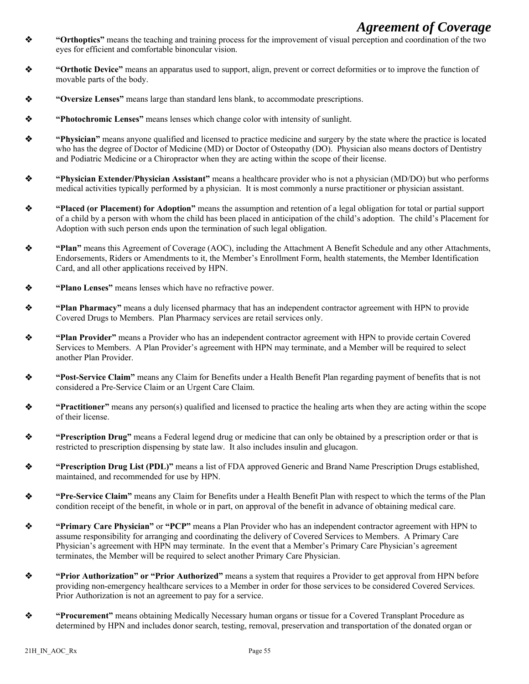- **"Orthoptics"** means the teaching and training process for the improvement of visual perception and coordination of the two eyes for efficient and comfortable binoncular vision.
- **"Orthotic Device"** means an apparatus used to support, align, prevent or correct deformities or to improve the function of movable parts of the body.
- **"Oversize Lenses"** means large than standard lens blank, to accommodate prescriptions.
- **"Photochromic Lenses"** means lenses which change color with intensity of sunlight.
- **"Physician"** means anyone qualified and licensed to practice medicine and surgery by the state where the practice is located who has the degree of Doctor of Medicine (MD) or Doctor of Osteopathy (DO). Physician also means doctors of Dentistry and Podiatric Medicine or a Chiropractor when they are acting within the scope of their license.
- **"Physician Extender/Physician Assistant"** means a healthcare provider who is not a physician (MD/DO) but who performs medical activities typically performed by a physician. It is most commonly a nurse practitioner or physician assistant.
- **"Placed (or Placement) for Adoption"** means the assumption and retention of a legal obligation for total or partial support of a child by a person with whom the child has been placed in anticipation of the child's adoption. The child's Placement for Adoption with such person ends upon the termination of such legal obligation.
- **"Plan"** means this Agreement of Coverage (AOC), including the Attachment A Benefit Schedule and any other Attachments, Endorsements, Riders or Amendments to it, the Member's Enrollment Form, health statements, the Member Identification Card, and all other applications received by HPN.
- **"Plano Lenses"** means lenses which have no refractive power.
- **"Plan Pharmacy"** means a duly licensed pharmacy that has an independent contractor agreement with HPN to provide Covered Drugs to Members. Plan Pharmacy services are retail services only.
- **"Plan Provider"** means a Provider who has an independent contractor agreement with HPN to provide certain Covered Services to Members. A Plan Provider's agreement with HPN may terminate, and a Member will be required to select another Plan Provider.
- **"Post-Service Claim"** means any Claim for Benefits under a Health Benefit Plan regarding payment of benefits that is not considered a Pre-Service Claim or an Urgent Care Claim.
- **"Practitioner"** means any person(s) qualified and licensed to practice the healing arts when they are acting within the scope of their license.
- **"Prescription Drug"** means a Federal legend drug or medicine that can only be obtained by a prescription order or that is restricted to prescription dispensing by state law. It also includes insulin and glucagon.
- **"Prescription Drug List (PDL)"** means a list of FDA approved Generic and Brand Name Prescription Drugs established, maintained, and recommended for use by HPN.
- **"Pre-Service Claim"** means any Claim for Benefits under a Health Benefit Plan with respect to which the terms of the Plan condition receipt of the benefit, in whole or in part, on approval of the benefit in advance of obtaining medical care.
- **"Primary Care Physician"** or **"PCP"** means a Plan Provider who has an independent contractor agreement with HPN to assume responsibility for arranging and coordinating the delivery of Covered Services to Members. A Primary Care Physician's agreement with HPN may terminate. In the event that a Member's Primary Care Physician's agreement terminates, the Member will be required to select another Primary Care Physician.
- **"Prior Authorization" or "Prior Authorized"** means a system that requires a Provider to get approval from HPN before providing non-emergency healthcare services to a Member in order for those services to be considered Covered Services. Prior Authorization is not an agreement to pay for a service.
- **"Procurement"** means obtaining Medically Necessary human organs or tissue for a Covered Transplant Procedure as determined by HPN and includes donor search, testing, removal, preservation and transportation of the donated organ or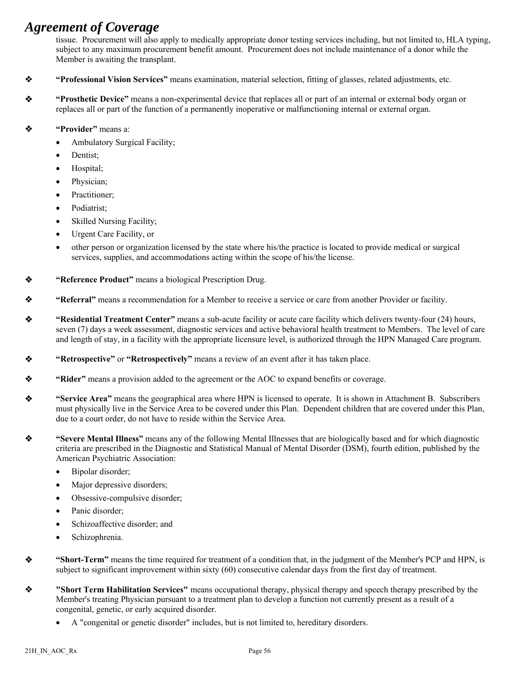tissue. Procurement will also apply to medically appropriate donor testing services including, but not limited to, HLA typing, subject to any maximum procurement benefit amount. Procurement does not include maintenance of a donor while the Member is awaiting the transplant.

**"Professional Vision Services"** means examination, material selection, fitting of glasses, related adjustments, etc.

 **"Prosthetic Device"** means a non-experimental device that replaces all or part of an internal or external body organ or replaces all or part of the function of a permanently inoperative or malfunctioning internal or external organ.

## **"Provider"** means a:

- Ambulatory Surgical Facility;
- Dentist;
- Hospital;
- Physician;
- Practitioner;
- Podiatrist;
- Skilled Nursing Facility;
- Urgent Care Facility, or
- other person or organization licensed by the state where his/the practice is located to provide medical or surgical services, supplies, and accommodations acting within the scope of his/the license.
- **"Reference Product"** means a biological Prescription Drug.
- **"Referral"** means a recommendation for a Member to receive a service or care from another Provider or facility.
- **"Residential Treatment Center"** means a sub-acute facility or acute care facility which delivers twenty-four (24) hours, seven (7) days a week assessment, diagnostic services and active behavioral health treatment to Members. The level of care and length of stay, in a facility with the appropriate licensure level, is authorized through the HPN Managed Care program.
- **"Retrospective"** or **"Retrospectively"** means a review of an event after it has taken place.
- **"Rider"** means a provision added to the agreement or the AOC to expand benefits or coverage.
- **"Service Area"** means the geographical area where HPN is licensed to operate. It is shown in Attachment B. Subscribers must physically live in the Service Area to be covered under this Plan. Dependent children that are covered under this Plan, due to a court order, do not have to reside within the Service Area.
- **"Severe Mental Illness"** means any of the following Mental Illnesses that are biologically based and for which diagnostic criteria are prescribed in the Diagnostic and Statistical Manual of Mental Disorder (DSM), fourth edition, published by the American Psychiatric Association:
	- Bipolar disorder;
	- Major depressive disorders;
	- Obsessive-compulsive disorder;
	- Panic disorder;
	- Schizoaffective disorder; and
	- Schizophrenia.
- **"Short-Term"** means the time required for treatment of a condition that, in the judgment of the Member's PCP and HPN, is subject to significant improvement within sixty (60) consecutive calendar days from the first day of treatment.
- **"Short Term Habilitation Services"** means occupational therapy, physical therapy and speech therapy prescribed by the Member's treating Physician pursuant to a treatment plan to develop a function not currently present as a result of a congenital, genetic, or early acquired disorder.
	- A "congenital or genetic disorder" includes, but is not limited to, hereditary disorders.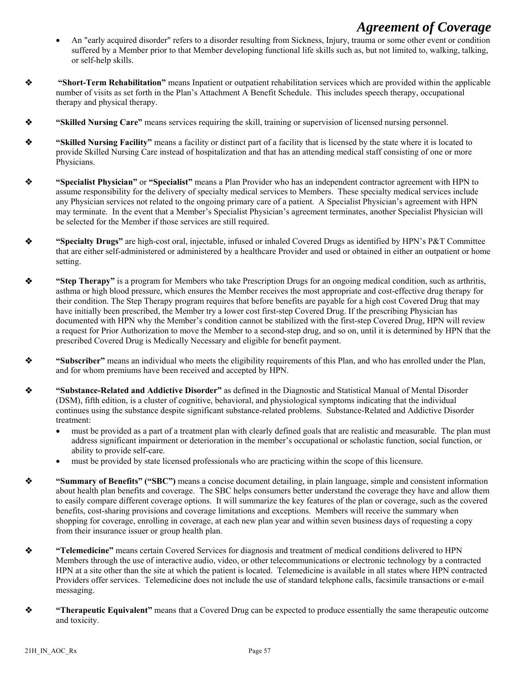- An "early acquired disorder" refers to a disorder resulting from Sickness, Injury, trauma or some other event or condition suffered by a Member prior to that Member developing functional life skills such as, but not limited to, walking, talking, or self-help skills.
- **"Short-Term Rehabilitation"** means Inpatient or outpatient rehabilitation services which are provided within the applicable number of visits as set forth in the Plan's Attachment A Benefit Schedule. This includes speech therapy, occupational therapy and physical therapy.
- **"Skilled Nursing Care"** means services requiring the skill, training or supervision of licensed nursing personnel.
- **"Skilled Nursing Facility"** means a facility or distinct part of a facility that is licensed by the state where it is located to provide Skilled Nursing Care instead of hospitalization and that has an attending medical staff consisting of one or more Physicians.
- **"Specialist Physician"** or **"Specialist"** means a Plan Provider who has an independent contractor agreement with HPN to assume responsibility for the delivery of specialty medical services to Members. These specialty medical services include any Physician services not related to the ongoing primary care of a patient. A Specialist Physician's agreement with HPN may terminate. In the event that a Member's Specialist Physician's agreement terminates, another Specialist Physician will be selected for the Member if those services are still required.
- **"Specialty Drugs"** are high-cost oral, injectable, infused or inhaled Covered Drugs as identified by HPN's P&T Committee that are either self-administered or administered by a healthcare Provider and used or obtained in either an outpatient or home setting.
- **"Step Therapy"** is a program for Members who take Prescription Drugs for an ongoing medical condition, such as arthritis, asthma or high blood pressure, which ensures the Member receives the most appropriate and cost-effective drug therapy for their condition. The Step Therapy program requires that before benefits are payable for a high cost Covered Drug that may have initially been prescribed, the Member try a lower cost first-step Covered Drug. If the prescribing Physician has documented with HPN why the Member's condition cannot be stabilized with the first-step Covered Drug, HPN will review a request for Prior Authorization to move the Member to a second-step drug, and so on, until it is determined by HPN that the prescribed Covered Drug is Medically Necessary and eligible for benefit payment.
- **"Subscriber"** means an individual who meets the eligibility requirements of this Plan, and who has enrolled under the Plan, and for whom premiums have been received and accepted by HPN.
- **"Substance-Related and Addictive Disorder"** as defined in the Diagnostic and Statistical Manual of Mental Disorder (DSM), fifth edition, is a cluster of cognitive, behavioral, and physiological symptoms indicating that the individual continues using the substance despite significant substance-related problems. Substance-Related and Addictive Disorder treatment:
	- must be provided as a part of a treatment plan with clearly defined goals that are realistic and measurable. The plan must address significant impairment or deterioration in the member's occupational or scholastic function, social function, or ability to provide self-care.
	- must be provided by state licensed professionals who are practicing within the scope of this licensure.
- **"Summary of Benefits" ("SBC")** means a concise document detailing, in plain language, simple and consistent information about health plan benefits and coverage. The SBC helps consumers better understand the coverage they have and allow them to easily compare different coverage options. It will summarize the key features of the plan or coverage, such as the covered benefits, cost-sharing provisions and coverage limitations and exceptions. Members will receive the summary when shopping for coverage, enrolling in coverage, at each new plan year and within seven business days of requesting a copy from their insurance issuer or group health plan.
- **"Telemedicine"** means certain Covered Services for diagnosis and treatment of medical conditions delivered to HPN Members through the use of interactive audio, video, or other telecommunications or electronic technology by a contracted HPN at a site other than the site at which the patient is located. Telemedicine is available in all states where HPN contracted Providers offer services. Telemedicine does not include the use of standard telephone calls, facsimile transactions or e-mail messaging.
- **"Therapeutic Equivalent"** means that a Covered Drug can be expected to produce essentially the same therapeutic outcome and toxicity.